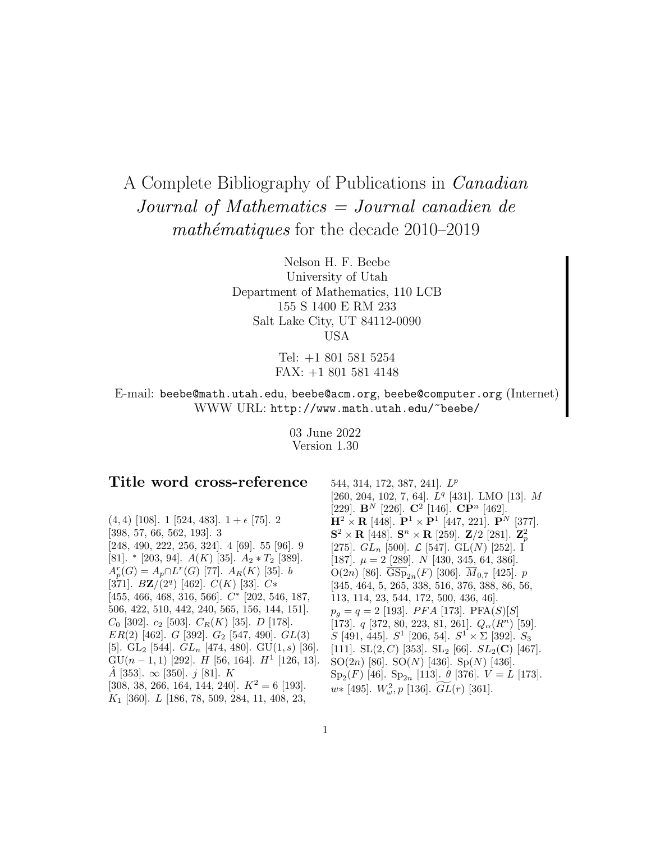# A Complete Bibliography of Publications in Canadian Journal of Mathematics = Journal canadien de math $\acute{e}$ matiques for the decade 2010–2019

Nelson H. F. Beebe University of Utah Department of Mathematics, 110 LCB 155 S 1400 E RM 233 Salt Lake City, UT 84112-0090 USA

> Tel: +1 801 581 5254 FAX: +1 801 581 4148

E-mail: beebe@math.utah.edu, beebe@acm.org, beebe@computer.org (Internet) WWW URL: http://www.math.utah.edu/~beebe/

> 03 June 2022 Version 1.30

# **Title word cross-reference**

 $(4, 4)$  [108]. 1 [524, 483].  $1 + \epsilon$  [75]. 2 [398, 57, 66, 562, 193]. 3 [248, 490, 222, 256, 324]. 4 [69]. 55 [96]. 9 [81]. \* [203, 94].  $A(K)$  [35].  $A_2 * T_2$  [389].  $A_p^r(G) = A_p \cap L^r(G)$  [77].  $A_R(K)$  [35]. b [371].  $B\mathbf{Z}/(2^q)$  [462].  $C(K)$  [33].  $C*$ [455, 466, 468, 316, 566]. C<sup>∗</sup> [202, 546, 187, 506, 422, 510, 442, 240, 565, 156, 144, 151].  $C_0$  [302].  $c_2$  [503].  $C_R(K)$  [35].  $D$  [178].  $ER(2)$  [462]. G [392]. G<sub>2</sub> [547, 490]. GL(3) [5]. GL<sub>2</sub> [544].  $GL_n$  [474, 480]. GU(1, s) [36]. GU( $n-1,1$ ) [292]. H [56, 164]. H<sup>1</sup> [126, 13].  $\hat{A}$  [353].  $\infty$  [350]. j [81]. K [308, 38, 266, 164, 144, 240].  $K^2 = 6$  [193].  $K_1$  [360].  $L$  [186, 78, 509, 284, 11, 408, 23,

544, 314, 172, 387, 241]. L<sup>p</sup> [260, 204, 102, 7, 64].  $L^q$  [431]. LMO [13]. M [229]. **B**<sup>N</sup> [226]. **C**<sup>2</sup> [146]. **CP**<sup>n</sup> [462].  $\mathbf{H}^2 \times \mathbf{R}$  [448].  $\mathbf{P}^1 \times \mathbf{P}^1$  [447, 221].  $\mathbf{P}^N$  [377].  ${\bf S}^2 \times {\bf R}$  [448].  ${\bf S}^n \times {\bf R}$  [259]. **Z**/2 [281]. **Z**<sup>2</sup><sub>p</sub> [275].  $GL_n$  [500].  $\mathcal{L}$  [547].  $GL(N)$  [252]. I [187].  $\mu = 2$  [289]. N [430, 345, 64, 386]. O(2n) [86].  $\overline{\text{GSp}}_{2n}(F)$  [306].  $\overline{M}_{0,7}$  [425]. p [345, 464, 5, 265, 338, 516, 376, 388, 86, 56, 113, 114, 23, 544, 172, 500, 436, 46].  $p_q = q = 2$  [193]. *PFA* [173]. PFA(*S*)[*S*] [173].  $q$  [372, 80, 223, 81, 261].  $Q_{\alpha}(R^n)$  [59]. S [491, 445].  $S^1$  [206, 54].  $S^1 \times \Sigma$  [392].  $S_3$ [111]. SL $(2, C)$  [353]. SL<sub>2</sub> [66].  $SL_2(\mathbf{C})$  [467]. SO(2n) [86]. SO(N) [436]. Sp(N) [436]. Sp<sub>2</sub>(F) [46]. Sp<sub>2n</sub> [113].  $\theta$  [376].  $V = L$  [173].  $w*$  [495].  $W^2_{\omega}$ , p [136].  $\widetilde{GL}(r)$  [361].  $S^2$  [206, 54].  $S^2 \times \Sigma$  [<br>C) [353]. SL<sub>2</sub> [66]. SL<sub>2</sub><br>SO(N) [436]. Sp(N) [<br>Sp<sub>2n</sub> [113].  $\theta$  [376]. V<br> $\mathbb{Z}_2$ , p [136].  $\widetilde{GL}(r)$  [361].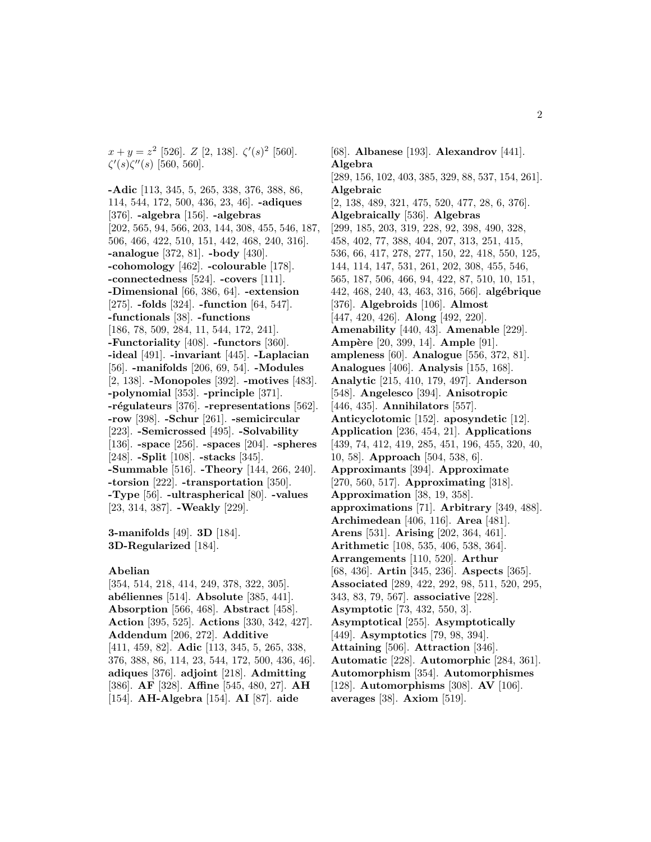$x + y = z^2$  [526].  $Z$  [2, 138].  $\zeta'(s)^2$  [560].  $\zeta'(s)\zeta''(s)$  [560, 560].

**-Adic** [113, 345, 5, 265, 338, 376, 388, 86, 114, 544, 172, 500, 436, 23, 46]. **-adiques** [376]. **-algebra** [156]. **-algebras** [202, 565, 94, 566, 203, 144, 308, 455, 546, 187, 506, 466, 422, 510, 151, 442, 468, 240, 316]. **-analogue** [372, 81]. **-body** [430]. **-cohomology** [462]. **-colourable** [178]. **-connectedness** [524]. **-covers** [111]. **-Dimensional** [66, 386, 64]. **-extension** [275]. **-folds** [324]. **-function** [64, 547]. **-functionals** [38]. **-functions** [186, 78, 509, 284, 11, 544, 172, 241]. **-Functoriality** [408]. **-functors** [360]. **-ideal** [491]. **-invariant** [445]. **-Laplacian** [56]. **-manifolds** [206, 69, 54]. **-Modules** [2, 138]. **-Monopoles** [392]. **-motives** [483]. **-polynomial** [353]. **-principle** [371]. **-r´egulateurs** [376]. **-representations** [562]. **-row** [398]. **-Schur** [261]. **-semicircular** [223]. **-Semicrossed** [495]. **-Solvability** [136]. **-space** [256]. **-spaces** [204]. **-spheres** [248]. **-Split** [108]. **-stacks** [345]. **-Summable** [516]. **-Theory** [144, 266, 240]. **-torsion** [222]. **-transportation** [350]. **-Type** [56]. **-ultraspherical** [80]. **-values** [23, 314, 387]. **-Weakly** [229].

**3-manifolds** [49]. **3D** [184]. **3D-Regularized** [184].

#### **Abelian**

[354, 514, 218, 414, 249, 378, 322, 305]. **ab´eliennes** [514]. **Absolute** [385, 441]. **Absorption** [566, 468]. **Abstract** [458]. **Action** [395, 525]. **Actions** [330, 342, 427]. **Addendum** [206, 272]. **Additive** [411, 459, 82]. **Adic** [113, 345, 5, 265, 338, 376, 388, 86, 114, 23, 544, 172, 500, 436, 46]. **adiques** [376]. **adjoint** [218]. **Admitting** [386]. **AF** [328]. **Affine** [545, 480, 27]. **AH** [154]. **AH-Algebra** [154]. **AI** [87]. **aide**

[68]. **Albanese** [193]. **Alexandrov** [441]. **Algebra** [289, 156, 102, 403, 385, 329, 88, 537, 154, 261]. **Algebraic** [2, 138, 489, 321, 475, 520, 477, 28, 6, 376]. **Algebraically** [536]. **Algebras** [299, 185, 203, 319, 228, 92, 398, 490, 328, 458, 402, 77, 388, 404, 207, 313, 251, 415, 536, 66, 417, 278, 277, 150, 22, 418, 550, 125, 144, 114, 147, 531, 261, 202, 308, 455, 546, 565, 187, 506, 466, 94, 422, 87, 510, 10, 151, 442, 468, 240, 43, 463, 316, 566]. **alg´ebrique** [376]. **Algebroids** [106]. **Almost** [447, 420, 426]. **Along** [492, 220]. **Amenability** [440, 43]. **Amenable** [229]. **Amp`ere** [20, 399, 14]. **Ample** [91]. **ampleness** [60]. **Analogue** [556, 372, 81]. **Analogues** [406]. **Analysis** [155, 168]. **Analytic** [215, 410, 179, 497]. **Anderson** [548]. **Angelesco** [394]. **Anisotropic** [446, 435]. **Annihilators** [557]. **Anticyclotomic** [152]. **aposyndetic** [12]. **Application** [236, 454, 21]. **Applications** [439, 74, 412, 419, 285, 451, 196, 455, 320, 40, 10, 58]. **Approach** [504, 538, 6]. **Approximants** [394]. **Approximate** [270, 560, 517]. **Approximating** [318]. **Approximation** [38, 19, 358]. **approximations** [71]. **Arbitrary** [349, 488]. **Archimedean** [406, 116]. **Area** [481]. **Arens** [531]. **Arising** [202, 364, 461]. **Arithmetic** [108, 535, 406, 538, 364]. **Arrangements** [110, 520]. **Arthur** [68, 436]. **Artin** [345, 236]. **Aspects** [365]. **Associated** [289, 422, 292, 98, 511, 520, 295, 343, 83, 79, 567]. **associative** [228]. **Asymptotic** [73, 432, 550, 3]. **Asymptotical** [255]. **Asymptotically** [449]. **Asymptotics** [79, 98, 394]. **Attaining** [506]. **Attraction** [346]. **Automatic** [228]. **Automorphic** [284, 361]. **Automorphism** [354]. **Automorphismes** [128]. **Automorphisms** [308]. **AV** [106]. **averages** [38]. **Axiom** [519].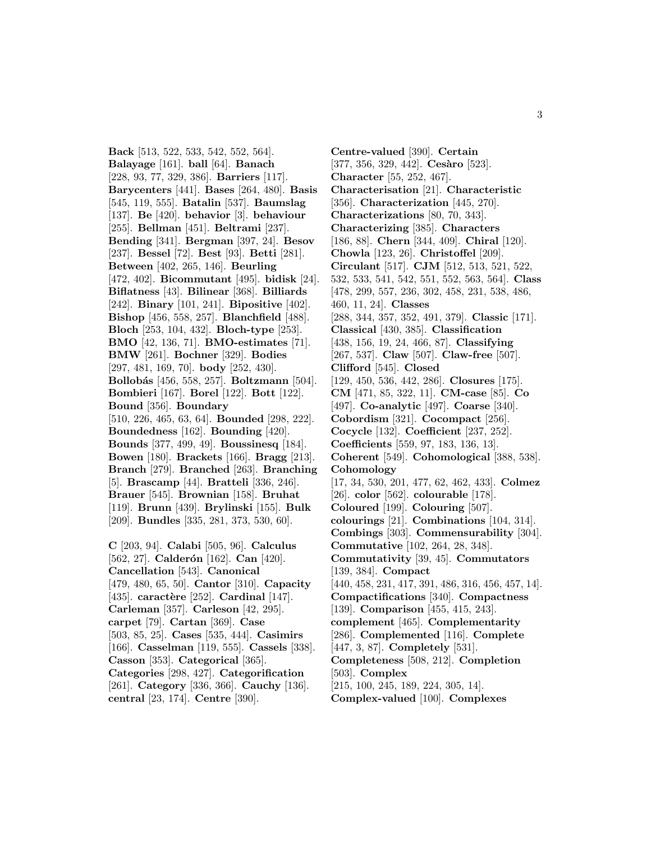**Back** [513, 522, 533, 542, 552, 564]. **Balayage** [161]. **ball** [64]. **Banach** [228, 93, 77, 329, 386]. **Barriers** [117]. **Barycenters** [441]. **Bases** [264, 480]. **Basis** [545, 119, 555]. **Batalin** [537]. **Baumslag** [137]. **Be** [420]. **behavior** [3]. **behaviour** [255]. **Bellman** [451]. **Beltrami** [237]. **Bending** [341]. **Bergman** [397, 24]. **Besov** [237]. **Bessel** [72]. **Best** [93]. **Betti** [281]. **Between** [402, 265, 146]. **Beurling** [472, 402]. **Bicommutant** [495]. **bidisk** [24]. **Biflatness** [43]. **Bilinear** [368]. **Billiards** [242]. **Binary** [101, 241]. **Bipositive** [402]. **Bishop** [456, 558, 257]. **Blanchfield** [488]. **Bloch** [253, 104, 432]. **Bloch-type** [253]. **BMO** [42, 136, 71]. **BMO-estimates** [71]. **BMW** [261]. **Bochner** [329]. **Bodies** [297, 481, 169, 70]. **body** [252, 430]. **Bollob´as** [456, 558, 257]. **Boltzmann** [504]. **Bombieri** [167]. **Borel** [122]. **Bott** [122]. **Bound** [356]. **Boundary** [510, 226, 465, 63, 64]. **Bounded** [298, 222]. **Boundedness** [162]. **Bounding** [420]. **Bounds** [377, 499, 49]. **Boussinesq** [184]. **Bowen** [180]. **Brackets** [166]. **Bragg** [213]. **Branch** [279]. **Branched** [263]. **Branching** [5]. **Brascamp** [44]. **Bratteli** [336, 246]. **Brauer** [545]. **Brownian** [158]. **Bruhat** [119]. **Brunn** [439]. **Brylinski** [155]. **Bulk** [209]. **Bundles** [335, 281, 373, 530, 60].

**C** [203, 94]. **Calabi** [505, 96]. **Calculus** [562, 27]. **Calderón** [162]. **Can** [420]. **Cancellation** [543]. **Canonical** [479, 480, 65, 50]. **Cantor** [310]. **Capacity** [435]. **caractère** [252]. **Cardinal** [147]. **Carleman** [357]. **Carleson** [42, 295]. **carpet** [79]. **Cartan** [369]. **Case** [503, 85, 25]. **Cases** [535, 444]. **Casimirs** [166]. **Casselman** [119, 555]. **Cassels** [338]. **Casson** [353]. **Categorical** [365]. **Categories** [298, 427]. **Categorification** [261]. **Category** [336, 366]. **Cauchy** [136]. **central** [23, 174]. **Centre** [390].

**Centre-valued** [390]. **Certain** [377, 356, 329, 442]. **Cesàro** [523]. **Character** [55, 252, 467]. **Characterisation** [21]. **Characteristic** [356]. **Characterization** [445, 270]. **Characterizations** [80, 70, 343]. **Characterizing** [385]. **Characters** [186, 88]. **Chern** [344, 409]. **Chiral** [120]. **Chowla** [123, 26]. **Christoffel** [209]. **Circulant** [517]. **CJM** [512, 513, 521, 522, 532, 533, 541, 542, 551, 552, 563, 564]. **Class** [478, 299, 557, 236, 302, 458, 231, 538, 486, 460, 11, 24]. **Classes** [288, 344, 357, 352, 491, 379]. **Classic** [171]. **Classical** [430, 385]. **Classification** [438, 156, 19, 24, 466, 87]. **Classifying** [267, 537]. **Claw** [507]. **Claw-free** [507]. **Clifford** [545]. **Closed** [129, 450, 536, 442, 286]. **Closures** [175]. **CM** [471, 85, 322, 11]. **CM-case** [85]. **Co** [497]. **Co-analytic** [497]. **Coarse** [340]. **Cobordism** [321]. **Cocompact** [256]. **Cocycle** [132]. **Coefficient** [237, 252]. **Coefficients** [559, 97, 183, 136, 13]. **Coherent** [549]. **Cohomological** [388, 538]. **Cohomology** [17, 34, 530, 201, 477, 62, 462, 433]. **Colmez** [26]. **color** [562]. **colourable** [178]. **Coloured** [199]. **Colouring** [507]. **colourings** [21]. **Combinations** [104, 314]. **Combings** [303]. **Commensurability** [304]. **Commutative** [102, 264, 28, 348]. **Commutativity** [39, 45]. **Commutators** [139, 384]. **Compact** [440, 458, 231, 417, 391, 486, 316, 456, 457, 14]. **Compactifications** [340]. **Compactness** [139]. **Comparison** [455, 415, 243]. **complement** [465]. **Complementarity** [286]. **Complemented** [116]. **Complete** [447, 3, 87]. **Completely** [531]. **Completeness** [508, 212]. **Completion** [503]. **Complex** [215, 100, 245, 189, 224, 305, 14]. **Complex-valued** [100]. **Complexes**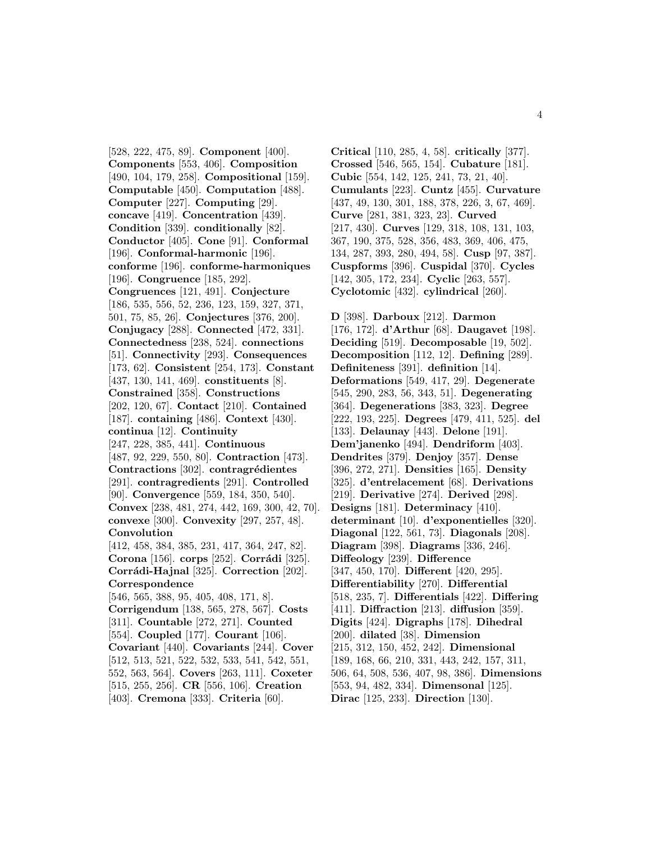[528, 222, 475, 89]. **Component** [400]. **Components** [553, 406]. **Composition** [490, 104, 179, 258]. **Compositional** [159]. **Computable** [450]. **Computation** [488]. **Computer** [227]. **Computing** [29]. **concave** [419]. **Concentration** [439]. **Condition** [339]. **conditionally** [82]. **Conductor** [405]. **Cone** [91]. **Conformal** [196]. **Conformal-harmonic** [196]. **conforme** [196]. **conforme-harmoniques** [196]. **Congruence** [185, 292]. **Congruences** [121, 491]. **Conjecture** [186, 535, 556, 52, 236, 123, 159, 327, 371, 501, 75, 85, 26]. **Conjectures** [376, 200]. **Conjugacy** [288]. **Connected** [472, 331]. **Connectedness** [238, 524]. **connections** [51]. **Connectivity** [293]. **Consequences** [173, 62]. **Consistent** [254, 173]. **Constant** [437, 130, 141, 469]. **constituents** [8]. **Constrained** [358]. **Constructions** [202, 120, 67]. **Contact** [210]. **Contained** [187]. **containing** [486]. **Context** [430]. **continua** [12]. **Continuity** [247, 228, 385, 441]. **Continuous** [487, 92, 229, 550, 80]. **Contraction** [473]. **Contractions** [302]. **contragrédientes** [291]. **contragredients** [291]. **Controlled** [90]. **Convergence** [559, 184, 350, 540]. **Convex** [238, 481, 274, 442, 169, 300, 42, 70]. **convexe** [300]. **Convexity** [297, 257, 48]. **Convolution** [412, 458, 384, 385, 231, 417, 364, 247, 82]. **Corona** [156]. **corps** [252]. **Corrádi** [325]. **Corr´adi-Hajnal** [325]. **Correction** [202]. **Correspondence** [546, 565, 388, 95, 405, 408, 171, 8]. **Corrigendum** [138, 565, 278, 567]. **Costs** [311]. **Countable** [272, 271]. **Counted** [554]. **Coupled** [177]. **Courant** [106]. **Covariant** [440]. **Covariants** [244]. **Cover** [512, 513, 521, 522, 532, 533, 541, 542, 551, 552, 563, 564]. **Covers** [263, 111]. **Coxeter** [515, 255, 256]. **CR** [556, 106]. **Creation** [403]. **Cremona** [333]. **Criteria** [60].

**Critical** [110, 285, 4, 58]. **critically** [377]. **Crossed** [546, 565, 154]. **Cubature** [181]. **Cubic** [554, 142, 125, 241, 73, 21, 40]. **Cumulants** [223]. **Cuntz** [455]. **Curvature** [437, 49, 130, 301, 188, 378, 226, 3, 67, 469]. **Curve** [281, 381, 323, 23]. **Curved** [217, 430]. **Curves** [129, 318, 108, 131, 103, 367, 190, 375, 528, 356, 483, 369, 406, 475, 134, 287, 393, 280, 494, 58]. **Cusp** [97, 387]. **Cuspforms** [396]. **Cuspidal** [370]. **Cycles** [142, 305, 172, 234]. **Cyclic** [263, 557]. **Cyclotomic** [432]. **cylindrical** [260].

**D** [398]. **Darboux** [212]. **Darmon** [176, 172]. **d'Arthur** [68]. **Daugavet** [198]. **Deciding** [519]. **Decomposable** [19, 502]. **Decomposition** [112, 12]. **Defining** [289]. **Definiteness** [391]. **definition** [14]. **Deformations** [549, 417, 29]. **Degenerate** [545, 290, 283, 56, 343, 51]. **Degenerating** [364]. **Degenerations** [383, 323]. **Degree** [222, 193, 225]. **Degrees** [479, 411, 525]. **del** [133]. **Delaunay** [443]. **Delone** [191]. **Dem'janenko** [494]. **Dendriform** [403]. **Dendrites** [379]. **Denjoy** [357]. **Dense** [396, 272, 271]. **Densities** [165]. **Density** [325]. **d'entrelacement** [68]. **Derivations** [219]. **Derivative** [274]. **Derived** [298]. **Designs** [181]. **Determinacy** [410]. **determinant** [10]. **d'exponentielles** [320]. **Diagonal** [122, 561, 73]. **Diagonals** [208]. **Diagram** [398]. **Diagrams** [336, 246]. **Diffeology** [239]. **Difference** [347, 450, 170]. **Different** [420, 295]. **Differentiability** [270]. **Differential** [518, 235, 7]. **Differentials** [422]. **Differing** [411]. **Diffraction** [213]. **diffusion** [359]. **Digits** [424]. **Digraphs** [178]. **Dihedral** [200]. **dilated** [38]. **Dimension** [215, 312, 150, 452, 242]. **Dimensional** [189, 168, 66, 210, 331, 443, 242, 157, 311, 506, 64, 508, 536, 407, 98, 386]. **Dimensions** [553, 94, 482, 334]. **Dimensonal** [125]. **Dirac** [125, 233]. **Direction** [130].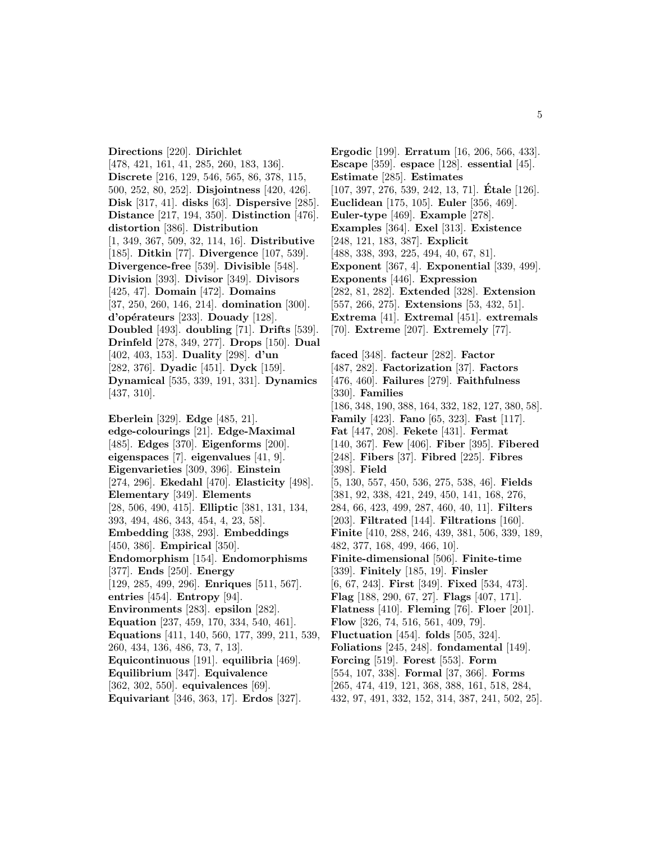**Directions** [220]. **Dirichlet** [478, 421, 161, 41, 285, 260, 183, 136]. **Discrete** [216, 129, 546, 565, 86, 378, 115, 500, 252, 80, 252]. **Disjointness** [420, 426]. **Disk** [317, 41]. **disks** [63]. **Dispersive** [285]. **Distance** [217, 194, 350]. **Distinction** [476]. **distortion** [386]. **Distribution** [1, 349, 367, 509, 32, 114, 16]. **Distributive** [185]. **Ditkin** [77]. **Divergence** [107, 539]. **Divergence-free** [539]. **Divisible** [548]. **Division** [393]. **Divisor** [349]. **Divisors** [425, 47]. **Domain** [472]. **Domains** [37, 250, 260, 146, 214]. **domination** [300]. **d'op´erateurs** [233]. **Douady** [128]. **Doubled** [493]. **doubling** [71]. **Drifts** [539]. **Drinfeld** [278, 349, 277]. **Drops** [150]. **Dual** [402, 403, 153]. **Duality** [298]. **d'un** [282, 376]. **Dyadic** [451]. **Dyck** [159]. **Dynamical** [535, 339, 191, 331]. **Dynamics** [437, 310].

**Eberlein** [329]. **Edge** [485, 21]. **edge-colourings** [21]. **Edge-Maximal** [485]. **Edges** [370]. **Eigenforms** [200]. **eigenspaces** [7]. **eigenvalues** [41, 9]. **Eigenvarieties** [309, 396]. **Einstein** [274, 296]. **Ekedahl** [470]. **Elasticity** [498]. **Elementary** [349]. **Elements** [28, 506, 490, 415]. **Elliptic** [381, 131, 134, 393, 494, 486, 343, 454, 4, 23, 58]. **Embedding** [338, 293]. **Embeddings** [450, 386]. **Empirical** [350]. **Endomorphism** [154]. **Endomorphisms** [377]. **Ends** [250]. **Energy** [129, 285, 499, 296]. **Enriques** [511, 567]. **entries** [454]. **Entropy** [94]. **Environments** [283]. **epsilon** [282]. **Equation** [237, 459, 170, 334, 540, 461]. **Equations** [411, 140, 560, 177, 399, 211, 539, 260, 434, 136, 486, 73, 7, 13]. **Equicontinuous** [191]. **equilibria** [469]. **Equilibrium** [347]. **Equivalence** [362, 302, 550]. **equivalences** [69]. **Equivariant** [346, 363, 17]. **Erdos** [327].

**Ergodic** [199]. **Erratum** [16, 206, 566, 433]. **Escape** [359]. **espace** [128]. **essential** [45]. **Estimate** [285]. **Estimates** [107, 397, 276, 539, 242, 13, 71]. **Etale ´** [126]. **Euclidean** [175, 105]. **Euler** [356, 469]. **Euler-type** [469]. **Example** [278]. **Examples** [364]. **Exel** [313]. **Existence** [248, 121, 183, 387]. **Explicit** [488, 338, 393, 225, 494, 40, 67, 81]. **Exponent** [367, 4]. **Exponential** [339, 499]. **Exponents** [446]. **Expression** [282, 81, 282]. **Extended** [328]. **Extension** [557, 266, 275]. **Extensions** [53, 432, 51]. **Extrema** [41]. **Extremal** [451]. **extremals** [70]. **Extreme** [207]. **Extremely** [77]. **faced** [348]. **facteur** [282]. **Factor** [487, 282]. **Factorization** [37]. **Factors** [476, 460]. **Failures** [279]. **Faithfulness** [330]. **Families** [186, 348, 190, 388, 164, 332, 182, 127, 380, 58]. **Family** [423]. **Fano** [65, 323]. **Fast** [117]. **Fat** [447, 208]. **Fekete** [431]. **Fermat** [140, 367]. **Few** [406]. **Fiber** [395]. **Fibered** [248]. **Fibers** [37]. **Fibred** [225]. **Fibres** [398]. **Field** [5, 130, 557, 450, 536, 275, 538, 46]. **Fields** [381, 92, 338, 421, 249, 450, 141, 168, 276, 284, 66, 423, 499, 287, 460, 40, 11]. **Filters** [203]. **Filtrated** [144]. **Filtrations** [160]. **Finite** [410, 288, 246, 439, 381, 506, 339, 189, 482, 377, 168, 499, 466, 10]. **Finite-dimensional** [506]. **Finite-time** [339]. **Finitely** [185, 19]. **Finsler** [6, 67, 243]. **First** [349]. **Fixed** [534, 473]. **Flag** [188, 290, 67, 27]. **Flags** [407, 171]. **Flatness** [410]. **Fleming** [76]. **Floer** [201]. **Flow** [326, 74, 516, 561, 409, 79]. **Fluctuation** [454]. **folds** [505, 324].

**Foliations** [245, 248]. **fondamental** [149].

- **Forcing** [519]. **Forest** [553]. **Form**
- [554, 107, 338]. **Formal** [37, 366]. **Forms**
- [265, 474, 419, 121, 368, 388, 161, 518, 284,
- 432, 97, 491, 332, 152, 314, 387, 241, 502, 25].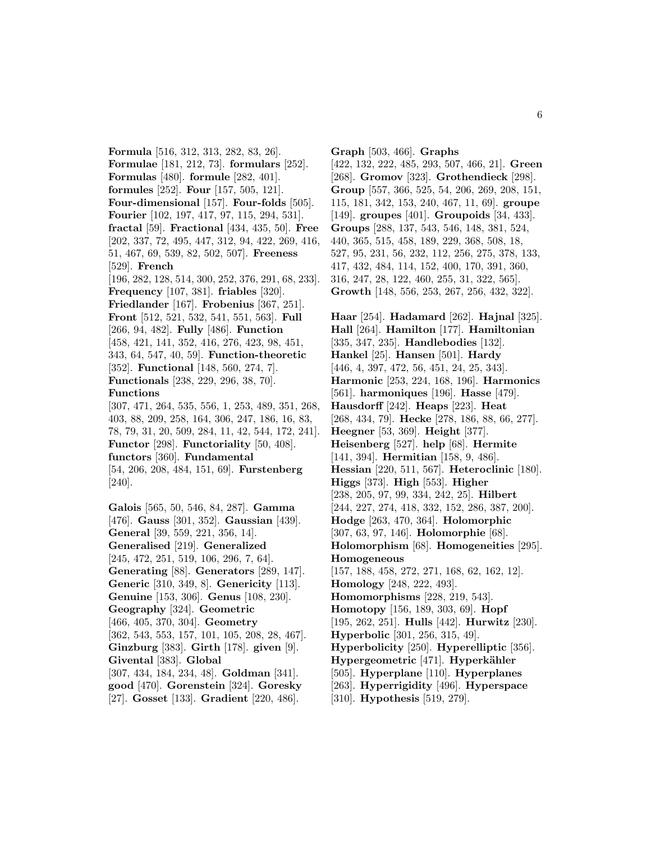**Formula** [516, 312, 313, 282, 83, 26]. **Formulae** [181, 212, 73]. **formulars** [252]. **Formulas** [480]. **formule** [282, 401]. **formules** [252]. **Four** [157, 505, 121]. **Four-dimensional** [157]. **Four-folds** [505]. **Fourier** [102, 197, 417, 97, 115, 294, 531]. **fractal** [59]. **Fractional** [434, 435, 50]. **Free** [202, 337, 72, 495, 447, 312, 94, 422, 269, 416, 51, 467, 69, 539, 82, 502, 507]. **Freeness** [529]. **French** [196, 282, 128, 514, 300, 252, 376, 291, 68, 233]. **Frequency** [107, 381]. **friables** [320]. **Friedlander** [167]. **Frobenius** [367, 251]. **Front** [512, 521, 532, 541, 551, 563]. **Full** [266, 94, 482]. **Fully** [486]. **Function** [458, 421, 141, 352, 416, 276, 423, 98, 451, 343, 64, 547, 40, 59]. **Function-theoretic** [352]. **Functional** [148, 560, 274, 7]. **Functionals** [238, 229, 296, 38, 70]. **Functions** [307, 471, 264, 535, 556, 1, 253, 489, 351, 268, 403, 88, 209, 258, 164, 306, 247, 186, 16, 83, 78, 79, 31, 20, 509, 284, 11, 42, 544, 172, 241]. **Functor** [298]. **Functoriality** [50, 408]. **functors** [360]. **Fundamental** [54, 206, 208, 484, 151, 69]. **Furstenberg** [240]. **Galois** [565, 50, 546, 84, 287]. **Gamma**

[476]. **Gauss** [301, 352]. **Gaussian** [439]. **General** [39, 559, 221, 356, 14]. **Generalised** [219]. **Generalized** [245, 472, 251, 519, 106, 296, 7, 64]. **Generating** [88]. **Generators** [289, 147]. **Generic** [310, 349, 8]. **Genericity** [113]. **Genuine** [153, 306]. **Genus** [108, 230]. **Geography** [324]. **Geometric** [466, 405, 370, 304]. **Geometry** [362, 543, 553, 157, 101, 105, 208, 28, 467]. **Ginzburg** [383]. **Girth** [178]. **given** [9]. **Givental** [383]. **Global** [307, 434, 184, 234, 48]. **Goldman** [341]. **good** [470]. **Gorenstein** [324]. **Goresky** [27]. **Gosset** [133]. **Gradient** [220, 486].

**Graph** [503, 466]. **Graphs** [422, 132, 222, 485, 293, 507, 466, 21]. **Green** [268]. **Gromov** [323]. **Grothendieck** [298]. **Group** [557, 366, 525, 54, 206, 269, 208, 151, 115, 181, 342, 153, 240, 467, 11, 69]. **groupe** [149]. **groupes** [401]. **Groupoids** [34, 433]. **Groups** [288, 137, 543, 546, 148, 381, 524, 440, 365, 515, 458, 189, 229, 368, 508, 18, 527, 95, 231, 56, 232, 112, 256, 275, 378, 133, 417, 432, 484, 114, 152, 400, 170, 391, 360, 316, 247, 28, 122, 460, 255, 31, 322, 565]. **Growth** [148, 556, 253, 267, 256, 432, 322].

**Haar** [254]. **Hadamard** [262]. **Hajnal** [325]. **Hall** [264]. **Hamilton** [177]. **Hamiltonian** [335, 347, 235]. **Handlebodies** [132]. **Hankel** [25]. **Hansen** [501]. **Hardy** [446, 4, 397, 472, 56, 451, 24, 25, 343]. **Harmonic** [253, 224, 168, 196]. **Harmonics** [561]. **harmoniques** [196]. **Hasse** [479]. **Hausdorff** [242]. **Heaps** [223]. **Heat** [268, 434, 79]. **Hecke** [278, 186, 88, 66, 277]. **Heegner** [53, 369]. **Height** [377]. **Heisenberg** [527]. **help** [68]. **Hermite** [141, 394]. **Hermitian** [158, 9, 486]. **Hessian** [220, 511, 567]. **Heteroclinic** [180]. **Higgs** [373]. **High** [553]. **Higher** [238, 205, 97, 99, 334, 242, 25]. **Hilbert** [244, 227, 274, 418, 332, 152, 286, 387, 200]. **Hodge** [263, 470, 364]. **Holomorphic** [307, 63, 97, 146]. **Holomorphie** [68]. **Holomorphism** [68]. **Homogeneities** [295]. **Homogeneous** [157, 188, 458, 272, 271, 168, 62, 162, 12]. **Homology** [248, 222, 493]. **Homomorphisms** [228, 219, 543]. **Homotopy** [156, 189, 303, 69]. **Hopf** [195, 262, 251]. **Hulls** [442]. **Hurwitz** [230]. **Hyperbolic** [301, 256, 315, 49]. **Hyperbolicity** [250]. **Hyperelliptic** [356]. **Hypergeometric** [471]. **Hyperkähler** [505]. **Hyperplane** [110]. **Hyperplanes** [263]. **Hyperrigidity** [496]. **Hyperspace** [310]. **Hypothesis** [519, 279].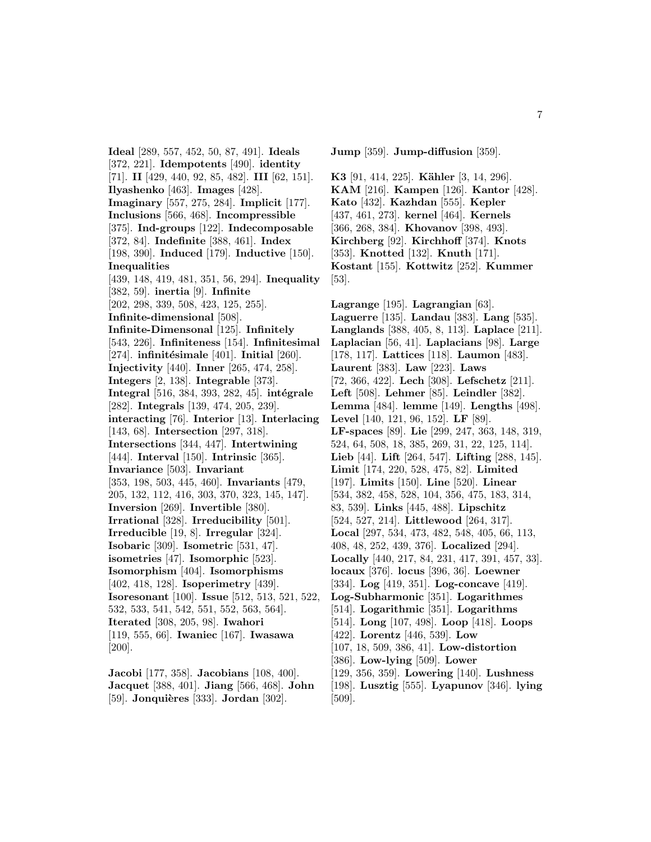**Ideal** [289, 557, 452, 50, 87, 491]. **Ideals** [372, 221]. **Idempotents** [490]. **identity** [71]. **II** [429, 440, 92, 85, 482]. **III** [62, 151]. **Ilyashenko** [463]. **Images** [428]. **Imaginary** [557, 275, 284]. **Implicit** [177]. **Inclusions** [566, 468]. **Incompressible** [375]. **Ind-groups** [122]. **Indecomposable** [372, 84]. **Indefinite** [388, 461]. **Index** [198, 390]. **Induced** [179]. **Inductive** [150]. **Inequalities** [439, 148, 419, 481, 351, 56, 294]. **Inequality** [382, 59]. **inertia** [9]. **Infinite** [202, 298, 339, 508, 423, 125, 255]. **Infinite-dimensional** [508]. **Infinite-Dimensonal** [125]. **Infinitely** [543, 226]. **Infiniteness** [154]. **Infinitesimal** [274]. **infinitésimale** [401]. **Initial** [260]. **Injectivity** [440]. **Inner** [265, 474, 258]. **Integers** [2, 138]. **Integrable** [373]. **Integral** [516, 384, 393, 282, 45]. **intégrale** [282]. **Integrals** [139, 474, 205, 239]. **interacting** [76]. **Interior** [13]. **Interlacing** [143, 68]. **Intersection** [297, 318]. **Intersections** [344, 447]. **Intertwining** [444]. **Interval** [150]. **Intrinsic** [365]. **Invariance** [503]. **Invariant** [353, 198, 503, 445, 460]. **Invariants** [479, 205, 132, 112, 416, 303, 370, 323, 145, 147]. **Inversion** [269]. **Invertible** [380]. **Irrational** [328]. **Irreducibility** [501]. **Irreducible** [19, 8]. **Irregular** [324]. **Isobaric** [309]. **Isometric** [531, 47]. **isometries** [47]. **Isomorphic** [523]. **Isomorphism** [404]. **Isomorphisms** [402, 418, 128]. **Isoperimetry** [439]. **Isoresonant** [100]. **Issue** [512, 513, 521, 522, 532, 533, 541, 542, 551, 552, 563, 564]. **Iterated** [308, 205, 98]. **Iwahori** [119, 555, 66]. **Iwaniec** [167]. **Iwasawa** [200].

**Jacobi** [177, 358]. **Jacobians** [108, 400]. **Jacquet** [388, 401]. **Jiang** [566, 468]. **John** [59]. **Jonquières** [333]. **Jordan** [302].

**Jump** [359]. **Jump-diffusion** [359].

**K3** [91, 414, 225]. **Kähler** [3, 14, 296]. **KAM** [216]. **Kampen** [126]. **Kantor** [428]. **Kato** [432]. **Kazhdan** [555]. **Kepler** [437, 461, 273]. **kernel** [464]. **Kernels** [366, 268, 384]. **Khovanov** [398, 493]. **Kirchberg** [92]. **Kirchhoff** [374]. **Knots** [353]. **Knotted** [132]. **Knuth** [171]. **Kostant** [155]. **Kottwitz** [252]. **Kummer** [53].

**Lagrange** [195]. **Lagrangian** [63]. **Laguerre** [135]. **Landau** [383]. **Lang** [535]. **Langlands** [388, 405, 8, 113]. **Laplace** [211]. **Laplacian** [56, 41]. **Laplacians** [98]. **Large** [178, 117]. **Lattices** [118]. **Laumon** [483]. **Laurent** [383]. **Law** [223]. **Laws** [72, 366, 422]. **Lech** [308]. **Lefschetz** [211]. **Left** [508]. **Lehmer** [85]. **Leindler** [382]. **Lemma** [484]. **lemme** [149]. **Lengths** [498]. **Level** [140, 121, 96, 152]. **LF** [89]. **LF-spaces** [89]. **Lie** [299, 247, 363, 148, 319, 524, 64, 508, 18, 385, 269, 31, 22, 125, 114]. **Lieb** [44]. **Lift** [264, 547]. **Lifting** [288, 145]. **Limit** [174, 220, 528, 475, 82]. **Limited** [197]. **Limits** [150]. **Line** [520]. **Linear** [534, 382, 458, 528, 104, 356, 475, 183, 314, 83, 539]. **Links** [445, 488]. **Lipschitz** [524, 527, 214]. **Littlewood** [264, 317]. **Local** [297, 534, 473, 482, 548, 405, 66, 113, 408, 48, 252, 439, 376]. **Localized** [294]. **Locally** [440, 217, 84, 231, 417, 391, 457, 33]. **locaux** [376]. **locus** [396, 36]. **Loewner** [334]. **Log** [419, 351]. **Log-concave** [419]. **Log-Subharmonic** [351]. **Logarithmes** [514]. **Logarithmic** [351]. **Logarithms** [514]. **Long** [107, 498]. **Loop** [418]. **Loops** [422]. **Lorentz** [446, 539]. **Low** [107, 18, 509, 386, 41]. **Low-distortion** [386]. **Low-lying** [509]. **Lower** [129, 356, 359]. **Lowering** [140]. **Lushness** [198]. **Lusztig** [555]. **Lyapunov** [346]. **lying** [509].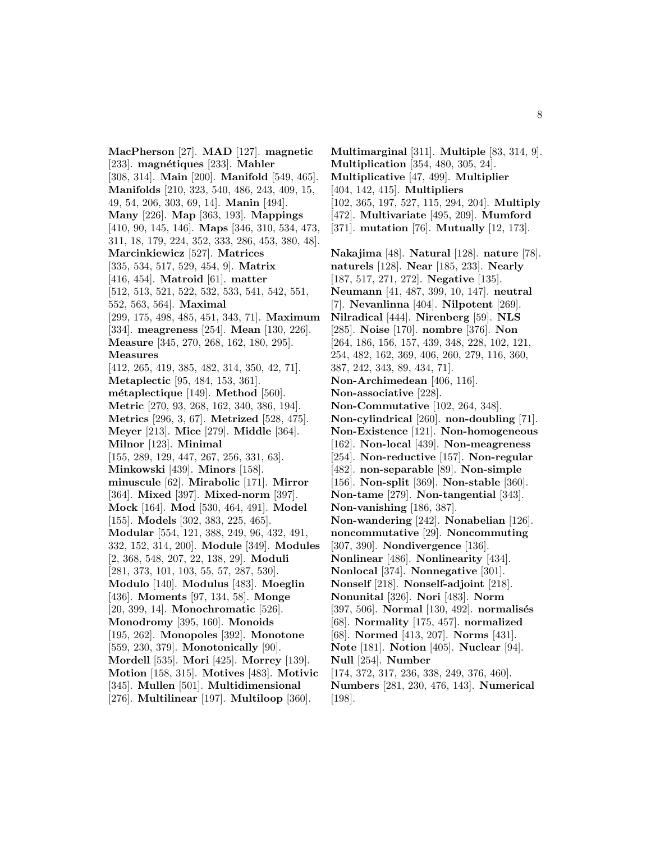**MacPherson** [27]. **MAD** [127]. **magnetic** [233]. **magnétiques** [233]. **Mahler** [308, 314]. **Main** [200]. **Manifold** [549, 465]. **Manifolds** [210, 323, 540, 486, 243, 409, 15, 49, 54, 206, 303, 69, 14]. **Manin** [494]. **Many** [226]. **Map** [363, 193]. **Mappings** [410, 90, 145, 146]. **Maps** [346, 310, 534, 473, 311, 18, 179, 224, 352, 333, 286, 453, 380, 48]. **Marcinkiewicz** [527]. **Matrices** [335, 534, 517, 529, 454, 9]. **Matrix** [416, 454]. **Matroid** [61]. **matter** [512, 513, 521, 522, 532, 533, 541, 542, 551, 552, 563, 564]. **Maximal** [299, 175, 498, 485, 451, 343, 71]. **Maximum** [334]. **meagreness** [254]. **Mean** [130, 226]. **Measure** [345, 270, 268, 162, 180, 295]. **Measures** [412, 265, 419, 385, 482, 314, 350, 42, 71]. **Metaplectic** [95, 484, 153, 361]. **m´etaplectique** [149]. **Method** [560]. **Metric** [270, 93, 268, 162, 340, 386, 194]. **Metrics** [296, 3, 67]. **Metrized** [528, 475]. **Meyer** [213]. **Mice** [279]. **Middle** [364]. **Milnor** [123]. **Minimal** [155, 289, 129, 447, 267, 256, 331, 63]. **Minkowski** [439]. **Minors** [158]. **minuscule** [62]. **Mirabolic** [171]. **Mirror** [364]. **Mixed** [397]. **Mixed-norm** [397]. **Mock** [164]. **Mod** [530, 464, 491]. **Model** [155]. **Models** [302, 383, 225, 465]. **Modular** [554, 121, 388, 249, 96, 432, 491, 332, 152, 314, 200]. **Module** [349]. **Modules** [2, 368, 548, 207, 22, 138, 29]. **Moduli** [281, 373, 101, 103, 55, 57, 287, 530]. **Modulo** [140]. **Modulus** [483]. **Moeglin** [436]. **Moments** [97, 134, 58]. **Monge** [20, 399, 14]. **Monochromatic** [526]. **Monodromy** [395, 160]. **Monoids** [195, 262]. **Monopoles** [392]. **Monotone** [559, 230, 379]. **Monotonically** [90]. **Mordell** [535]. **Mori** [425]. **Morrey** [139]. **Motion** [158, 315]. **Motives** [483]. **Motivic** [345]. **Mullen** [501]. **Multidimensional** [276]. **Multilinear** [197]. **Multiloop** [360].

**Multimarginal** [311]. **Multiple** [83, 314, 9]. **Multiplication** [354, 480, 305, 24]. **Multiplicative** [47, 499]. **Multiplier** [404, 142, 415]. **Multipliers** [102, 365, 197, 527, 115, 294, 204]. **Multiply** [472]. **Multivariate** [495, 209]. **Mumford** [371]. **mutation** [76]. **Mutually** [12, 173]. **Nakajima** [48]. **Natural** [128]. **nature** [78]. **naturels** [128]. **Near** [185, 233]. **Nearly** [187, 517, 271, 272]. **Negative** [135]. **Neumann** [41, 487, 399, 10, 147]. **neutral** [7]. **Nevanlinna** [404]. **Nilpotent** [269]. **Nilradical** [444]. **Nirenberg** [59]. **NLS** [285]. **Noise** [170]. **nombre** [376]. **Non** [264, 186, 156, 157, 439, 348, 228, 102, 121, 254, 482, 162, 369, 406, 260, 279, 116, 360, 387, 242, 343, 89, 434, 71]. **Non-Archimedean** [406, 116]. **Non-associative** [228]. **Non-Commutative** [102, 264, 348]. **Non-cylindrical** [260]. **non-doubling** [71]. **Non-Existence** [121]. **Non-homogeneous** [162]. **Non-local** [439]. **Non-meagreness** [254]. **Non-reductive** [157]. **Non-regular** [482]. **non-separable** [89]. **Non-simple** [156]. **Non-split** [369]. **Non-stable** [360]. **Non-tame** [279]. **Non-tangential** [343]. **Non-vanishing** [186, 387]. **Non-wandering** [242]. **Nonabelian** [126]. **noncommutative** [29]. **Noncommuting** [307, 390]. **Nondivergence** [136]. **Nonlinear** [486]. **Nonlinearity** [434]. **Nonlocal** [374]. **Nonnegative** [301]. **Nonself** [218]. **Nonself-adjoint** [218]. **Nonunital** [326]. **Nori** [483]. **Norm** [397, 506]. **Normal** [130, 492]. **normalisés** [68]. **Normality** [175, 457]. **normalized** [68]. **Normed** [413, 207]. **Norms** [431]. **Note** [181]. **Notion** [405]. **Nuclear** [94]. **Null** [254]. **Number** [174, 372, 317, 236, 338, 249, 376, 460]. **Numbers** [281, 230, 476, 143]. **Numerical** [198].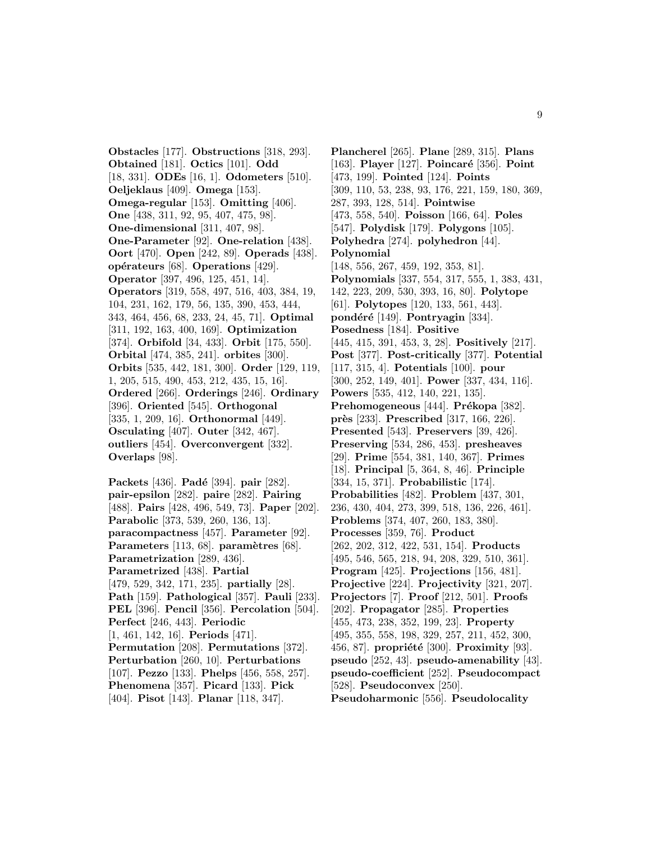**Obstacles** [177]. **Obstructions** [318, 293]. **Obtained** [181]. **Octics** [101]. **Odd** [18, 331]. **ODEs** [16, 1]. **Odometers** [510]. **Oeljeklaus** [409]. **Omega** [153]. **Omega-regular** [153]. **Omitting** [406]. **One** [438, 311, 92, 95, 407, 475, 98]. **One-dimensional** [311, 407, 98]. **One-Parameter** [92]. **One-relation** [438]. **Oort** [470]. **Open** [242, 89]. **Operads** [438]. **op´erateurs** [68]. **Operations** [429]. **Operator** [397, 496, 125, 451, 14]. **Operators** [319, 558, 497, 516, 403, 384, 19, 104, 231, 162, 179, 56, 135, 390, 453, 444, 343, 464, 456, 68, 233, 24, 45, 71]. **Optimal** [311, 192, 163, 400, 169]. **Optimization** [374]. **Orbifold** [34, 433]. **Orbit** [175, 550]. **Orbital** [474, 385, 241]. **orbites** [300]. **Orbits** [535, 442, 181, 300]. **Order** [129, 119, 1, 205, 515, 490, 453, 212, 435, 15, 16]. **Ordered** [266]. **Orderings** [246]. **Ordinary** [396]. **Oriented** [545]. **Orthogonal** [335, 1, 209, 16]. **Orthonormal** [449]. **Osculating** [407]. **Outer** [342, 467]. **outliers** [454]. **Overconvergent** [332]. **Overlaps** [98].

**Packets** [436]. **Padé** [394]. **pair** [282]. **pair-epsilon** [282]. **paire** [282]. **Pairing** [488]. **Pairs** [428, 496, 549, 73]. **Paper** [202]. **Parabolic** [373, 539, 260, 136, 13]. **paracompactness** [457]. **Parameter** [92]. **Parameters** [113, 68]. **paramètres** [68]. **Parametrization** [289, 436]. **Parametrized** [438]. **Partial** [479, 529, 342, 171, 235]. **partially** [28]. **Path** [159]. **Pathological** [357]. **Pauli** [233]. **PEL** [396]. **Pencil** [356]. **Percolation** [504]. **Perfect** [246, 443]. **Periodic** [1, 461, 142, 16]. **Periods** [471]. **Permutation** [208]. **Permutations** [372]. **Perturbation** [260, 10]. **Perturbations** [107]. **Pezzo** [133]. **Phelps** [456, 558, 257]. **Phenomena** [357]. **Picard** [133]. **Pick** [404]. **Pisot** [143]. **Planar** [118, 347].

**Plancherel** [265]. **Plane** [289, 315]. **Plans** [163]. **Player** [127]. **Poincaré** [356]. **Point** [473, 199]. **Pointed** [124]. **Points** [309, 110, 53, 238, 93, 176, 221, 159, 180, 369, 287, 393, 128, 514]. **Pointwise** [473, 558, 540]. **Poisson** [166, 64]. **Poles** [547]. **Polydisk** [179]. **Polygons** [105]. **Polyhedra** [274]. **polyhedron** [44]. **Polynomial** [148, 556, 267, 459, 192, 353, 81]. **Polynomials** [337, 554, 317, 555, 1, 383, 431, 142, 223, 209, 530, 393, 16, 80]. **Polytope** [61]. **Polytopes** [120, 133, 561, 443]. **pond´er´e** [149]. **Pontryagin** [334]. **Posedness** [184]. **Positive** [445, 415, 391, 453, 3, 28]. **Positively** [217]. **Post** [377]. **Post-critically** [377]. **Potential** [117, 315, 4]. **Potentials** [100]. **pour** [300, 252, 149, 401]. **Power** [337, 434, 116]. **Powers** [535, 412, 140, 221, 135]. **Prehomogeneous** [444]. **Prékopa** [382]. **près** [233]. **Prescribed** [317, 166, 226]. **Presented** [543]. **Preservers** [39, 426]. **Preserving** [534, 286, 453]. **presheaves** [29]. **Prime** [554, 381, 140, 367]. **Primes** [18]. **Principal** [5, 364, 8, 46]. **Principle** [334, 15, 371]. **Probabilistic** [174]. **Probabilities** [482]. **Problem** [437, 301, 236, 430, 404, 273, 399, 518, 136, 226, 461]. **Problems** [374, 407, 260, 183, 380]. **Processes** [359, 76]. **Product** [262, 202, 312, 422, 531, 154]. **Products** [495, 546, 565, 218, 94, 208, 329, 510, 361]. **Program** [425]. **Projections** [156, 481]. **Projective** [224]. **Projectivity** [321, 207]. **Projectors** [7]. **Proof** [212, 501]. **Proofs** [202]. **Propagator** [285]. **Properties** [455, 473, 238, 352, 199, 23]. **Property** [495, 355, 558, 198, 329, 257, 211, 452, 300, 456, 87]. **propriété** [300]. **Proximity** [93]. **pseudo** [252, 43]. **pseudo-amenability** [43]. **pseudo-coefficient** [252]. **Pseudocompact** [528]. **Pseudoconvex** [250]. **Pseudoharmonic** [556]. **Pseudolocality**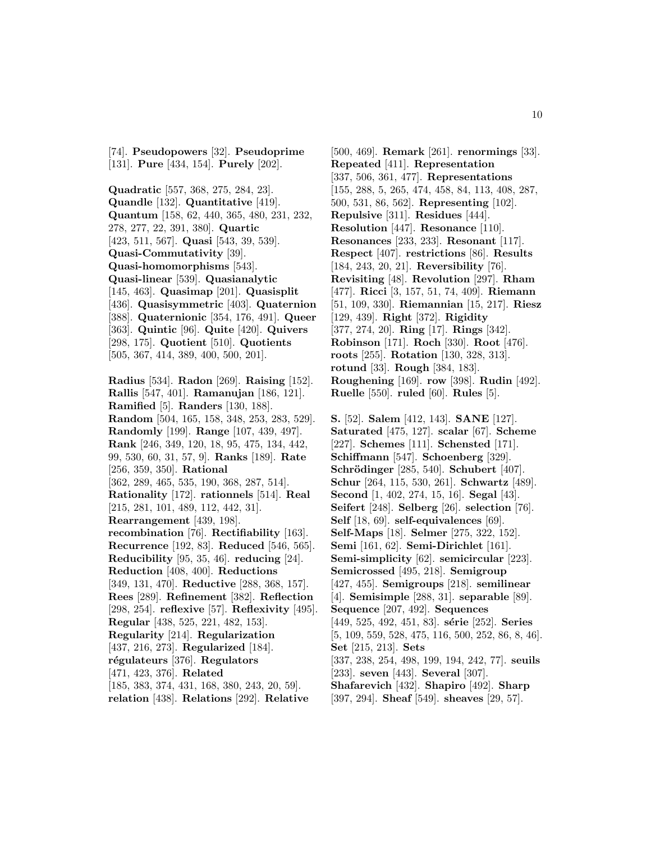[74]. **Pseudopowers** [32]. **Pseudoprime** [131]. **Pure** [434, 154]. **Purely** [202].

**Quadratic** [557, 368, 275, 284, 23]. **Quandle** [132]. **Quantitative** [419]. **Quantum** [158, 62, 440, 365, 480, 231, 232, 278, 277, 22, 391, 380]. **Quartic** [423, 511, 567]. **Quasi** [543, 39, 539]. **Quasi-Commutativity** [39]. **Quasi-homomorphisms** [543]. **Quasi-linear** [539]. **Quasianalytic** [145, 463]. **Quasimap** [201]. **Quasisplit** [436]. **Quasisymmetric** [403]. **Quaternion** [388]. **Quaternionic** [354, 176, 491]. **Queer** [363]. **Quintic** [96]. **Quite** [420]. **Quivers** [298, 175]. **Quotient** [510]. **Quotients** [505, 367, 414, 389, 400, 500, 201]. **Radius** [534]. **Radon** [269]. **Raising** [152]. **Rallis** [547, 401]. **Ramanujan** [186, 121]. **Ramified** [5]. **Randers** [130, 188]. **Random** [504, 165, 158, 348, 253, 283, 529]. **Randomly** [199]. **Range** [107, 439, 497]. **Rank** [246, 349, 120, 18, 95, 475, 134, 442, 99, 530, 60, 31, 57, 9]. **Ranks** [189]. **Rate** [256, 359, 350]. **Rational** [362, 289, 465, 535, 190, 368, 287, 514]. **Rationality** [172]. **rationnels** [514]. **Real** [215, 281, 101, 489, 112, 442, 31]. **Rearrangement** [439, 198]. **recombination** [76]. **Rectifiability** [163]. **Recurrence** [192, 83]. **Reduced** [546, 565]. **Reducibility** [95, 35, 46]. **reducing** [24]. **Reduction** [408, 400]. **Reductions** [349, 131, 470]. **Reductive** [288, 368, 157]. **Rees** [289]. **Refinement** [382]. **Reflection** [298, 254]. **reflexive** [57]. **Reflexivity** [495]. **Regular** [438, 525, 221, 482, 153]. **Regularity** [214]. **Regularization** [437, 216, 273]. **Regularized** [184]. **r´egulateurs** [376]. **Regulators** [471, 423, 376]. **Related** [185, 383, 374, 431, 168, 380, 243, 20, 59]. **relation** [438]. **Relations** [292]. **Relative**

[500, 469]. **Remark** [261]. **renormings** [33]. **Repeated** [411]. **Representation** [337, 506, 361, 477]. **Representations** [155, 288, 5, 265, 474, 458, 84, 113, 408, 287, 500, 531, 86, 562]. **Representing** [102]. **Repulsive** [311]. **Residues** [444]. **Resolution** [447]. **Resonance** [110]. **Resonances** [233, 233]. **Resonant** [117]. **Respect** [407]. **restrictions** [86]. **Results** [184, 243, 20, 21]. **Reversibility** [76]. **Revisiting** [48]. **Revolution** [297]. **Rham** [477]. **Ricci** [3, 157, 51, 74, 409]. **Riemann** [51, 109, 330]. **Riemannian** [15, 217]. **Riesz** [129, 439]. **Right** [372]. **Rigidity** [377, 274, 20]. **Ring** [17]. **Rings** [342]. **Robinson** [171]. **Roch** [330]. **Root** [476]. **roots** [255]. **Rotation** [130, 328, 313]. **rotund** [33]. **Rough** [384, 183]. **Roughening** [169]. **row** [398]. **Rudin** [492]. **Ruelle** [550]. **ruled** [60]. **Rules** [5]. **S.** [52]. **Salem** [412, 143]. **SANE** [127]. **Saturated** [475, 127]. **scalar** [67]. **Scheme** [227]. **Schemes** [111]. **Schensted** [171].

**Schiffmann** [547]. **Schoenberg** [329]. **Schrödinger** [285, 540]. **Schubert** [407]. **Schur** [264, 115, 530, 261]. **Schwartz** [489]. **Second** [1, 402, 274, 15, 16]. **Segal** [43]. **Seifert** [248]. **Selberg** [26]. **selection** [76]. **Self** [18, 69]. **self-equivalences** [69]. **Self-Maps** [18]. **Selmer** [275, 322, 152]. **Semi** [161, 62]. **Semi-Dirichlet** [161]. **Semi-simplicity** [62]. **semicircular** [223]. **Semicrossed** [495, 218]. **Semigroup** [427, 455]. **Semigroups** [218]. **semilinear** [4]. **Semisimple** [288, 31]. **separable** [89]. **Sequence** [207, 492]. **Sequences** [449, 525, 492, 451, 83]. **s´erie** [252]. **Series** [5, 109, 559, 528, 475, 116, 500, 252, 86, 8, 46]. **Set** [215, 213]. **Sets** [337, 238, 254, 498, 199, 194, 242, 77]. **seuils** [233]. **seven** [443]. **Several** [307]. **Shafarevich** [432]. **Shapiro** [492]. **Sharp** [397, 294]. **Sheaf** [549]. **sheaves** [29, 57].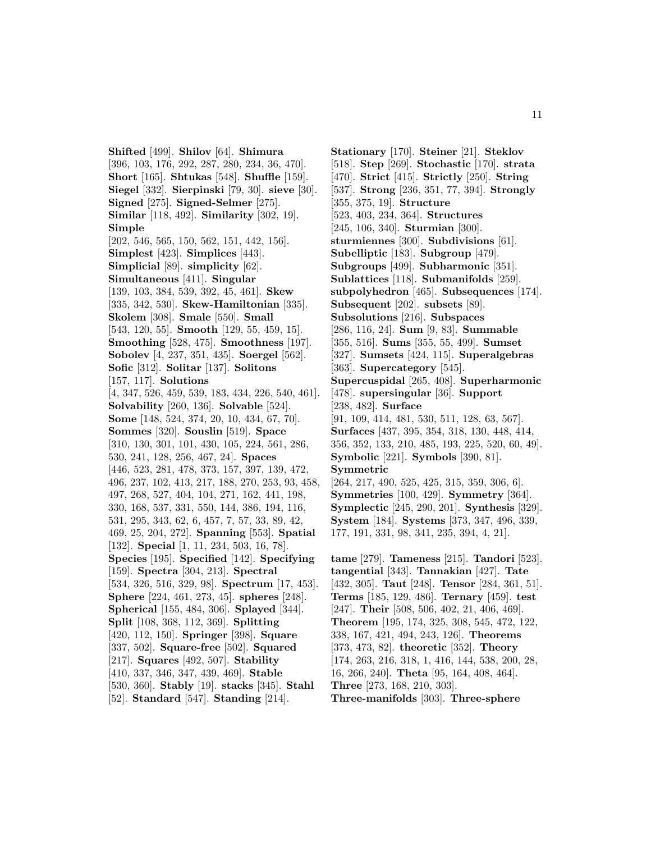**Shifted** [499]. **Shilov** [64]. **Shimura** [396, 103, 176, 292, 287, 280, 234, 36, 470]. **Short** [165]. **Shtukas** [548]. **Shuffle** [159]. **Siegel** [332]. **Sierpinski** [79, 30]. **sieve** [30]. **Signed** [275]. **Signed-Selmer** [275]. **Similar** [118, 492]. **Similarity** [302, 19]. **Simple** [202, 546, 565, 150, 562, 151, 442, 156]. **Simplest** [423]. **Simplices** [443]. **Simplicial** [89]. **simplicity** [62]. **Simultaneous** [411]. **Singular** [139, 103, 384, 539, 392, 45, 461]. **Skew** [335, 342, 530]. **Skew-Hamiltonian** [335]. **Skolem** [308]. **Smale** [550]. **Small** [543, 120, 55]. **Smooth** [129, 55, 459, 15]. **Smoothing** [528, 475]. **Smoothness** [197]. **Sobolev** [4, 237, 351, 435]. **Soergel** [562]. **Sofic** [312]. **Solitar** [137]. **Solitons** [157, 117]. **Solutions** [4, 347, 526, 459, 539, 183, 434, 226, 540, 461]. **Solvability** [260, 136]. **Solvable** [524]. **Some** [148, 524, 374, 20, 10, 434, 67, 70]. **Sommes** [320]. **Souslin** [519]. **Space** [310, 130, 301, 101, 430, 105, 224, 561, 286, 530, 241, 128, 256, 467, 24]. **Spaces** [446, 523, 281, 478, 373, 157, 397, 139, 472, 496, 237, 102, 413, 217, 188, 270, 253, 93, 458, 497, 268, 527, 404, 104, 271, 162, 441, 198, 330, 168, 537, 331, 550, 144, 386, 194, 116, 531, 295, 343, 62, 6, 457, 7, 57, 33, 89, 42, 469, 25, 204, 272]. **Spanning** [553]. **Spatial** [132]. **Special** [1, 11, 234, 503, 16, 78]. **Species** [195]. **Specified** [142]. **Specifying** [159]. **Spectra** [304, 213]. **Spectral** [534, 326, 516, 329, 98]. **Spectrum** [17, 453]. **Sphere** [224, 461, 273, 45]. **spheres** [248]. **Spherical** [155, 484, 306]. **Splayed** [344]. **Split** [108, 368, 112, 369]. **Splitting** [420, 112, 150]. **Springer** [398]. **Square** [337, 502]. **Square-free** [502]. **Squared** [217]. **Squares** [492, 507]. **Stability** [410, 337, 346, 347, 439, 469]. **Stable** [530, 360]. **Stably** [19]. **stacks** [345]. **Stahl** [52]. **Standard** [547]. **Standing** [214].

**Stationary** [170]. **Steiner** [21]. **Steklov** [518]. **Step** [269]. **Stochastic** [170]. **strata** [470]. **Strict** [415]. **Strictly** [250]. **String** [537]. **Strong** [236, 351, 77, 394]. **Strongly** [355, 375, 19]. **Structure** [523, 403, 234, 364]. **Structures** [245, 106, 340]. **Sturmian** [300]. **sturmiennes** [300]. **Subdivisions** [61]. **Subelliptic** [183]. **Subgroup** [479]. **Subgroups** [499]. **Subharmonic** [351]. **Sublattices** [118]. **Submanifolds** [259]. **subpolyhedron** [465]. **Subsequences** [174]. **Subsequent** [202]. **subsets** [89]. **Subsolutions** [216]. **Subspaces** [286, 116, 24]. **Sum** [9, 83]. **Summable** [355, 516]. **Sums** [355, 55, 499]. **Sumset** [327]. **Sumsets** [424, 115]. **Superalgebras** [363]. **Supercategory** [545]. **Supercuspidal** [265, 408]. **Superharmonic** [478]. **supersingular** [36]. **Support** [238, 482]. **Surface** [91, 109, 414, 481, 530, 511, 128, 63, 567]. **Surfaces** [437, 395, 354, 318, 130, 448, 414, 356, 352, 133, 210, 485, 193, 225, 520, 60, 49]. **Symbolic** [221]. **Symbols** [390, 81]. **Symmetric** [264, 217, 490, 525, 425, 315, 359, 306, 6]. **Symmetries** [100, 429]. **Symmetry** [364]. **Symplectic** [245, 290, 201]. **Synthesis** [329]. **System** [184]. **Systems** [373, 347, 496, 339, 177, 191, 331, 98, 341, 235, 394, 4, 21]. **tame** [279]. **Tameness** [215]. **Tandori** [523]. **tangential** [343]. **Tannakian** [427]. **Tate** [432, 305]. **Taut** [248]. **Tensor** [284, 361, 51]. **Terms** [185, 129, 486]. **Ternary** [459]. **test** [247]. **Their** [508, 506, 402, 21, 406, 469]. **Theorem** [195, 174, 325, 308, 545, 472, 122, 338, 167, 421, 494, 243, 126]. **Theorems** [373, 473, 82]. **theoretic** [352]. **Theory** [174, 263, 216, 318, 1, 416, 144, 538, 200, 28, 16, 266, 240]. **Theta** [95, 164, 408, 464]. **Three** [273, 168, 210, 303]. **Three-manifolds** [303]. **Three-sphere**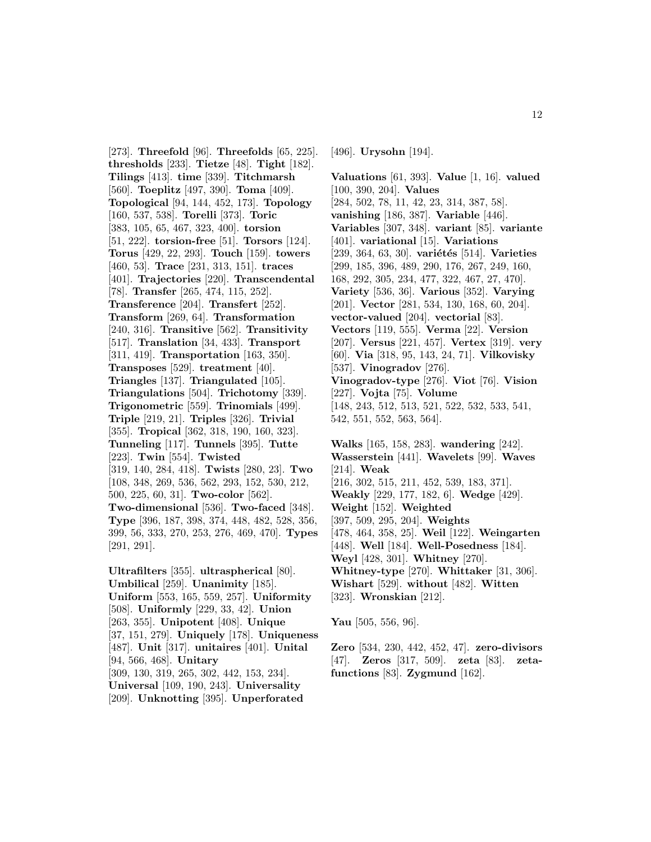[273]. **Threefold** [96]. **Threefolds** [65, 225]. **thresholds** [233]. **Tietze** [48]. **Tight** [182]. **Tilings** [413]. **time** [339]. **Titchmarsh** [560]. **Toeplitz** [497, 390]. **Toma** [409]. **Topological** [94, 144, 452, 173]. **Topology** [160, 537, 538]. **Torelli** [373]. **Toric** [383, 105, 65, 467, 323, 400]. **torsion** [51, 222]. **torsion-free** [51]. **Torsors** [124]. **Torus** [429, 22, 293]. **Touch** [159]. **towers** [460, 53]. **Trace** [231, 313, 151]. **traces** [401]. **Trajectories** [220]. **Transcendental** [78]. **Transfer** [265, 474, 115, 252]. **Transference** [204]. **Transfert** [252]. **Transform** [269, 64]. **Transformation** [240, 316]. **Transitive** [562]. **Transitivity** [517]. **Translation** [34, 433]. **Transport** [311, 419]. **Transportation** [163, 350]. **Transposes** [529]. **treatment** [40]. **Triangles** [137]. **Triangulated** [105]. **Triangulations** [504]. **Trichotomy** [339]. **Trigonometric** [559]. **Trinomials** [499]. **Triple** [219, 21]. **Triples** [326]. **Trivial** [355]. **Tropical** [362, 318, 190, 160, 323]. **Tunneling** [117]. **Tunnels** [395]. **Tutte** [223]. **Twin** [554]. **Twisted** [319, 140, 284, 418]. **Twists** [280, 23]. **Two** [108, 348, 269, 536, 562, 293, 152, 530, 212, 500, 225, 60, 31]. **Two-color** [562]. **Two-dimensional** [536]. **Two-faced** [348]. **Type** [396, 187, 398, 374, 448, 482, 528, 356, 399, 56, 333, 270, 253, 276, 469, 470]. **Types** [291, 291].

**Ultrafilters** [355]. **ultraspherical** [80]. **Umbilical** [259]. **Unanimity** [185]. **Uniform** [553, 165, 559, 257]. **Uniformity** [508]. **Uniformly** [229, 33, 42]. **Union** [263, 355]. **Unipotent** [408]. **Unique** [37, 151, 279]. **Uniquely** [178]. **Uniqueness** [487]. **Unit** [317]. **unitaires** [401]. **Unital** [94, 566, 468]. **Unitary** [309, 130, 319, 265, 302, 442, 153, 234]. **Universal** [109, 190, 243]. **Universality** [209]. **Unknotting** [395]. **Unperforated**

[496]. **Urysohn** [194].

**Valuations** [61, 393]. **Value** [1, 16]. **valued** [100, 390, 204]. **Values** [284, 502, 78, 11, 42, 23, 314, 387, 58]. **vanishing** [186, 387]. **Variable** [446]. **Variables** [307, 348]. **variant** [85]. **variante** [401]. **variational** [15]. **Variations** [239, 364, 63, 30]. **variétés** [514]. **Varieties** [299, 185, 396, 489, 290, 176, 267, 249, 160, 168, 292, 305, 234, 477, 322, 467, 27, 470]. **Variety** [536, 36]. **Various** [352]. **Varying** [201]. **Vector** [281, 534, 130, 168, 60, 204]. **vector-valued** [204]. **vectorial** [83]. **Vectors** [119, 555]. **Verma** [22]. **Version** [207]. **Versus** [221, 457]. **Vertex** [319]. **very** [60]. **Via** [318, 95, 143, 24, 71]. **Vilkovisky** [537]. **Vinogradov** [276]. **Vinogradov-type** [276]. **Viot** [76]. **Vision** [227]. **Vojta** [75]. **Volume** [148, 243, 512, 513, 521, 522, 532, 533, 541, 542, 551, 552, 563, 564].

**Walks** [165, 158, 283]. **wandering** [242]. **Wasserstein** [441]. **Wavelets** [99]. **Waves** [214]. **Weak** [216, 302, 515, 211, 452, 539, 183, 371]. **Weakly** [229, 177, 182, 6]. **Wedge** [429]. **Weight** [152]. **Weighted** [397, 509, 295, 204]. **Weights** [478, 464, 358, 25]. **Weil** [122]. **Weingarten** [448]. **Well** [184]. **Well-Posedness** [184]. **Weyl** [428, 301]. **Whitney** [270]. **Whitney-type** [270]. **Whittaker** [31, 306]. **Wishart** [529]. **without** [482]. **Witten** [323]. **Wronskian** [212].

**Yau** [505, 556, 96].

**Zero** [534, 230, 442, 452, 47]. **zero-divisors** [47]. **Zeros** [317, 509]. **zeta** [83]. **zetafunctions** [83]. **Zygmund** [162].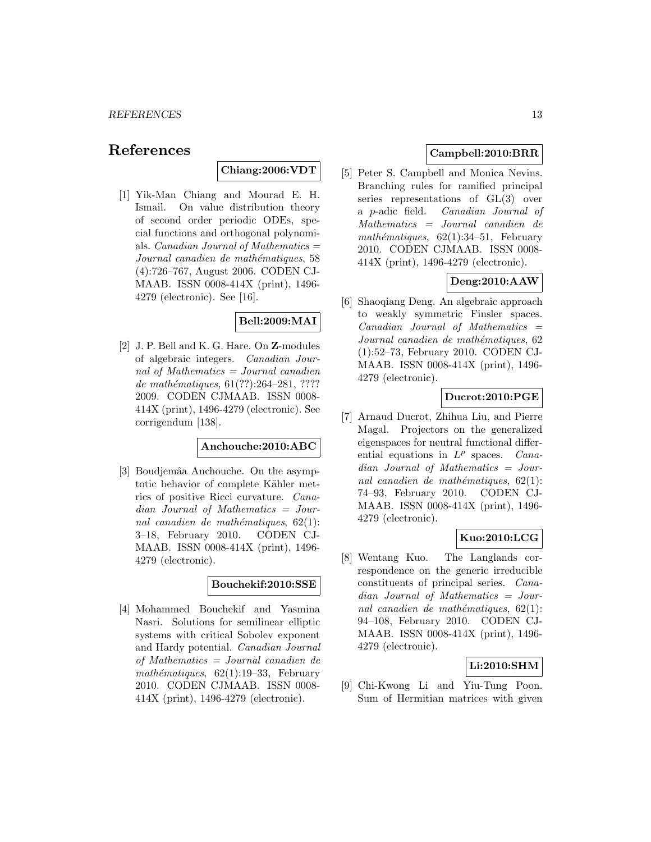# **References**

**Chiang:2006:VDT**

[1] Yik-Man Chiang and Mourad E. H. Ismail. On value distribution theory of second order periodic ODEs, special functions and orthogonal polynomials. *Canadian Journal of Mathematics*  $=$ Journal canadien de mathématiques, 58 (4):726–767, August 2006. CODEN CJ-MAAB. ISSN 0008-414X (print), 1496- 4279 (electronic). See [16].

# **Bell:2009:MAI**

[2] J. P. Bell and K. G. Hare. On **Z**-modules of algebraic integers. Canadian Journal of Mathematics = Journal canadien de mathématiques,  $61(??):264-281, ????$ 2009. CODEN CJMAAB. ISSN 0008- 414X (print), 1496-4279 (electronic). See corrigendum [138].

#### **Anchouche:2010:ABC**

[3] Boudjemâa Anchouche. On the asymptotic behavior of complete Kähler metrics of positive Ricci curvature. Canadian Journal of Mathematics = Journal canadien de mathématiques,  $62(1)$ : 3–18, February 2010. CODEN CJ-MAAB. ISSN 0008-414X (print), 1496- 4279 (electronic).

# **Bouchekif:2010:SSE**

[4] Mohammed Bouchekif and Yasmina Nasri. Solutions for semilinear elliptic systems with critical Sobolev exponent and Hardy potential. Canadian Journal of Mathematics = Journal canadien de mathématiques,  $62(1):19-33$ , February 2010. CODEN CJMAAB. ISSN 0008- 414X (print), 1496-4279 (electronic).

# **Campbell:2010:BRR**

[5] Peter S. Campbell and Monica Nevins. Branching rules for ramified principal series representations of GL(3) over a p-adic field. Canadian Journal of Mathematics = Journal canadien de mathématiques,  $62(1):34-51$ , February 2010. CODEN CJMAAB. ISSN 0008- 414X (print), 1496-4279 (electronic).

# **Deng:2010:AAW**

[6] Shaoqiang Deng. An algebraic approach to weakly symmetric Finsler spaces.  $Canadian$  Journal of Mathematics  $=$ Journal canadien de mathématiques, 62 (1):52–73, February 2010. CODEN CJ-MAAB. ISSN 0008-414X (print), 1496- 4279 (electronic).

# **Ducrot:2010:PGE**

[7] Arnaud Ducrot, Zhihua Liu, and Pierre Magal. Projectors on the generalized eigenspaces for neutral functional differential equations in  $L^p$  spaces. Canadian Journal of Mathematics = Journal canadien de mathématiques,  $62(1)$ : 74–93, February 2010. CODEN CJ-MAAB. ISSN 0008-414X (print), 1496- 4279 (electronic).

# **Kuo:2010:LCG**

[8] Wentang Kuo. The Langlands correspondence on the generic irreducible constituents of principal series. Canadian Journal of Mathematics = Journal canadien de mathématiques,  $62(1)$ : 94–108, February 2010. CODEN CJ-MAAB. ISSN 0008-414X (print), 1496- 4279 (electronic).

# **Li:2010:SHM**

[9] Chi-Kwong Li and Yiu-Tung Poon. Sum of Hermitian matrices with given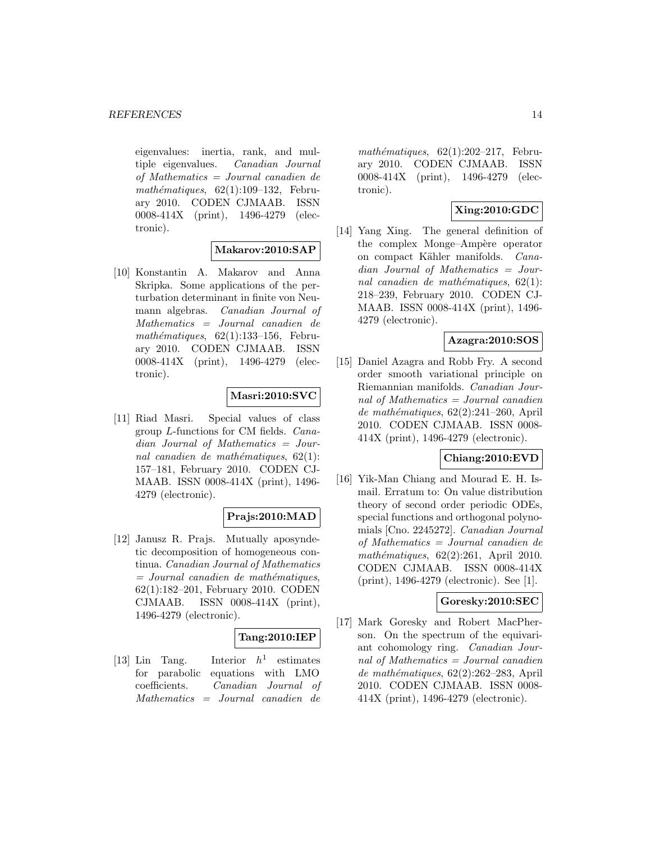eigenvalues: inertia, rank, and multiple eigenvalues. Canadian Journal of Mathematics = Journal canadien de mathématiques,  $62(1):109-132$ , February 2010. CODEN CJMAAB. ISSN 0008-414X (print), 1496-4279 (electronic).

# **Makarov:2010:SAP**

[10] Konstantin A. Makarov and Anna Skripka. Some applications of the perturbation determinant in finite von Neumann algebras. Canadian Journal of Mathematics = Journal canadien de mathématiques,  $62(1):133-156$ , February 2010. CODEN CJMAAB. ISSN 0008-414X (print), 1496-4279 (electronic).

# **Masri:2010:SVC**

[11] Riad Masri. Special values of class group L-functions for CM fields. Canadian Journal of Mathematics = Journal canadien de mathématiques,  $62(1)$ : 157–181, February 2010. CODEN CJ-MAAB. ISSN 0008-414X (print), 1496- 4279 (electronic).

### **Prajs:2010:MAD**

[12] Janusz R. Prajs. Mutually aposyndetic decomposition of homogeneous continua. Canadian Journal of Mathematics  $=$  Journal canadien de mathématiques, 62(1):182–201, February 2010. CODEN CJMAAB. ISSN 0008-414X (print), 1496-4279 (electronic).

## **Tang:2010:IEP**

[13] Lin Tang. Interior  $h^1$  estimates for parabolic equations with LMO coefficients. Canadian Journal of Mathematics = Journal canadien de  $mathématiques, 62(1):202-217, Febru$ ary 2010. CODEN CJMAAB. ISSN 0008-414X (print), 1496-4279 (electronic).

# **Xing:2010:GDC**

[14] Yang Xing. The general definition of the complex Monge–Ampère operator on compact Kähler manifolds. Canadian Journal of Mathematics = Journal canadien de mathématiques,  $62(1)$ : 218–239, February 2010. CODEN CJ-MAAB. ISSN 0008-414X (print), 1496- 4279 (electronic).

### **Azagra:2010:SOS**

[15] Daniel Azagra and Robb Fry. A second order smooth variational principle on Riemannian manifolds. Canadian Journal of Mathematics = Journal canadien de mathématiques,  $62(2):241-260$ , April 2010. CODEN CJMAAB. ISSN 0008- 414X (print), 1496-4279 (electronic).

# **Chiang:2010:EVD**

[16] Yik-Man Chiang and Mourad E. H. Ismail. Erratum to: On value distribution theory of second order periodic ODEs, special functions and orthogonal polynomials [Cno. 2245272]. Canadian Journal of Mathematics = Journal canadien de mathématiques,  $62(2):261$ , April 2010. CODEN CJMAAB. ISSN 0008-414X (print), 1496-4279 (electronic). See [1].

# **Goresky:2010:SEC**

[17] Mark Goresky and Robert MacPherson. On the spectrum of the equivariant cohomology ring. Canadian Journal of Mathematics  $=$  Journal canadien de mathématiques,  $62(2):262-283$ , April 2010. CODEN CJMAAB. ISSN 0008- 414X (print), 1496-4279 (electronic).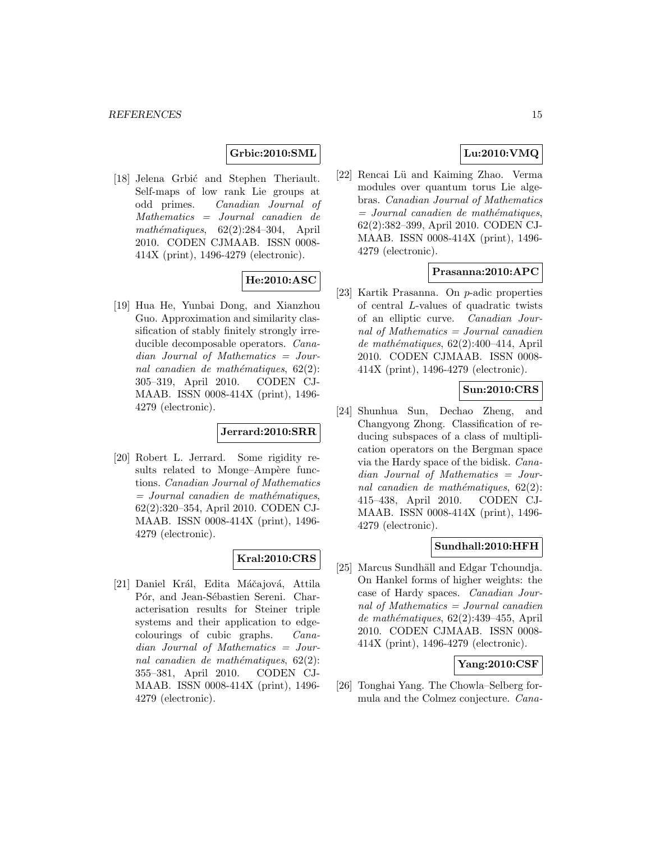# **Grbic:2010:SML**

[18] Jelena Grbić and Stephen Theriault. Self-maps of low rank Lie groups at odd primes. Canadian Journal of Mathematics = Journal canadien de mathématiques,  $62(2):284-304$ , April 2010. CODEN CJMAAB. ISSN 0008- 414X (print), 1496-4279 (electronic).

# **He:2010:ASC**

[19] Hua He, Yunbai Dong, and Xianzhou Guo. Approximation and similarity classification of stably finitely strongly irreducible decomposable operators. Canadian Journal of Mathematics = Journal canadien de mathématiques,  $62(2)$ : 305–319, April 2010. CODEN CJ-MAAB. ISSN 0008-414X (print), 1496- 4279 (electronic).

### **Jerrard:2010:SRR**

[20] Robert L. Jerrard. Some rigidity results related to Monge–Ampère functions. Canadian Journal of Mathematics  $=$  Journal canadien de mathématiques, 62(2):320–354, April 2010. CODEN CJ-MAAB. ISSN 0008-414X (print), 1496- 4279 (electronic).

### **Kral:2010:CRS**

[21] Daniel Král, Edita Máčajová, Attila Pór, and Jean-Sébastien Sereni. Characterisation results for Steiner triple systems and their application to edgecolourings of cubic graphs. Canadian Journal of Mathematics = Journal canadien de mathématiques,  $62(2)$ : 355–381, April 2010. CODEN CJ-MAAB. ISSN 0008-414X (print), 1496- 4279 (electronic).

# **Lu:2010:VMQ**

[22] Rencai Lü and Kaiming Zhao. Verma modules over quantum torus Lie algebras. Canadian Journal of Mathematics  $=$  Journal canadien de mathématiques, 62(2):382–399, April 2010. CODEN CJ-MAAB. ISSN 0008-414X (print), 1496- 4279 (electronic).

### **Prasanna:2010:APC**

[23] Kartik Prasanna. On p-adic properties of central L-values of quadratic twists of an elliptic curve. Canadian Journal of Mathematics = Journal canadien de mathématiques,  $62(2):400-414$ , April 2010. CODEN CJMAAB. ISSN 0008- 414X (print), 1496-4279 (electronic).

# **Sun:2010:CRS**

[24] Shunhua Sun, Dechao Zheng, and Changyong Zhong. Classification of reducing subspaces of a class of multiplication operators on the Bergman space via the Hardy space of the bidisk. Canadian Journal of Mathematics = Journal canadien de mathématiques,  $62(2)$ : 415–438, April 2010. CODEN CJ-MAAB. ISSN 0008-414X (print), 1496- 4279 (electronic).

### **Sundhall:2010:HFH**

[25] Marcus Sundhäll and Edgar Tchoundja. On Hankel forms of higher weights: the case of Hardy spaces. Canadian Journal of Mathematics = Journal canadien  $de mathématiques, 62(2):439-455, April$ 2010. CODEN CJMAAB. ISSN 0008- 414X (print), 1496-4279 (electronic).

### **Yang:2010:CSF**

[26] Tonghai Yang. The Chowla–Selberg formula and the Colmez conjecture. Cana-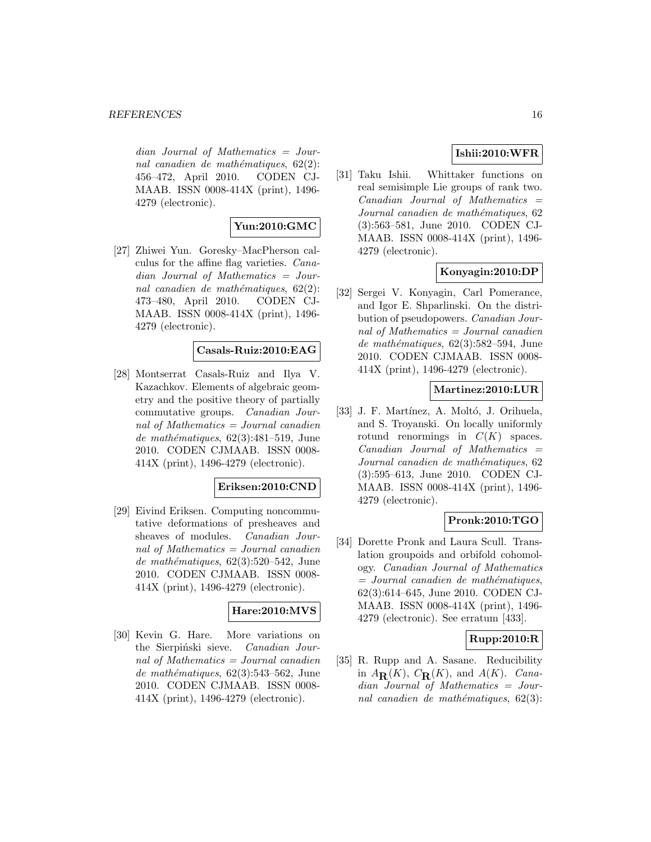dian Journal of Mathematics = Journal canadien de mathématiques,  $62(2)$ : 456–472, April 2010. CODEN CJ-MAAB. ISSN 0008-414X (print), 1496- 4279 (electronic).

# **Yun:2010:GMC**

[27] Zhiwei Yun. Goresky–MacPherson calculus for the affine flag varieties. Canadian Journal of Mathematics = Journal canadien de mathématiques,  $62(2)$ : 473–480, April 2010. CODEN CJ-MAAB. ISSN 0008-414X (print), 1496- 4279 (electronic).

# **Casals-Ruiz:2010:EAG**

[28] Montserrat Casals-Ruiz and Ilya V. Kazachkov. Elements of algebraic geometry and the positive theory of partially commutative groups. Canadian Journal of Mathematics = Journal canadien de mathématiques,  $62(3):481-519$ , June 2010. CODEN CJMAAB. ISSN 0008- 414X (print), 1496-4279 (electronic).

### **Eriksen:2010:CND**

[29] Eivind Eriksen. Computing noncommutative deformations of presheaves and sheaves of modules. Canadian Journal of Mathematics = Journal canadien de mathématiques,  $62(3):520-542$ , June 2010. CODEN CJMAAB. ISSN 0008- 414X (print), 1496-4279 (electronic).

### **Hare:2010:MVS**

[30] Kevin G. Hare. More variations on the Sierpiński sieve. Canadian Journal of Mathematics = Journal canadien de mathématiques,  $62(3):543-562$ , June 2010. CODEN CJMAAB. ISSN 0008- 414X (print), 1496-4279 (electronic).

# **Ishii:2010:WFR**

[31] Taku Ishii. Whittaker functions on real semisimple Lie groups of rank two.  $Canadian$  Journal of Mathematics  $=$ Journal canadien de mathématiques, 62 (3):563–581, June 2010. CODEN CJ-MAAB. ISSN 0008-414X (print), 1496- 4279 (electronic).

# **Konyagin:2010:DP**

[32] Sergei V. Konyagin, Carl Pomerance, and Igor E. Shparlinski. On the distribution of pseudopowers. Canadian Journal of Mathematics = Journal canadien de mathématiques,  $62(3):582-594$ , June 2010. CODEN CJMAAB. ISSN 0008- 414X (print), 1496-4279 (electronic).

### **Martinez:2010:LUR**

[33] J. F. Martínez, A. Moltó, J. Orihuela, and S. Troyanski. On locally uniformly rotund renormings in  $C(K)$  spaces.  $Canadian$  Journal of Mathematics  $=$ Journal canadien de mathématiques, 62 (3):595–613, June 2010. CODEN CJ-MAAB. ISSN 0008-414X (print), 1496- 4279 (electronic).

## **Pronk:2010:TGO**

[34] Dorette Pronk and Laura Scull. Translation groupoids and orbifold cohomology. Canadian Journal of Mathematics  $=$  Journal canadien de mathématiques, 62(3):614–645, June 2010. CODEN CJ-MAAB. ISSN 0008-414X (print), 1496- 4279 (electronic). See erratum [433].

## **Rupp:2010:R**

[35] R. Rupp and A. Sasane. Reducibility in  $A_{\mathbf{R}}(K)$ ,  $C_{\mathbf{R}}(K)$ , and  $A(K)$ . Canadian Journal of Mathematics = Journal canadien de mathématiques,  $62(3)$ :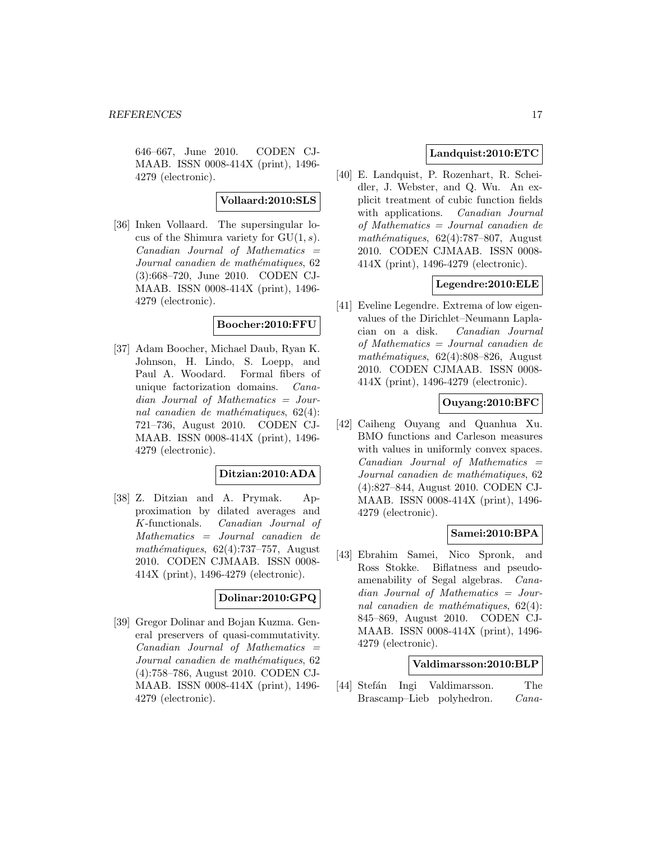646–667, June 2010. CODEN CJ-MAAB. ISSN 0008-414X (print), 1496- 4279 (electronic).

#### **Vollaard:2010:SLS**

[36] Inken Vollaard. The supersingular locus of the Shimura variety for  $GU(1, s)$ .  $Canadian$  Journal of Mathematics  $=$ Journal canadien de mathématiques, 62 (3):668–720, June 2010. CODEN CJ-MAAB. ISSN 0008-414X (print), 1496- 4279 (electronic).

### **Boocher:2010:FFU**

[37] Adam Boocher, Michael Daub, Ryan K. Johnson, H. Lindo, S. Loepp, and Paul A. Woodard. Formal fibers of unique factorization domains. Canadian Journal of Mathematics = Journal canadien de mathématiques,  $62(4)$ : 721–736, August 2010. CODEN CJ-MAAB. ISSN 0008-414X (print), 1496- 4279 (electronic).

# **Ditzian:2010:ADA**

[38] Z. Ditzian and A. Prymak. Approximation by dilated averages and K-functionals. Canadian Journal of Mathematics = Journal canadien de  $mathématiques, 62(4):737-757, August$ 2010. CODEN CJMAAB. ISSN 0008- 414X (print), 1496-4279 (electronic).

#### **Dolinar:2010:GPQ**

[39] Gregor Dolinar and Bojan Kuzma. General preservers of quasi-commutativity.  $Canadian$  Journal of Mathematics  $=$ Journal canadien de mathématiques, 62 (4):758–786, August 2010. CODEN CJ-MAAB. ISSN 0008-414X (print), 1496- 4279 (electronic).

# **Landquist:2010:ETC**

[40] E. Landquist, P. Rozenhart, R. Scheidler, J. Webster, and Q. Wu. An explicit treatment of cubic function fields with applications. *Canadian Journal* of Mathematics = Journal canadien de mathématiques,  $62(4)$ :787–807, August 2010. CODEN CJMAAB. ISSN 0008- 414X (print), 1496-4279 (electronic).

# **Legendre:2010:ELE**

[41] Eveline Legendre. Extrema of low eigenvalues of the Dirichlet–Neumann Laplacian on a disk. Canadian Journal of Mathematics = Journal canadien de mathématiques,  $62(4):808-826$ , August 2010. CODEN CJMAAB. ISSN 0008- 414X (print), 1496-4279 (electronic).

# **Ouyang:2010:BFC**

[42] Caiheng Ouyang and Quanhua Xu. BMO functions and Carleson measures with values in uniformly convex spaces.  $Canadian$  Journal of Mathematics  $=$ Journal canadien de mathématiques, 62 (4):827–844, August 2010. CODEN CJ-MAAB. ISSN 0008-414X (print), 1496- 4279 (electronic).

### **Samei:2010:BPA**

[43] Ebrahim Samei, Nico Spronk, and Ross Stokke. Biflatness and pseudoamenability of Segal algebras. Canadian Journal of Mathematics = Journal canadien de mathématiques,  $62(4)$ : 845–869, August 2010. CODEN CJ-MAAB. ISSN 0008-414X (print), 1496- 4279 (electronic).

### **Valdimarsson:2010:BLP**

[44] Stefán Ingi Valdimarsson. The Brascamp–Lieb polyhedron. Cana-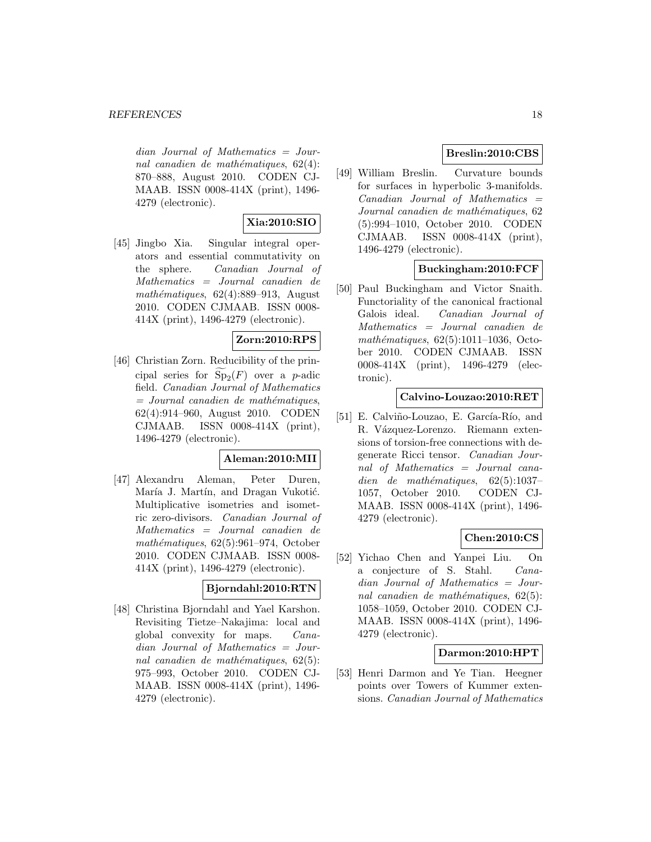dian Journal of Mathematics = Journal canadien de mathématiques,  $62(4)$ : 870–888, August 2010. CODEN CJ-MAAB. ISSN 0008-414X (print), 1496- 4279 (electronic).

# **Xia:2010:SIO**

[45] Jingbo Xia. Singular integral operators and essential commutativity on the sphere. Canadian Journal of Mathematics = Journal canadien de mathématiques,  $62(4):889-913$ , August 2010. CODEN CJMAAB. ISSN 0008- 414X (print), 1496-4279 (electronic).

# **Zorn:2010:RPS**

[46] Christian Zorn. Reducibility of the principal series for  $Sp_2(F)$  over a p-adic field. Canadian Journal of Mathematics  $=$  Journal canadien de mathématiques, 62(4):914–960, August 2010. CODEN CJMAAB. ISSN 0008-414X (print), 1496-4279 (electronic).

### **Aleman:2010:MII**

[47] Alexandru Aleman, Peter Duren, María J. Martín, and Dragan Vukotić. Multiplicative isometries and isometric zero-divisors. Canadian Journal of Mathematics = Journal canadien de mathématiques,  $62(5):961-974$ , October 2010. CODEN CJMAAB. ISSN 0008- 414X (print), 1496-4279 (electronic).

### **Bjorndahl:2010:RTN**

[48] Christina Bjorndahl and Yael Karshon. Revisiting Tietze–Nakajima: local and global convexity for maps. Canadian Journal of Mathematics = Journal canadien de mathématiques,  $62(5)$ : 975–993, October 2010. CODEN CJ-MAAB. ISSN 0008-414X (print), 1496- 4279 (electronic).

# **Breslin:2010:CBS**

[49] William Breslin. Curvature bounds for surfaces in hyperbolic 3-manifolds.  $Canadian$  Journal of Mathematics  $=$ Journal canadien de mathématiques, 62 (5):994–1010, October 2010. CODEN CJMAAB. ISSN 0008-414X (print), 1496-4279 (electronic).

# **Buckingham:2010:FCF**

[50] Paul Buckingham and Victor Snaith. Functoriality of the canonical fractional Galois ideal. Canadian Journal of Mathematics = Journal canadien de  $mathématiques, 62(5):1011–1036, Octo$ ber 2010. CODEN CJMAAB. ISSN 0008-414X (print), 1496-4279 (electronic).

### **Calvino-Louzao:2010:RET**

[51] E. Calviño-Louzao, E. García-Río, and R. Vázquez-Lorenzo. Riemann extensions of torsion-free connections with degenerate Ricci tensor. Canadian Journal of Mathematics = Journal canadien de mathématiques,  $62(5):1037-$ 1057, October 2010. CODEN CJ-MAAB. ISSN 0008-414X (print), 1496- 4279 (electronic).

### **Chen:2010:CS**

[52] Yichao Chen and Yanpei Liu. On a conjecture of S. Stahl. Canadian Journal of Mathematics = Journal canadien de mathématiques,  $62(5)$ : 1058–1059, October 2010. CODEN CJ-MAAB. ISSN 0008-414X (print), 1496- 4279 (electronic).

# **Darmon:2010:HPT**

[53] Henri Darmon and Ye Tian. Heegner points over Towers of Kummer extensions. Canadian Journal of Mathematics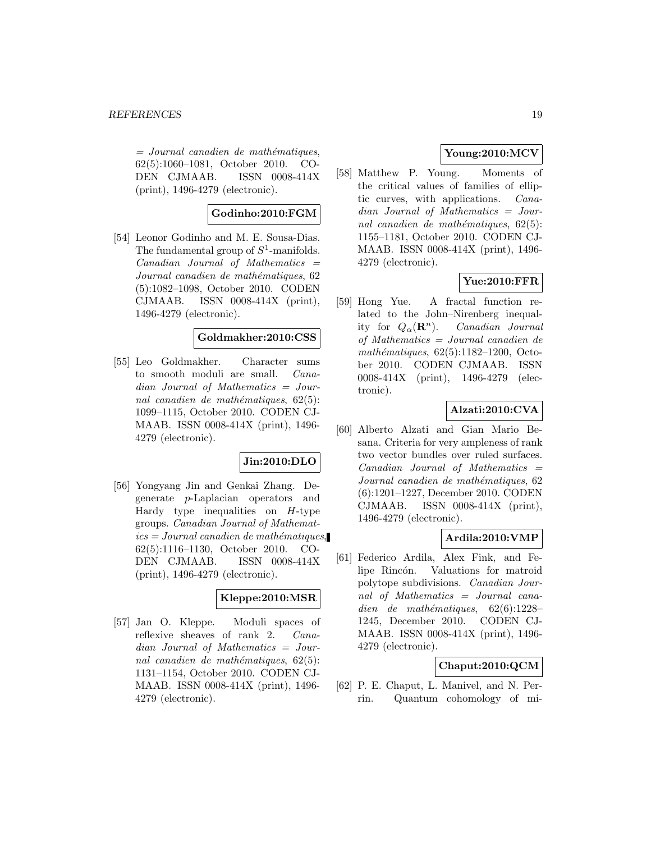#### *REFERENCES* 19

 $=$  Journal canadien de mathématiques, 62(5):1060–1081, October 2010. CO-DEN CJMAAB. ISSN 0008-414X (print), 1496-4279 (electronic).

# **Godinho:2010:FGM**

[54] Leonor Godinho and M. E. Sousa-Dias. The fundamental group of  $S^1$ -manifolds.  $Canadian$  Journal of Mathematics  $=$ Journal canadien de mathématiques, 62 (5):1082–1098, October 2010. CODEN CJMAAB. ISSN 0008-414X (print), 1496-4279 (electronic).

# **Goldmakher:2010:CSS**

[55] Leo Goldmakher. Character sums to smooth moduli are small. Canadian Journal of Mathematics = Journal canadien de mathématiques,  $62(5)$ : 1099–1115, October 2010. CODEN CJ-MAAB. ISSN 0008-414X (print), 1496- 4279 (electronic).

# **Jin:2010:DLO**

[56] Yongyang Jin and Genkai Zhang. Degenerate p-Laplacian operators and Hardy type inequalities on  $H$ -type groups. Canadian Journal of Mathemat $ics = Journal\,c$  canadien de mathématiques, 62(5):1116–1130, October 2010. CO-DEN CJMAAB. ISSN 0008-414X (print), 1496-4279 (electronic).

#### **Kleppe:2010:MSR**

[57] Jan O. Kleppe. Moduli spaces of reflexive sheaves of rank 2. Canadian Journal of Mathematics = Journal canadien de mathématiques,  $62(5)$ : 1131–1154, October 2010. CODEN CJ-MAAB. ISSN 0008-414X (print), 1496- 4279 (electronic).

# **Young:2010:MCV**

[58] Matthew P. Young. Moments of the critical values of families of elliptic curves, with applications. Canadian Journal of Mathematics = Journal canadien de mathématiques,  $62(5)$ : 1155–1181, October 2010. CODEN CJ-MAAB. ISSN 0008-414X (print), 1496- 4279 (electronic).

# **Yue:2010:FFR**

[59] Hong Yue. A fractal function related to the John–Nirenberg inequality for  $Q_{\alpha}(\mathbf{R}^n)$ . *Canadian Journal* of Mathematics = Journal canadien de  $mathématiques, 62(5):1182–1200, Octo$ ber 2010. CODEN CJMAAB. ISSN 0008-414X (print), 1496-4279 (electronic).

### **Alzati:2010:CVA**

[60] Alberto Alzati and Gian Mario Besana. Criteria for very ampleness of rank two vector bundles over ruled surfaces.  $Canadian$  Journal of Mathematics  $=$ Journal canadien de mathématiques, 62 (6):1201–1227, December 2010. CODEN CJMAAB. ISSN 0008-414X (print), 1496-4279 (electronic).

### **Ardila:2010:VMP**

[61] Federico Ardila, Alex Fink, and Felipe Rincón. Valuations for matroid polytope subdivisions. Canadian Journal of Mathematics = Journal canadien de mathématiques,  $62(6):1228-$ 1245, December 2010. CODEN CJ-MAAB. ISSN 0008-414X (print), 1496- 4279 (electronic).

# **Chaput:2010:QCM**

[62] P. E. Chaput, L. Manivel, and N. Perrin. Quantum cohomology of mi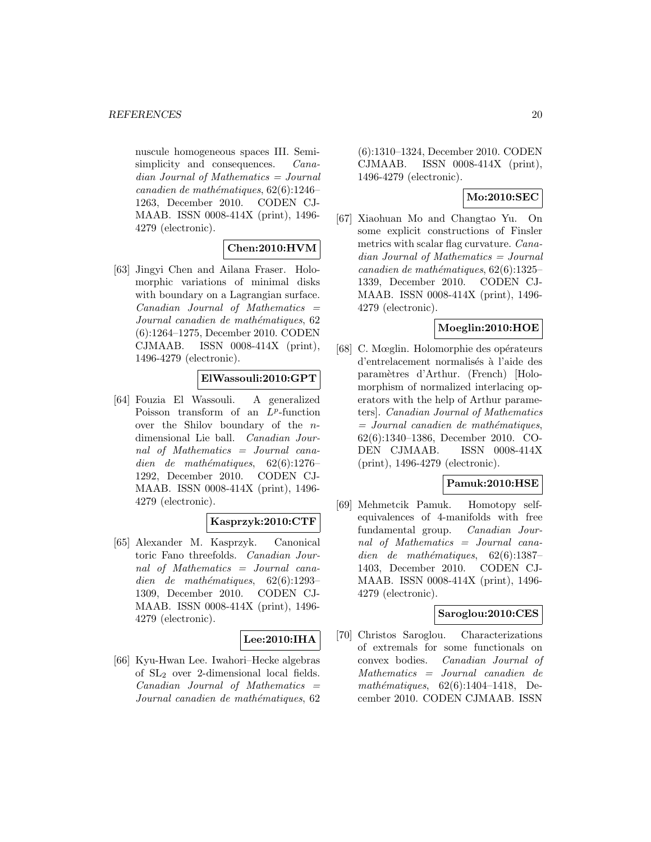nuscule homogeneous spaces III. Semisimplicity and consequences. *Cana*dian Journal of Mathematics = Journal  $cana dien de mathématiques, 62(6):1246-$ 1263, December 2010. CODEN CJ-MAAB. ISSN 0008-414X (print), 1496- 4279 (electronic).

# **Chen:2010:HVM**

[63] Jingyi Chen and Ailana Fraser. Holomorphic variations of minimal disks with boundary on a Lagrangian surface.  $Canadian$  Journal of Mathematics  $=$ Journal canadien de mathématiques, 62 (6):1264–1275, December 2010. CODEN CJMAAB. ISSN 0008-414X (print), 1496-4279 (electronic).

# **ElWassouli:2010:GPT**

[64] Fouzia El Wassouli. A generalized Poisson transform of an  $L^p$ -function over the Shilov boundary of the ndimensional Lie ball. Canadian Journal of Mathematics = Journal canadien de mathématiques,  $62(6):1276-$ 1292, December 2010. CODEN CJ-MAAB. ISSN 0008-414X (print), 1496- 4279 (electronic).

# **Kasprzyk:2010:CTF**

[65] Alexander M. Kasprzyk. Canonical toric Fano threefolds. Canadian Journal of Mathematics = Journal canadien de mathématiques,  $62(6):1293-$ 1309, December 2010. CODEN CJ-MAAB. ISSN 0008-414X (print), 1496- 4279 (electronic).

### **Lee:2010:IHA**

[66] Kyu-Hwan Lee. Iwahori–Hecke algebras of SL<sup>2</sup> over 2-dimensional local fields.  $Canadian$  Journal of Mathematics  $=$ Journal canadien de mathématiques, 62 (6):1310–1324, December 2010. CODEN CJMAAB. ISSN 0008-414X (print), 1496-4279 (electronic).

# **Mo:2010:SEC**

[67] Xiaohuan Mo and Changtao Yu. On some explicit constructions of Finsler metrics with scalar flag curvature. Canadian Journal of Mathematics = Journal canadien de mathématiques,  $62(6):1325-$ 1339, December 2010. CODEN CJ-MAAB. ISSN 0008-414X (print), 1496- 4279 (electronic).

# **Moeglin:2010:HOE**

[68] C. Mœglin. Holomorphie des opérateurs d'entrelacement normalisés à l'aide des paramètres d'Arthur. (French) [Holomorphism of normalized interlacing operators with the help of Arthur parameters]. Canadian Journal of Mathematics  $=$  Journal canadien de mathématiques, 62(6):1340–1386, December 2010. CO-DEN CJMAAB. ISSN 0008-414X (print), 1496-4279 (electronic).

# **Pamuk:2010:HSE**

[69] Mehmetcik Pamuk. Homotopy selfequivalences of 4-manifolds with free fundamental group. Canadian Journal of Mathematics = Journal canadien de mathématiques,  $62(6):1387-$ 1403, December 2010. CODEN CJ-MAAB. ISSN 0008-414X (print), 1496- 4279 (electronic).

### **Saroglou:2010:CES**

[70] Christos Saroglou. Characterizations of extremals for some functionals on convex bodies. Canadian Journal of Mathematics = Journal canadien de mathématiques,  $62(6):1404-1418$ , December 2010. CODEN CJMAAB. ISSN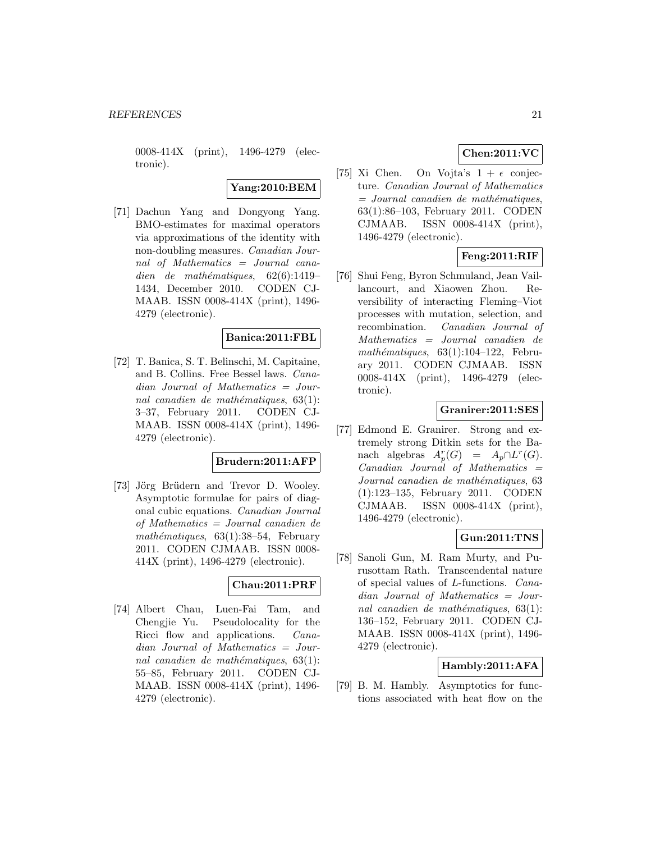0008-414X (print), 1496-4279 (electronic).

# **Yang:2010:BEM**

[71] Dachun Yang and Dongyong Yang. BMO-estimates for maximal operators via approximations of the identity with non-doubling measures. Canadian Journal of Mathematics = Journal canadien de mathématiques,  $62(6):1419-$ 1434, December 2010. CODEN CJ-MAAB. ISSN 0008-414X (print), 1496- 4279 (electronic).

# **Banica:2011:FBL**

[72] T. Banica, S. T. Belinschi, M. Capitaine, and B. Collins. Free Bessel laws. Canadian Journal of Mathematics = Journal canadien de mathématiques,  $63(1)$ : 3–37, February 2011. CODEN CJ-MAAB. ISSN 0008-414X (print), 1496- 4279 (electronic).

### **Brudern:2011:AFP**

[73] Jörg Brüdern and Trevor D. Wooley. Asymptotic formulae for pairs of diagonal cubic equations. Canadian Journal of Mathematics = Journal canadien de mathématiques,  $63(1):38-54$ , February 2011. CODEN CJMAAB. ISSN 0008- 414X (print), 1496-4279 (electronic).

# **Chau:2011:PRF**

[74] Albert Chau, Luen-Fai Tam, and Chengjie Yu. Pseudolocality for the Ricci flow and applications. Canadian Journal of Mathematics = Journal canadien de mathématiques,  $63(1)$ : 55–85, February 2011. CODEN CJ-MAAB. ISSN 0008-414X (print), 1496- 4279 (electronic).

# **Chen:2011:VC**

[75] Xi Chen. On Vojta's  $1 + \epsilon$  conjecture. Canadian Journal of Mathematics  $=$  Journal canadien de mathématiques, 63(1):86–103, February 2011. CODEN CJMAAB. ISSN 0008-414X (print), 1496-4279 (electronic).

# **Feng:2011:RIF**

[76] Shui Feng, Byron Schmuland, Jean Vaillancourt, and Xiaowen Zhou. Reversibility of interacting Fleming–Viot processes with mutation, selection, and recombination. Canadian Journal of Mathematics = Journal canadien de mathématiques,  $63(1):104-122$ , February 2011. CODEN CJMAAB. ISSN 0008-414X (print), 1496-4279 (electronic).

# **Granirer:2011:SES**

[77] Edmond E. Granirer. Strong and extremely strong Ditkin sets for the Banach algebras  $A_p^r(G) = A_p \cap L^r(G)$ .  $Canadian$  Journal of Mathematics  $=$ Journal canadien de mathématiques, 63 (1):123–135, February 2011. CODEN CJMAAB. ISSN 0008-414X (print), 1496-4279 (electronic).

### **Gun:2011:TNS**

[78] Sanoli Gun, M. Ram Murty, and Purusottam Rath. Transcendental nature of special values of L-functions. Canadian Journal of Mathematics = Journal canadien de mathématiques,  $63(1)$ : 136–152, February 2011. CODEN CJ-MAAB. ISSN 0008-414X (print), 1496- 4279 (electronic).

# **Hambly:2011:AFA**

[79] B. M. Hambly. Asymptotics for functions associated with heat flow on the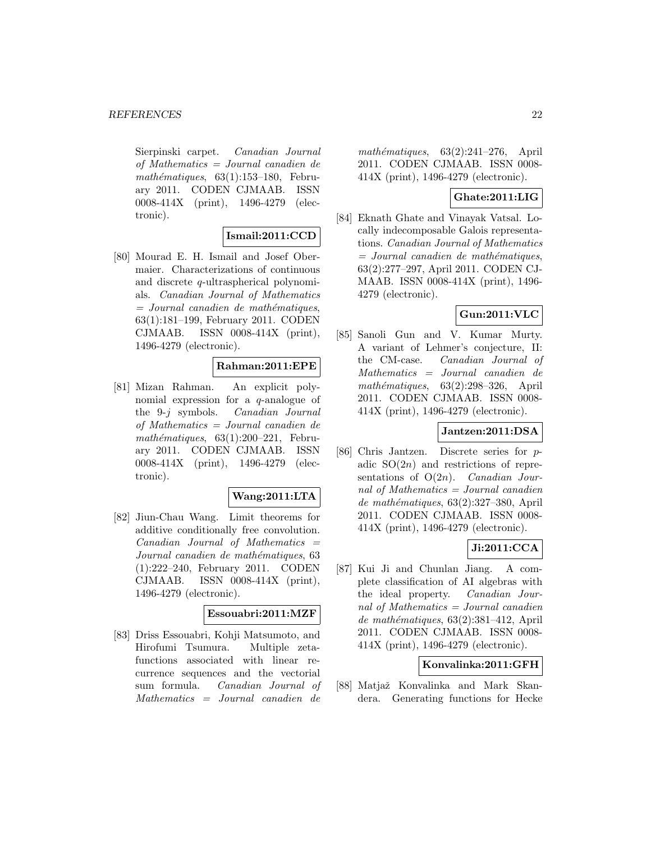Sierpinski carpet. Canadian Journal of Mathematics = Journal canadien de mathématiques,  $63(1):153-180$ , February 2011. CODEN CJMAAB. ISSN 0008-414X (print), 1496-4279 (electronic).

#### **Ismail:2011:CCD**

[80] Mourad E. H. Ismail and Josef Obermaier. Characterizations of continuous and discrete q-ultraspherical polynomials. Canadian Journal of Mathematics  $=$  Journal canadien de mathématiques, 63(1):181–199, February 2011. CODEN CJMAAB. ISSN 0008-414X (print), 1496-4279 (electronic).

# **Rahman:2011:EPE**

[81] Mizan Rahman. An explicit polynomial expression for a q-analogue of the 9-j symbols. Canadian Journal of Mathematics = Journal canadien de mathématiques,  $63(1):200-221$ , February 2011. CODEN CJMAAB. ISSN 0008-414X (print), 1496-4279 (electronic).

#### **Wang:2011:LTA**

[82] Jiun-Chau Wang. Limit theorems for additive conditionally free convolution.  $Canadian$  Journal of Mathematics  $=$ Journal canadien de mathématiques, 63 (1):222–240, February 2011. CODEN CJMAAB. ISSN 0008-414X (print), 1496-4279 (electronic).

#### **Essouabri:2011:MZF**

[83] Driss Essouabri, Kohji Matsumoto, and Hirofumi Tsumura. Multiple zetafunctions associated with linear recurrence sequences and the vectorial sum formula. Canadian Journal of Mathematics = Journal canadien de mathématiques,  $63(2):241-276$ , April 2011. CODEN CJMAAB. ISSN 0008- 414X (print), 1496-4279 (electronic).

# **Ghate:2011:LIG**

[84] Eknath Ghate and Vinayak Vatsal. Locally indecomposable Galois representations. Canadian Journal of Mathematics  $=$  Journal canadien de mathématiques. 63(2):277–297, April 2011. CODEN CJ-MAAB. ISSN 0008-414X (print), 1496- 4279 (electronic).

# **Gun:2011:VLC**

[85] Sanoli Gun and V. Kumar Murty. A variant of Lehmer's conjecture, II: the CM-case. Canadian Journal of Mathematics = Journal canadien de  $mathématiques, 63(2):298-326, April$ 2011. CODEN CJMAAB. ISSN 0008- 414X (print), 1496-4279 (electronic).

# **Jantzen:2011:DSA**

[86] Chris Jantzen. Discrete series for padic  $SO(2n)$  and restrictions of representations of  $O(2n)$ . *Canadian Jour*nal of Mathematics = Journal canadien de mathématiques, 63(2):327-380, April 2011. CODEN CJMAAB. ISSN 0008- 414X (print), 1496-4279 (electronic).

# **Ji:2011:CCA**

[87] Kui Ji and Chunlan Jiang. A complete classification of AI algebras with the ideal property. Canadian Journal of Mathematics = Journal canadien  $de mathématiques, 63(2):381-412, April$ 2011. CODEN CJMAAB. ISSN 0008- 414X (print), 1496-4279 (electronic).

### **Konvalinka:2011:GFH**

[88] Matjaž Konvalinka and Mark Skandera. Generating functions for Hecke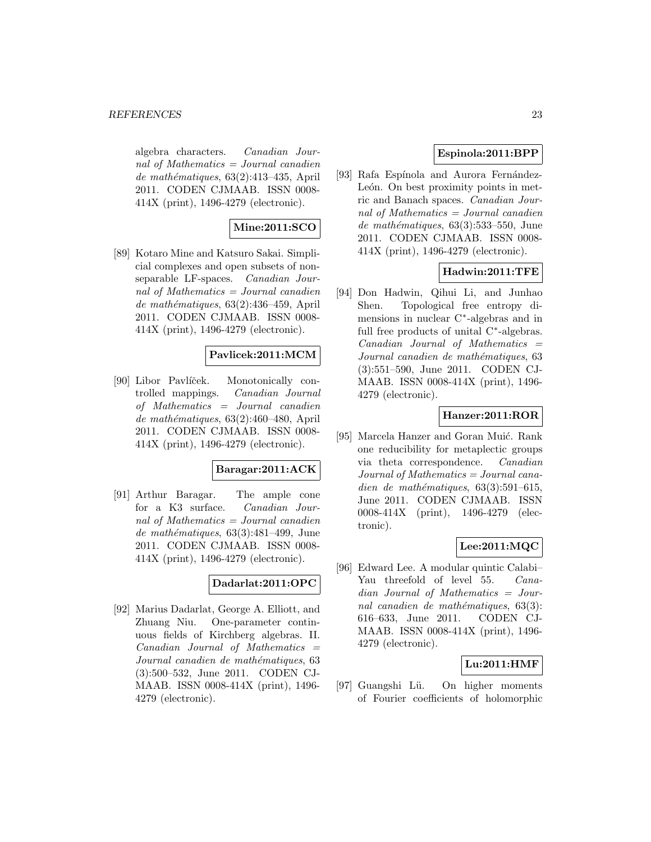algebra characters. Canadian Journal of Mathematics = Journal canadien de mathématiques,  $63(2):413-435$ , April 2011. CODEN CJMAAB. ISSN 0008- 414X (print), 1496-4279 (electronic).

# **Mine:2011:SCO**

[89] Kotaro Mine and Katsuro Sakai. Simplicial complexes and open subsets of nonseparable LF-spaces. Canadian Journal of Mathematics  $=$  Journal canadien  $de mathématiques, 63(2):436–459, April$ 2011. CODEN CJMAAB. ISSN 0008- 414X (print), 1496-4279 (electronic).

# **Pavlicek:2011:MCM**

[90] Libor Pavlíček. Monotonically controlled mappings. Canadian Journal of Mathematics = Journal canadien de mathématiques,  $63(2):460-480$ , April 2011. CODEN CJMAAB. ISSN 0008- 414X (print), 1496-4279 (electronic).

# **Baragar:2011:ACK**

[91] Arthur Baragar. The ample cone for a K3 surface. Canadian Journal of Mathematics = Journal canadien de mathématiques,  $63(3):481-499$ , June 2011. CODEN CJMAAB. ISSN 0008- 414X (print), 1496-4279 (electronic).

# **Dadarlat:2011:OPC**

[92] Marius Dadarlat, George A. Elliott, and Zhuang Niu. One-parameter continuous fields of Kirchberg algebras. II.  $Canadian$  Journal of Mathematics  $=$ Journal canadien de mathématiques, 63 (3):500–532, June 2011. CODEN CJ-MAAB. ISSN 0008-414X (print), 1496- 4279 (electronic).

# **Espinola:2011:BPP**

[93] Rafa Espínola and Aurora Fernández-León. On best proximity points in metric and Banach spaces. Canadian Journal of Mathematics = Journal canadien de mathématiques,  $63(3):533-550$ , June 2011. CODEN CJMAAB. ISSN 0008- 414X (print), 1496-4279 (electronic).

# **Hadwin:2011:TFE**

[94] Don Hadwin, Qihui Li, and Junhao Shen. Topological free entropy dimensions in nuclear C∗-algebras and in full free products of unital C∗-algebras.  $Canadian$  Journal of Mathematics  $=$ Journal canadien de mathématiques, 63 (3):551–590, June 2011. CODEN CJ-MAAB. ISSN 0008-414X (print), 1496- 4279 (electronic).

# **Hanzer:2011:ROR**

[95] Marcela Hanzer and Goran Muić. Rank one reducibility for metaplectic groups via theta correspondence. Canadian Journal of Mathematics = Journal canadien de mathématiques,  $63(3):591-615$ , June 2011. CODEN CJMAAB. ISSN 0008-414X (print), 1496-4279 (electronic).

# **Lee:2011:MQC**

[96] Edward Lee. A modular quintic Calabi– Yau threefold of level 55. Canadian Journal of Mathematics = Journal canadien de mathématiques,  $63(3)$ : 616–633, June 2011. CODEN CJ-MAAB. ISSN 0008-414X (print), 1496- 4279 (electronic).

### **Lu:2011:HMF**

[97] Guangshi Lü. On higher moments of Fourier coefficients of holomorphic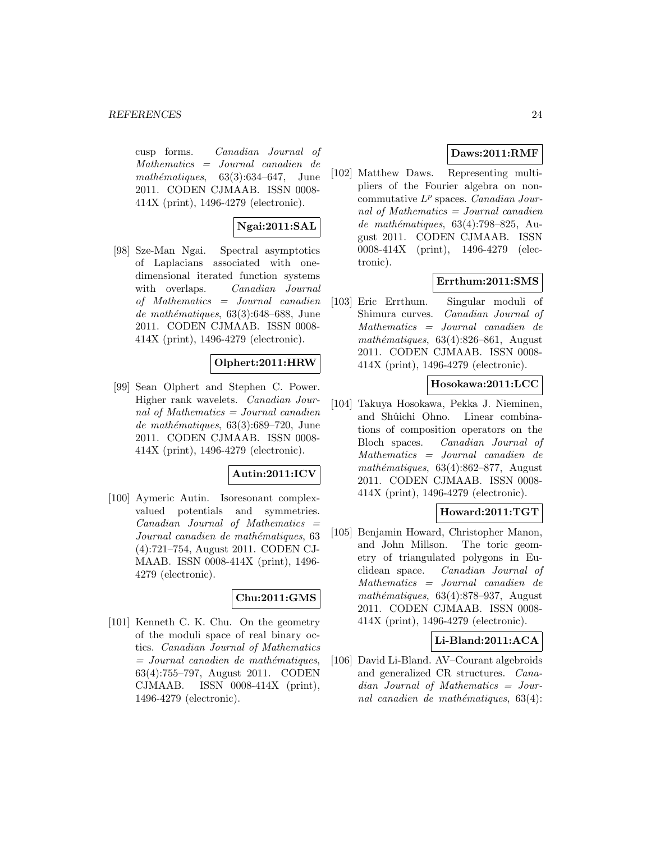cusp forms. Canadian Journal of Mathematics = Journal canadien de mathématiques,  $63(3):634-647$ , June 2011. CODEN CJMAAB. ISSN 0008- 414X (print), 1496-4279 (electronic).

# **Ngai:2011:SAL**

[98] Sze-Man Ngai. Spectral asymptotics of Laplacians associated with onedimensional iterated function systems with overlaps. Canadian Journal of Mathematics = Journal canadien de mathématiques,  $63(3):648-688$ , June 2011. CODEN CJMAAB. ISSN 0008- 414X (print), 1496-4279 (electronic).

# **Olphert:2011:HRW**

[99] Sean Olphert and Stephen C. Power. Higher rank wavelets. Canadian Journal of Mathematics = Journal canadien de mathématiques,  $63(3):689-720$ , June 2011. CODEN CJMAAB. ISSN 0008- 414X (print), 1496-4279 (electronic).

# **Autin:2011:ICV**

[100] Aymeric Autin. Isoresonant complexvalued potentials and symmetries.  $Canadian$  Journal of Mathematics  $=$ Journal canadien de mathématiques, 63 (4):721–754, August 2011. CODEN CJ-MAAB. ISSN 0008-414X (print), 1496- 4279 (electronic).

### **Chu:2011:GMS**

[101] Kenneth C. K. Chu. On the geometry of the moduli space of real binary octics. Canadian Journal of Mathematics  $=$  Journal canadien de mathématiques, 63(4):755–797, August 2011. CODEN CJMAAB. ISSN 0008-414X (print), 1496-4279 (electronic).

# **Daws:2011:RMF**

[102] Matthew Daws. Representing multipliers of the Fourier algebra on noncommutative  $L^p$  spaces. *Canadian Jour*nal of Mathematics  $=$  Journal canadien de mathématiques,  $63(4)$ :798–825, August 2011. CODEN CJMAAB. ISSN 0008-414X (print), 1496-4279 (electronic).

# **Errthum:2011:SMS**

[103] Eric Errthum. Singular moduli of Shimura curves. Canadian Journal of Mathematics = Journal canadien de mathématiques,  $63(4):826-861$ , August 2011. CODEN CJMAAB. ISSN 0008- 414X (print), 1496-4279 (electronic).

# **Hosokawa:2011:LCC**

[104] Takuya Hosokawa, Pekka J. Nieminen, and Shûichi Ohno. Linear combinations of composition operators on the Bloch spaces. Canadian Journal of Mathematics = Journal canadien de mathématiques,  $63(4):862-877$ , August 2011. CODEN CJMAAB. ISSN 0008- 414X (print), 1496-4279 (electronic).

# **Howard:2011:TGT**

[105] Benjamin Howard, Christopher Manon, and John Millson. The toric geometry of triangulated polygons in Euclidean space. Canadian Journal of Mathematics = Journal canadien de  $mathématiques, 63(4):878-937, August$ 2011. CODEN CJMAAB. ISSN 0008- 414X (print), 1496-4279 (electronic).

# **Li-Bland:2011:ACA**

[106] David Li-Bland. AV–Courant algebroids and generalized CR structures. Canadian Journal of Mathematics = Journal canadien de mathématiques,  $63(4)$ :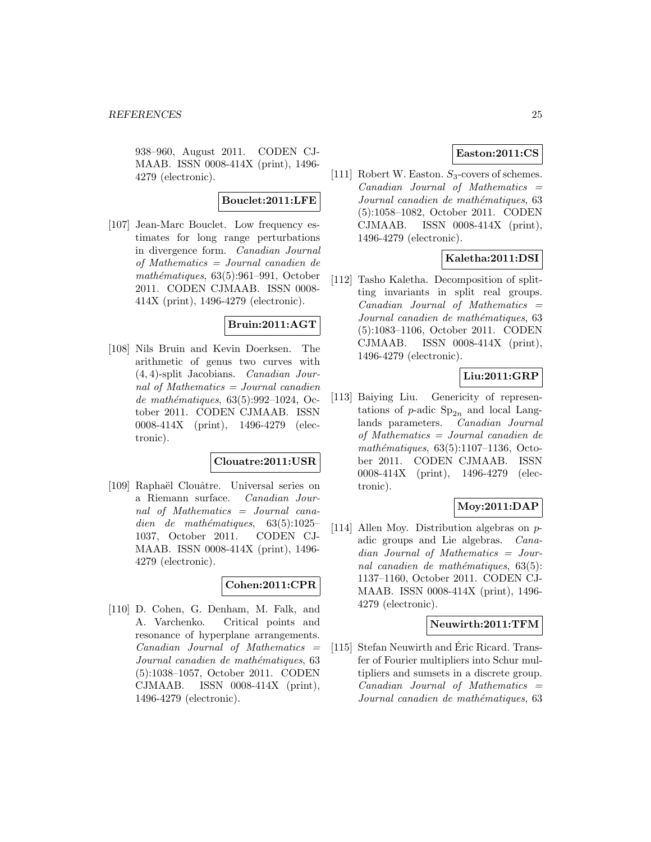938–960, August 2011. CODEN CJ-MAAB. ISSN 0008-414X (print), 1496- 4279 (electronic).

#### **Bouclet:2011:LFE**

[107] Jean-Marc Bouclet. Low frequency estimates for long range perturbations in divergence form. Canadian Journal of Mathematics = Journal canadien de mathématiques,  $63(5):961-991$ , October 2011. CODEN CJMAAB. ISSN 0008- 414X (print), 1496-4279 (electronic).

# **Bruin:2011:AGT**

[108] Nils Bruin and Kevin Doerksen. The arithmetic of genus two curves with (4, 4)-split Jacobians. Canadian Journal of Mathematics = Journal canadien de mathématiques,  $63(5):992-1024$ , October 2011. CODEN CJMAAB. ISSN 0008-414X (print), 1496-4279 (electronic).

### **Clouatre:2011:USR**

[109] Raphaël Clouâtre. Universal series on a Riemann surface. Canadian Journal of Mathematics = Journal canadien de mathématiques,  $63(5):1025-$ 1037, October 2011. CODEN CJ-MAAB. ISSN 0008-414X (print), 1496- 4279 (electronic).

# **Cohen:2011:CPR**

[110] D. Cohen, G. Denham, M. Falk, and A. Varchenko. Critical points and resonance of hyperplane arrangements.  $Canadian$  Journal of Mathematics  $=$ Journal canadien de mathématiques, 63 (5):1038–1057, October 2011. CODEN CJMAAB. ISSN 0008-414X (print), 1496-4279 (electronic).

# **Easton:2011:CS**

[111] Robert W. Easton.  $S_3$ -covers of schemes.  $Canadian$  Journal of Mathematics  $=$ Journal canadien de mathématiques, 63 (5):1058–1082, October 2011. CODEN CJMAAB. ISSN 0008-414X (print), 1496-4279 (electronic).

# **Kaletha:2011:DSI**

[112] Tasho Kaletha. Decomposition of splitting invariants in split real groups.  $Canadian$  Journal of Mathematics  $=$ Journal canadien de mathématiques, 63 (5):1083–1106, October 2011. CODEN CJMAAB. ISSN 0008-414X (print), 1496-4279 (electronic).

## **Liu:2011:GRP**

[113] Baiying Liu. Genericity of representations of p-adic  $Sp_{2n}$  and local Langlands parameters. Canadian Journal of Mathematics = Journal canadien de mathématiques,  $63(5):1107-1136$ , October 2011. CODEN CJMAAB. ISSN 0008-414X (print), 1496-4279 (electronic).

### **Moy:2011:DAP**

[114] Allen Moy. Distribution algebras on padic groups and Lie algebras. Canadian Journal of Mathematics = Journal canadien de mathématiques,  $63(5)$ : 1137–1160, October 2011. CODEN CJ-MAAB. ISSN 0008-414X (print), 1496- 4279 (electronic).

#### **Neuwirth:2011:TFM**

[115] Stefan Neuwirth and Éric Ricard. Transfer of Fourier multipliers into Schur multipliers and sumsets in a discrete group.  $Canadian$  Journal of Mathematics  $=$ Journal canadien de mathématiques, 63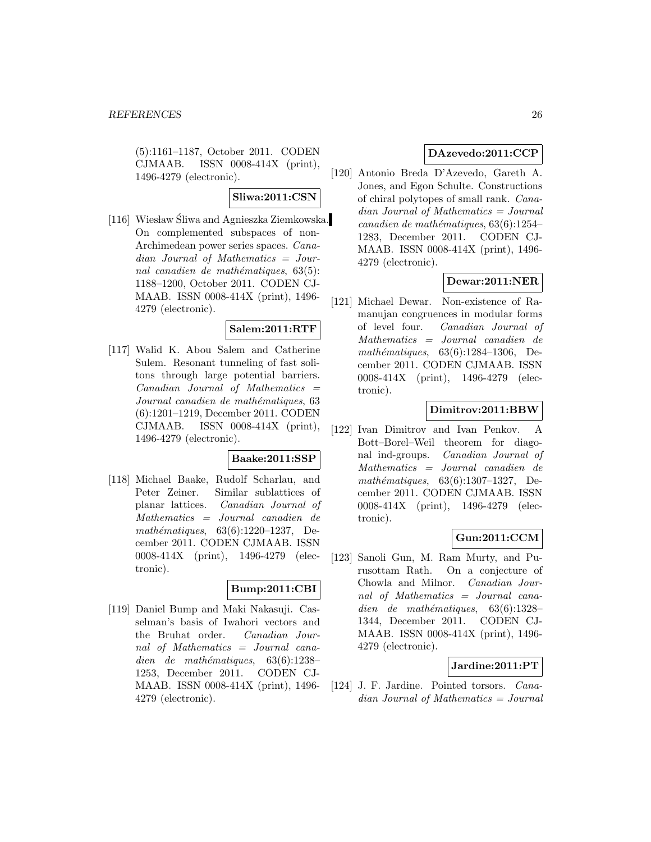(5):1161–1187, October 2011. CODEN CJMAAB. ISSN 0008-414X (print), 1496-4279 (electronic).

# **Sliwa:2011:CSN**

[116] Wiesław Śliwa and Agnieszka Ziemkowska. On complemented subspaces of non-Archimedean power series spaces. Canadian Journal of Mathematics = Journal canadien de mathématiques,  $63(5)$ : 1188–1200, October 2011. CODEN CJ-MAAB. ISSN 0008-414X (print), 1496- 4279 (electronic).

# **Salem:2011:RTF**

[117] Walid K. Abou Salem and Catherine Sulem. Resonant tunneling of fast solitons through large potential barriers.  $Canadian$  Journal of Mathematics  $=$ Journal canadien de mathématiques, 63 (6):1201–1219, December 2011. CODEN CJMAAB. ISSN 0008-414X (print), 1496-4279 (electronic).

#### **Baake:2011:SSP**

[118] Michael Baake, Rudolf Scharlau, and Peter Zeiner. Similar sublattices of planar lattices. Canadian Journal of Mathematics = Journal canadien de mathématiques,  $63(6):1220-1237$ , December 2011. CODEN CJMAAB. ISSN 0008-414X (print), 1496-4279 (electronic).

### **Bump:2011:CBI**

[119] Daniel Bump and Maki Nakasuji. Casselman's basis of Iwahori vectors and the Bruhat order. Canadian Journal of Mathematics = Journal canadien de mathématiques,  $63(6):1238-$ 1253, December 2011. CODEN CJ-MAAB. ISSN 0008-414X (print), 1496- 4279 (electronic).

# **DAzevedo:2011:CCP**

[120] Antonio Breda D'Azevedo, Gareth A. Jones, and Egon Schulte. Constructions of chiral polytopes of small rank. Canadian Journal of Mathematics = Journal  $cana dien de mathématiques, 63(6):1254-$ 1283, December 2011. CODEN CJ-MAAB. ISSN 0008-414X (print), 1496- 4279 (electronic).

# **Dewar:2011:NER**

[121] Michael Dewar. Non-existence of Ramanujan congruences in modular forms of level four. Canadian Journal of Mathematics = Journal canadien de mathématiques,  $63(6):1284-1306$ , December 2011. CODEN CJMAAB. ISSN 0008-414X (print), 1496-4279 (electronic).

#### **Dimitrov:2011:BBW**

[122] Ivan Dimitrov and Ivan Penkov. Bott–Borel–Weil theorem for diagonal ind-groups. Canadian Journal of Mathematics = Journal canadien de mathématiques,  $63(6):1307-1327$ , December 2011. CODEN CJMAAB. ISSN 0008-414X (print), 1496-4279 (electronic).

### **Gun:2011:CCM**

[123] Sanoli Gun, M. Ram Murty, and Purusottam Rath. On a conjecture of Chowla and Milnor. Canadian Journal of Mathematics = Journal canadien de mathématiques,  $63(6):1328-$ 1344, December 2011. CODEN CJ-MAAB. ISSN 0008-414X (print), 1496- 4279 (electronic).

# **Jardine:2011:PT**

[124] J. F. Jardine. Pointed torsors. Canadian Journal of Mathematics = Journal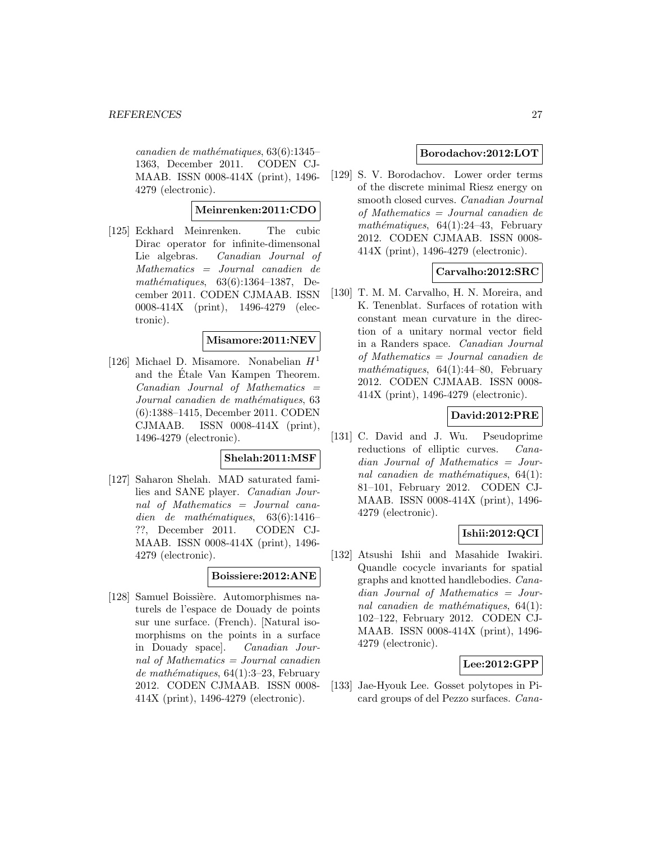$cana dien de mathématiques, 63(6):1345-$ 1363, December 2011. CODEN CJ-MAAB. ISSN 0008-414X (print), 1496- 4279 (electronic).

**Meinrenken:2011:CDO**

[125] Eckhard Meinrenken. The cubic Dirac operator for infinite-dimensonal Lie algebras. Canadian Journal of Mathematics = Journal canadien de mathématiques,  $63(6):1364-1387$ , December 2011. CODEN CJMAAB. ISSN 0008-414X (print), 1496-4279 (electronic).

#### **Misamore:2011:NEV**

[126] Michael D. Misamore. Nonabelian  $H<sup>1</sup>$ and the Etale Van Kampen Theorem.  $Canadian$  Journal of Mathematics  $=$ Journal canadien de mathématiques, 63 (6):1388–1415, December 2011. CODEN CJMAAB. ISSN 0008-414X (print), 1496-4279 (electronic).

#### **Shelah:2011:MSF**

[127] Saharon Shelah. MAD saturated families and SANE player. Canadian Journal of Mathematics = Journal canadien de mathématiques,  $63(6):1416-$ ??, December 2011. CODEN CJ-MAAB. ISSN 0008-414X (print), 1496- 4279 (electronic).

# **Boissiere:2012:ANE**

[128] Samuel Boissière. Automorphismes naturels de l'espace de Douady de points sur une surface. (French). [Natural isomorphisms on the points in a surface in Douady space]. Canadian Journal of Mathematics  $=$  Journal canadien de mathématiques,  $64(1):3-23$ , February 2012. CODEN CJMAAB. ISSN 0008- 414X (print), 1496-4279 (electronic).

### **Borodachov:2012:LOT**

[129] S. V. Borodachov. Lower order terms of the discrete minimal Riesz energy on smooth closed curves. Canadian Journal of Mathematics = Journal canadien de mathématiques,  $64(1):24-43$ , February 2012. CODEN CJMAAB. ISSN 0008- 414X (print), 1496-4279 (electronic).

### **Carvalho:2012:SRC**

[130] T. M. M. Carvalho, H. N. Moreira, and K. Tenenblat. Surfaces of rotation with constant mean curvature in the direction of a unitary normal vector field in a Randers space. Canadian Journal of Mathematics = Journal canadien de mathématiques,  $64(1):44-80$ , February 2012. CODEN CJMAAB. ISSN 0008- 414X (print), 1496-4279 (electronic).

### **David:2012:PRE**

[131] C. David and J. Wu. Pseudoprime reductions of elliptic curves. Canadian Journal of Mathematics = Journal canadien de mathématiques,  $64(1)$ : 81–101, February 2012. CODEN CJ-MAAB. ISSN 0008-414X (print), 1496- 4279 (electronic).

### **Ishii:2012:QCI**

[132] Atsushi Ishii and Masahide Iwakiri. Quandle cocycle invariants for spatial graphs and knotted handlebodies. Canadian Journal of Mathematics = Journal canadien de mathématiques,  $64(1)$ : 102–122, February 2012. CODEN CJ-MAAB. ISSN 0008-414X (print), 1496- 4279 (electronic).

### **Lee:2012:GPP**

[133] Jae-Hyouk Lee. Gosset polytopes in Picard groups of del Pezzo surfaces. Cana-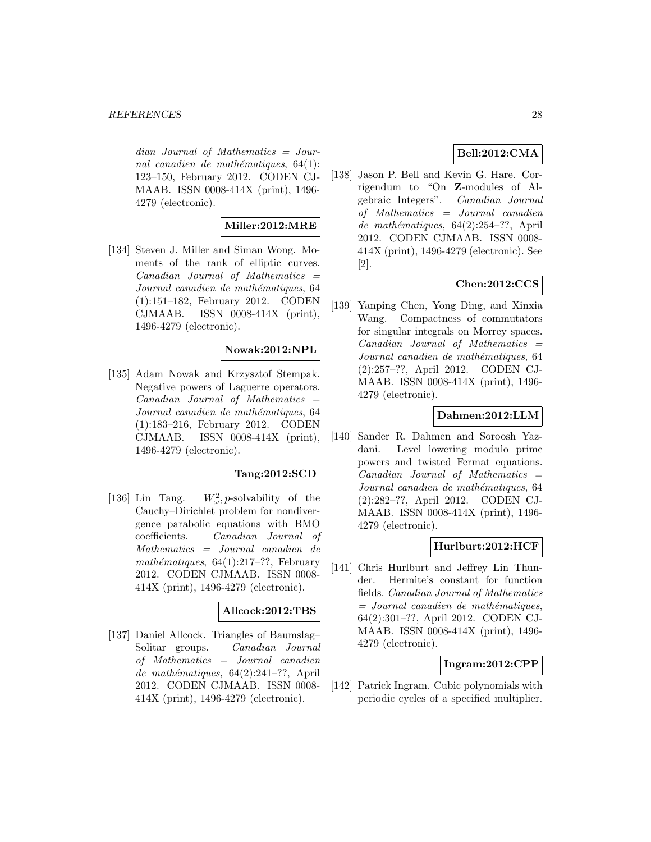dian Journal of Mathematics = Journal canadien de mathématiques,  $64(1)$ : 123–150, February 2012. CODEN CJ-MAAB. ISSN 0008-414X (print), 1496- 4279 (electronic).

# **Miller:2012:MRE**

[134] Steven J. Miller and Siman Wong. Moments of the rank of elliptic curves.  $Canadian$  Journal of Mathematics  $=$ Journal canadien de mathématiques, 64 (1):151–182, February 2012. CODEN CJMAAB. ISSN 0008-414X (print), 1496-4279 (electronic).

# **Nowak:2012:NPL**

[135] Adam Nowak and Krzysztof Stempak. Negative powers of Laguerre operators.  $Canadian$  Journal of Mathematics  $=$ Journal canadien de mathématiques, 64 (1):183–216, February 2012. CODEN CJMAAB. ISSN 0008-414X (print), 1496-4279 (electronic).

# **Tang:2012:SCD**

 $[136]$  Lin Tang.  $W^2_\omega$ , *p*-solvability of the Cauchy–Dirichlet problem for nondivergence parabolic equations with BMO coefficients. Canadian Journal of Mathematics = Journal canadien de mathématiques,  $64(1):217-??$ , February 2012. CODEN CJMAAB. ISSN 0008- 414X (print), 1496-4279 (electronic).

### **Allcock:2012:TBS**

[137] Daniel Allcock. Triangles of Baumslag– Solitar groups. Canadian Journal of Mathematics = Journal canadien de mathématiques,  $64(2):241-??$ , April 2012. CODEN CJMAAB. ISSN 0008- 414X (print), 1496-4279 (electronic).

# **Bell:2012:CMA**

[138] Jason P. Bell and Kevin G. Hare. Corrigendum to "On **Z**-modules of Algebraic Integers". Canadian Journal of Mathematics = Journal canadien de mathématiques,  $64(2):254-??$ , April 2012. CODEN CJMAAB. ISSN 0008- 414X (print), 1496-4279 (electronic). See [2].

# **Chen:2012:CCS**

[139] Yanping Chen, Yong Ding, and Xinxia Wang. Compactness of commutators for singular integrals on Morrey spaces.  $Canadian$  Journal of Mathematics  $=$ Journal canadien de mathématiques, 64 (2):257–??, April 2012. CODEN CJ-MAAB. ISSN 0008-414X (print), 1496- 4279 (electronic).

### **Dahmen:2012:LLM**

[140] Sander R. Dahmen and Soroosh Yazdani. Level lowering modulo prime powers and twisted Fermat equations.  $Canadian$  Journal of Mathematics  $=$ Journal canadien de mathématiques, 64 (2):282–??, April 2012. CODEN CJ-MAAB. ISSN 0008-414X (print), 1496- 4279 (electronic).

#### **Hurlburt:2012:HCF**

[141] Chris Hurlburt and Jeffrey Lin Thunder. Hermite's constant for function fields. Canadian Journal of Mathematics  $=$  Journal canadien de mathématiques, 64(2):301–??, April 2012. CODEN CJ-MAAB. ISSN 0008-414X (print), 1496- 4279 (electronic).

### **Ingram:2012:CPP**

[142] Patrick Ingram. Cubic polynomials with periodic cycles of a specified multiplier.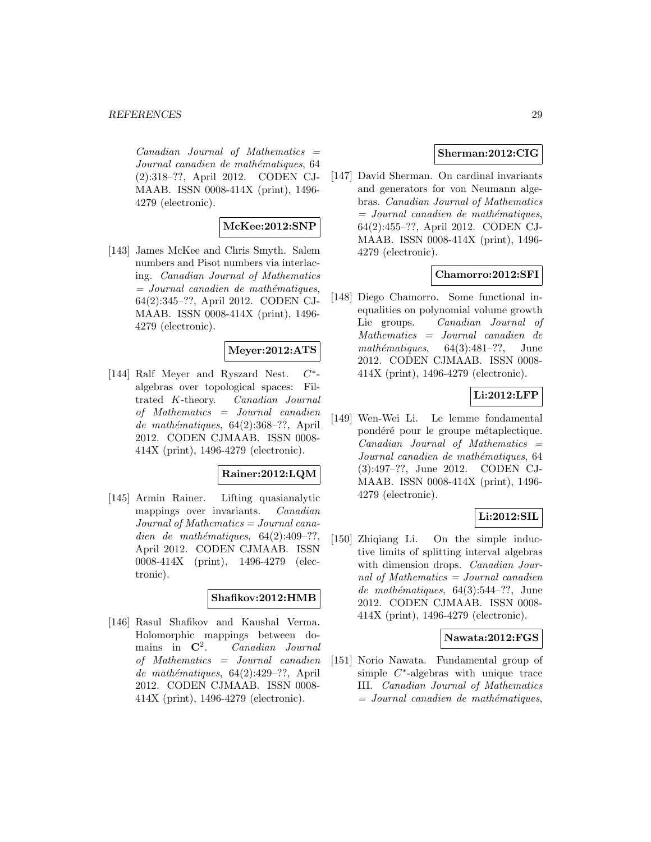$Canadian$  Journal of Mathematics  $=$ Journal canadien de mathématiques, 64 (2):318–??, April 2012. CODEN CJ-MAAB. ISSN 0008-414X (print), 1496- 4279 (electronic).

# **McKee:2012:SNP**

[143] James McKee and Chris Smyth. Salem numbers and Pisot numbers via interlacing. Canadian Journal of Mathematics  $=$  Journal canadien de mathématiques, 64(2):345–??, April 2012. CODEN CJ-MAAB. ISSN 0008-414X (print), 1496- 4279 (electronic).

# **Meyer:2012:ATS**

[144] Ralf Meyer and Ryszard Nest. C∗ algebras over topological spaces: Filtrated K-theory. Canadian Journal of Mathematics = Journal canadien de mathématiques,  $64(2):368-??$ , April 2012. CODEN CJMAAB. ISSN 0008- 414X (print), 1496-4279 (electronic).

# **Rainer:2012:LQM**

[145] Armin Rainer. Lifting quasianalytic mappings over invariants. Canadian Journal of Mathematics = Journal canadien de mathématiques,  $64(2):409-??,$ April 2012. CODEN CJMAAB. ISSN 0008-414X (print), 1496-4279 (electronic).

#### **Shafikov:2012:HMB**

[146] Rasul Shafikov and Kaushal Verma. Holomorphic mappings between domains in **C**<sup>2</sup>. Canadian Journal of Mathematics = Journal canadien de mathématiques,  $64(2):429-??$ , April 2012. CODEN CJMAAB. ISSN 0008- 414X (print), 1496-4279 (electronic).

# **Sherman:2012:CIG**

[147] David Sherman. On cardinal invariants and generators for von Neumann algebras. Canadian Journal of Mathematics  $=$  Journal canadien de mathématiques, 64(2):455–??, April 2012. CODEN CJ-MAAB. ISSN 0008-414X (print), 1496- 4279 (electronic).

# **Chamorro:2012:SFI**

[148] Diego Chamorro. Some functional inequalities on polynomial volume growth Lie groups. Canadian Journal of Mathematics = Journal canadien de mathématiques,  $64(3):481-??$ , June 2012. CODEN CJMAAB. ISSN 0008- 414X (print), 1496-4279 (electronic).

# **Li:2012:LFP**

[149] Wen-Wei Li. Le lemme fondamental pondéré pour le groupe métaplectique.  $Canadian$  Journal of Mathematics  $=$ Journal canadien de mathématiques, 64 (3):497–??, June 2012. CODEN CJ-MAAB. ISSN 0008-414X (print), 1496- 4279 (electronic).

### **Li:2012:SIL**

[150] Zhiqiang Li. On the simple inductive limits of splitting interval algebras with dimension drops. *Canadian Jour*nal of Mathematics = Journal canadien de mathématiques,  $64(3):544-??$ , June 2012. CODEN CJMAAB. ISSN 0008- 414X (print), 1496-4279 (electronic).

### **Nawata:2012:FGS**

[151] Norio Nawata. Fundamental group of simple  $C^*$ -algebras with unique trace III. Canadian Journal of Mathematics  $=$  Journal canadien de mathématiques,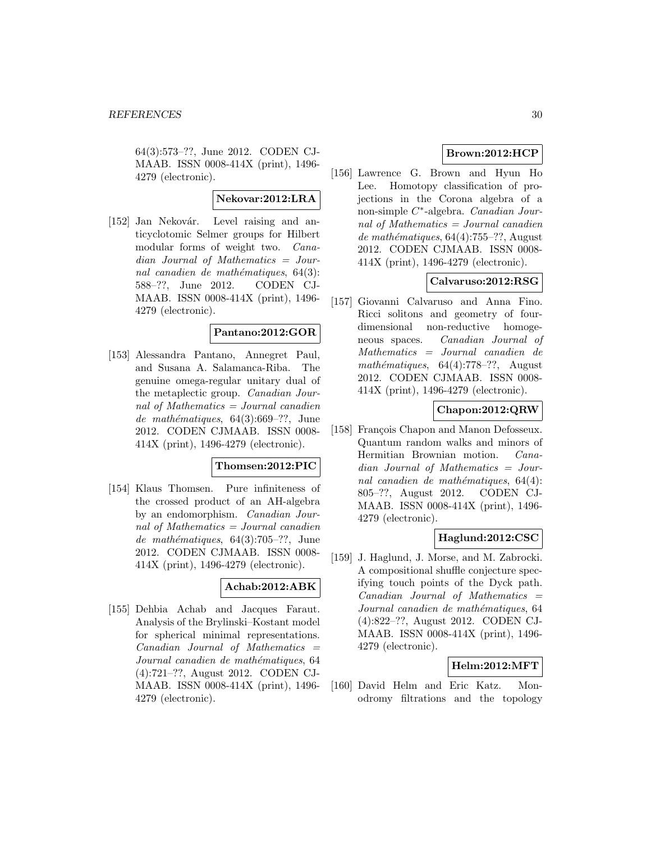64(3):573–??, June 2012. CODEN CJ-MAAB. ISSN 0008-414X (print), 1496- 4279 (electronic).

#### **Nekovar:2012:LRA**

[152] Jan Nekovár. Level raising and anticyclotomic Selmer groups for Hilbert modular forms of weight two. Canadian Journal of Mathematics = Journal canadien de mathématiques,  $64(3)$ : 588–??, June 2012. CODEN CJ-MAAB. ISSN 0008-414X (print), 1496- 4279 (electronic).

# **Pantano:2012:GOR**

[153] Alessandra Pantano, Annegret Paul, and Susana A. Salamanca-Riba. The genuine omega-regular unitary dual of the metaplectic group. Canadian Journal of Mathematics = Journal canadien de mathématiques,  $64(3):669-??$ , June 2012. CODEN CJMAAB. ISSN 0008- 414X (print), 1496-4279 (electronic).

### **Thomsen:2012:PIC**

[154] Klaus Thomsen. Pure infiniteness of the crossed product of an AH-algebra by an endomorphism. Canadian Journal of Mathematics = Journal canadien de mathématiques,  $64(3):705-??$ , June 2012. CODEN CJMAAB. ISSN 0008- 414X (print), 1496-4279 (electronic).

### **Achab:2012:ABK**

[155] Dehbia Achab and Jacques Faraut. Analysis of the Brylinski–Kostant model for spherical minimal representations.  $Canadian$  Journal of Mathematics  $=$ Journal canadien de mathématiques, 64 (4):721–??, August 2012. CODEN CJ-MAAB. ISSN 0008-414X (print), 1496- 4279 (electronic).

# **Brown:2012:HCP**

[156] Lawrence G. Brown and Hyun Ho Lee. Homotopy classification of projections in the Corona algebra of a non-simple C∗-algebra. Canadian Journal of Mathematics  $=$  Journal canadien de mathématiques,  $64(4)$ :755–??, August 2012. CODEN CJMAAB. ISSN 0008- 414X (print), 1496-4279 (electronic).

# **Calvaruso:2012:RSG**

[157] Giovanni Calvaruso and Anna Fino. Ricci solitons and geometry of fourdimensional non-reductive homogeneous spaces. Canadian Journal of Mathematics = Journal canadien de mathématiques,  $64(4):778-??$ , August 2012. CODEN CJMAAB. ISSN 0008- 414X (print), 1496-4279 (electronic).

#### **Chapon:2012:QRW**

[158] François Chapon and Manon Defosseux. Quantum random walks and minors of Hermitian Brownian motion. Canadian Journal of Mathematics = Journal canadien de mathématiques,  $64(4)$ : 805–??, August 2012. CODEN CJ-MAAB. ISSN 0008-414X (print), 1496- 4279 (electronic).

# **Haglund:2012:CSC**

[159] J. Haglund, J. Morse, and M. Zabrocki. A compositional shuffle conjecture specifying touch points of the Dyck path. Canadian Journal of Mathematics = Journal canadien de mathématiques, 64 (4):822–??, August 2012. CODEN CJ-MAAB. ISSN 0008-414X (print), 1496- 4279 (electronic).

# **Helm:2012:MFT**

[160] David Helm and Eric Katz. Monodromy filtrations and the topology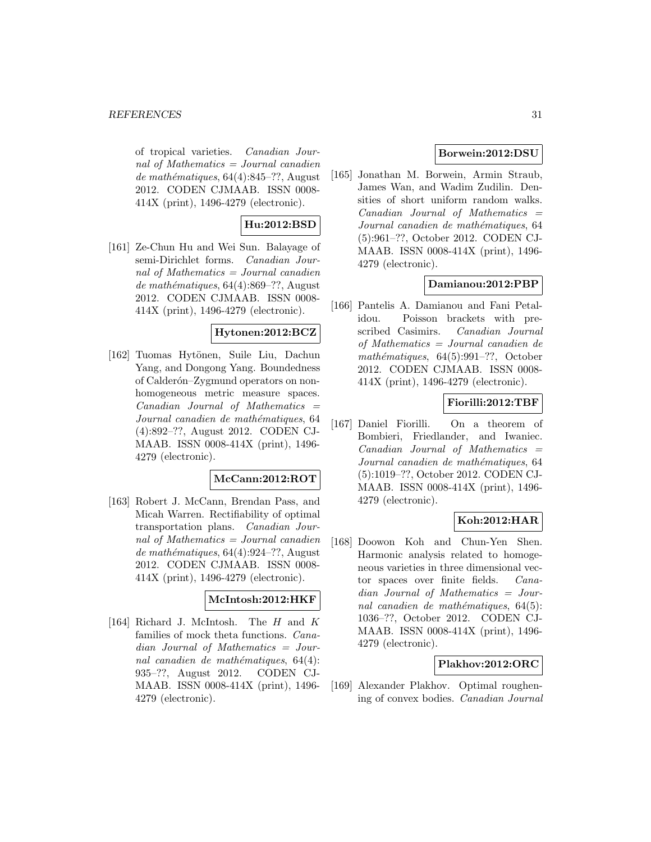of tropical varieties. Canadian Journal of Mathematics = Journal canadien  $de$  mathématiques, 64(4):845–??, August 2012. CODEN CJMAAB. ISSN 0008- 414X (print), 1496-4279 (electronic).

# **Hu:2012:BSD**

[161] Ze-Chun Hu and Wei Sun. Balayage of semi-Dirichlet forms. Canadian Journal of Mathematics  $=$  Journal canadien de mathématiques,  $64(4):869-$ ??, August 2012. CODEN CJMAAB. ISSN 0008- 414X (print), 1496-4279 (electronic).

# **Hytonen:2012:BCZ**

[162] Tuomas Hytönen, Suile Liu, Dachun Yang, and Dongong Yang. Boundedness of Calderón–Zygmund operators on nonhomogeneous metric measure spaces.  $Canadian$  Journal of Mathematics  $=$ Journal canadien de mathématiques, 64 (4):892–??, August 2012. CODEN CJ-MAAB. ISSN 0008-414X (print), 1496- 4279 (electronic).

### **McCann:2012:ROT**

[163] Robert J. McCann, Brendan Pass, and Micah Warren. Rectifiability of optimal transportation plans. Canadian Journal of Mathematics = Journal canadien de mathématiques,  $64(4):924-??$ , August 2012. CODEN CJMAAB. ISSN 0008- 414X (print), 1496-4279 (electronic).

#### **McIntosh:2012:HKF**

[164] Richard J. McIntosh. The H and K families of mock theta functions. Canadian Journal of Mathematics = Journal canadien de mathématiques,  $64(4)$ : 935–??, August 2012. CODEN CJ-MAAB. ISSN 0008-414X (print), 1496- 4279 (electronic).

# **Borwein:2012:DSU**

[165] Jonathan M. Borwein, Armin Straub, James Wan, and Wadim Zudilin. Densities of short uniform random walks.  $Canadian$  Journal of Mathematics  $=$ Journal canadien de mathématiques, 64 (5):961–??, October 2012. CODEN CJ-MAAB. ISSN 0008-414X (print), 1496- 4279 (electronic).

# **Damianou:2012:PBP**

[166] Pantelis A. Damianou and Fani Petalidou. Poisson brackets with prescribed Casimirs. Canadian Journal of Mathematics = Journal canadien de mathématiques,  $64(5):991-??$ , October 2012. CODEN CJMAAB. ISSN 0008- 414X (print), 1496-4279 (electronic).

# **Fiorilli:2012:TBF**

[167] Daniel Fiorilli. On a theorem of Bombieri, Friedlander, and Iwaniec.  $Canadian$  Journal of Mathematics  $=$ Journal canadien de mathématiques, 64 (5):1019–??, October 2012. CODEN CJ-MAAB. ISSN 0008-414X (print), 1496- 4279 (electronic).

## **Koh:2012:HAR**

[168] Doowon Koh and Chun-Yen Shen. Harmonic analysis related to homogeneous varieties in three dimensional vector spaces over finite fields. Canadian Journal of Mathematics = Journal canadien de mathématiques,  $64(5)$ : 1036–??, October 2012. CODEN CJ-MAAB. ISSN 0008-414X (print), 1496- 4279 (electronic).

### **Plakhov:2012:ORC**

[169] Alexander Plakhov. Optimal roughening of convex bodies. Canadian Journal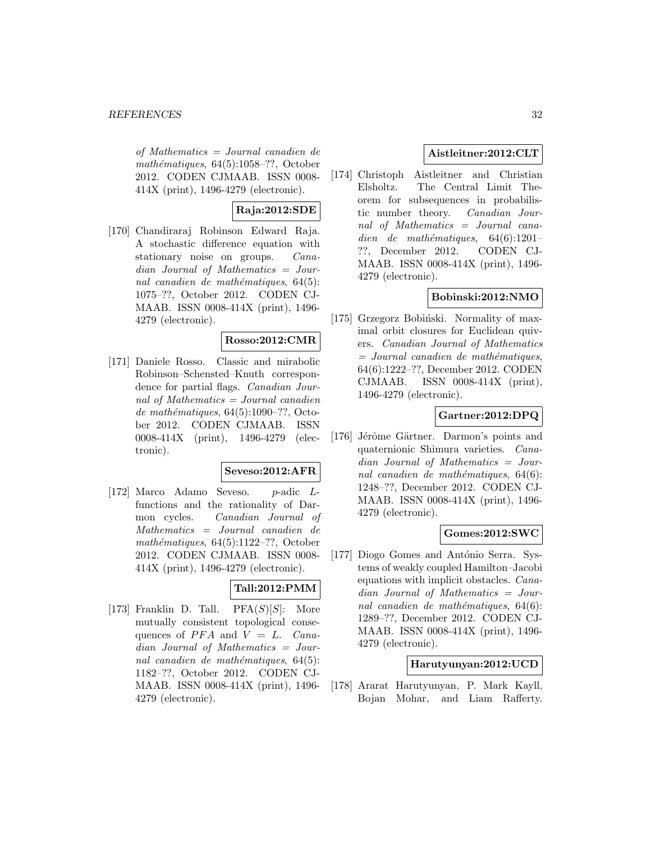of Mathematics = Journal canadien de mathématiques,  $64(5):1058-??$ , October 2012. CODEN CJMAAB. ISSN 0008- 414X (print), 1496-4279 (electronic).

# **Raja:2012:SDE**

[170] Chandiraraj Robinson Edward Raja. A stochastic difference equation with stationary noise on groups. *Cana*dian Journal of Mathematics = Journal canadien de mathématiques,  $64(5)$ : 1075–??, October 2012. CODEN CJ-MAAB. ISSN 0008-414X (print), 1496- 4279 (electronic).

### **Rosso:2012:CMR**

[171] Daniele Rosso. Classic and mirabolic Robinson–Schensted–Knuth correspondence for partial flags. Canadian Journal of Mathematics = Journal canadien de mathématiques,  $64(5):1090-$ ??, October 2012. CODEN CJMAAB. ISSN 0008-414X (print), 1496-4279 (electronic).

### **Seveso:2012:AFR**

[172] Marco Adamo Seveso. p-adic Lfunctions and the rationality of Darmon cycles. Canadian Journal of Mathematics = Journal canadien de mathématiques,  $64(5):1122-??$ , October 2012. CODEN CJMAAB. ISSN 0008- 414X (print), 1496-4279 (electronic).

# **Tall:2012:PMM**

[173] Franklin D. Tall.  $PFA(S)[S]$ : More mutually consistent topological consequences of  $PFA$  and  $V = L$ . Canadian Journal of Mathematics = Journal canadien de mathématiques,  $64(5)$ : 1182–??, October 2012. CODEN CJ-MAAB. ISSN 0008-414X (print), 1496- 4279 (electronic).

# **Aistleitner:2012:CLT**

[174] Christoph Aistleitner and Christian Elsholtz. The Central Limit Theorem for subsequences in probabilistic number theory. Canadian Journal of Mathematics = Journal canadien de mathématiques,  $64(6):1201-$ ??, December 2012. CODEN CJ-MAAB. ISSN 0008-414X (print), 1496- 4279 (electronic).

# **Bobinski:2012:NMO**

[175] Grzegorz Bobiński. Normality of maximal orbit closures for Euclidean quivers. Canadian Journal of Mathematics  $=$  Journal canadien de mathématiques, 64(6):1222–??, December 2012. CODEN CJMAAB. ISSN 0008-414X (print), 1496-4279 (electronic).

# **Gartner:2012:DPQ**

[176] Jérôme Gärtner. Darmon's points and quaternionic Shimura varieties. Canadian Journal of Mathematics = Journal canadien de mathématiques,  $64(6)$ : 1248–??, December 2012. CODEN CJ-MAAB. ISSN 0008-414X (print), 1496- 4279 (electronic).

### **Gomes:2012:SWC**

[177] Diogo Gomes and António Serra. Systems of weakly coupled Hamilton–Jacobi equations with implicit obstacles. Canadian Journal of Mathematics = Journal canadien de mathématiques,  $64(6)$ : 1289–??, December 2012. CODEN CJ-MAAB. ISSN 0008-414X (print), 1496- 4279 (electronic).

### **Harutyunyan:2012:UCD**

[178] Ararat Harutyunyan, P. Mark Kayll, Bojan Mohar, and Liam Rafferty.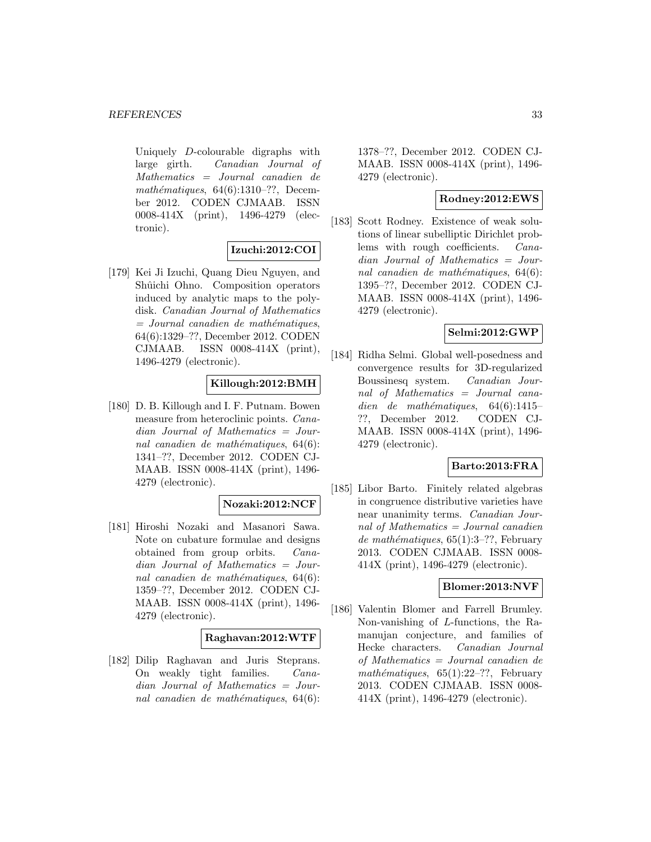Uniquely D-colourable digraphs with large girth. Canadian Journal of Mathematics = Journal canadien de mathématiques,  $64(6):1310-??$ , December 2012. CODEN CJMAAB. ISSN 0008-414X (print), 1496-4279 (electronic).

### **Izuchi:2012:COI**

[179] Kei Ji Izuchi, Quang Dieu Nguyen, and Shûichi Ohno. Composition operators induced by analytic maps to the polydisk. Canadian Journal of Mathematics  $=$  Journal canadien de mathématiques, 64(6):1329–??, December 2012. CODEN CJMAAB. ISSN 0008-414X (print), 1496-4279 (electronic).

### **Killough:2012:BMH**

[180] D. B. Killough and I. F. Putnam. Bowen measure from heteroclinic points. Canadian Journal of Mathematics = Journal canadien de mathématiques,  $64(6)$ : 1341–??, December 2012. CODEN CJ-MAAB. ISSN 0008-414X (print), 1496- 4279 (electronic).

### **Nozaki:2012:NCF**

[181] Hiroshi Nozaki and Masanori Sawa. Note on cubature formulae and designs obtained from group orbits. Canadian Journal of Mathematics = Journal canadien de mathématiques,  $64(6)$ : 1359–??, December 2012. CODEN CJ-MAAB. ISSN 0008-414X (print), 1496- 4279 (electronic).

### **Raghavan:2012:WTF**

[182] Dilip Raghavan and Juris Steprans. On weakly tight families. Canadian Journal of Mathematics = Journal canadien de mathématiques,  $64(6)$ : 1378–??, December 2012. CODEN CJ-MAAB. ISSN 0008-414X (print), 1496- 4279 (electronic).

# **Rodney:2012:EWS**

[183] Scott Rodney. Existence of weak solutions of linear subelliptic Dirichlet problems with rough coefficients. Canadian Journal of Mathematics = Journal canadien de mathématiques,  $64(6)$ : 1395–??, December 2012. CODEN CJ-MAAB. ISSN 0008-414X (print), 1496- 4279 (electronic).

# **Selmi:2012:GWP**

[184] Ridha Selmi. Global well-posedness and convergence results for 3D-regularized Boussinesq system. Canadian Journal of Mathematics = Journal canadien de mathématiques,  $64(6):1415-$ ??, December 2012. CODEN CJ-MAAB. ISSN 0008-414X (print), 1496- 4279 (electronic).

### **Barto:2013:FRA**

[185] Libor Barto. Finitely related algebras in congruence distributive varieties have near unanimity terms. Canadian Journal of Mathematics = Journal canadien de mathématiques,  $65(1):3-??$ , February 2013. CODEN CJMAAB. ISSN 0008- 414X (print), 1496-4279 (electronic).

## **Blomer:2013:NVF**

[186] Valentin Blomer and Farrell Brumley. Non-vanishing of L-functions, the Ramanujan conjecture, and families of Hecke characters. Canadian Journal of Mathematics = Journal canadien de mathématiques,  $65(1):22-??$ , February 2013. CODEN CJMAAB. ISSN 0008- 414X (print), 1496-4279 (electronic).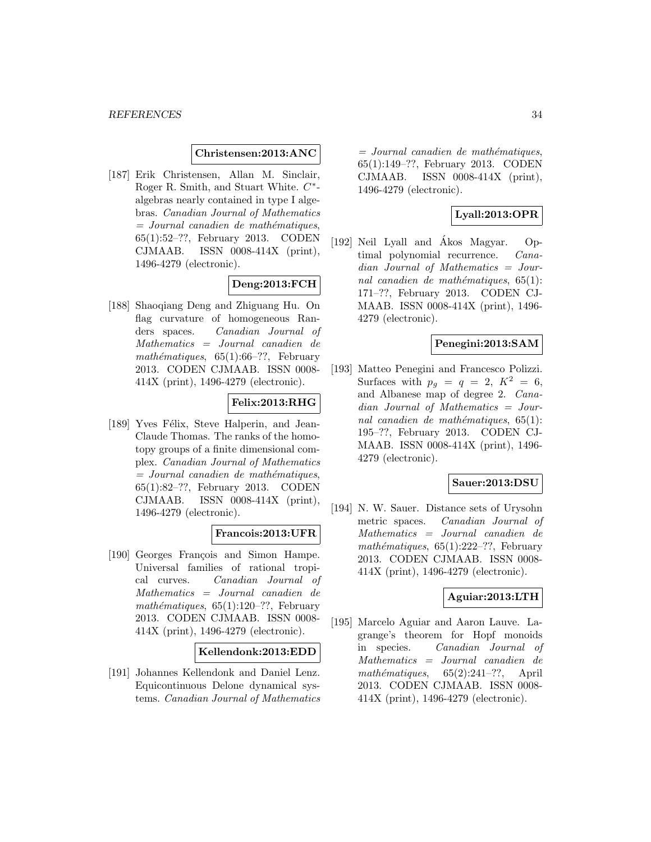#### **Christensen:2013:ANC**

[187] Erik Christensen, Allan M. Sinclair, Roger R. Smith, and Stuart White. C∗ algebras nearly contained in type I algebras. Canadian Journal of Mathematics  $=$  Journal canadien de mathématiques, 65(1):52–??, February 2013. CODEN CJMAAB. ISSN 0008-414X (print), 1496-4279 (electronic).

# **Deng:2013:FCH**

[188] Shaoqiang Deng and Zhiguang Hu. On flag curvature of homogeneous Randers spaces. Canadian Journal of Mathematics = Journal canadien de mathématiques,  $65(1):66-??$ , February 2013. CODEN CJMAAB. ISSN 0008- 414X (print), 1496-4279 (electronic).

# **Felix:2013:RHG**

[189] Yves Félix, Steve Halperin, and Jean-Claude Thomas. The ranks of the homotopy groups of a finite dimensional complex. Canadian Journal of Mathematics  $=$  Journal canadien de mathématiques, 65(1):82–??, February 2013. CODEN CJMAAB. ISSN 0008-414X (print), 1496-4279 (electronic).

### **Francois:2013:UFR**

[190] Georges François and Simon Hampe. Universal families of rational tropical curves. Canadian Journal of Mathematics = Journal canadien de mathématiques,  $65(1):120-??$ , February 2013. CODEN CJMAAB. ISSN 0008- 414X (print), 1496-4279 (electronic).

### **Kellendonk:2013:EDD**

[191] Johannes Kellendonk and Daniel Lenz. Equicontinuous Delone dynamical systems. Canadian Journal of Mathematics  $=$  Journal canadien de mathématiques, 65(1):149–??, February 2013. CODEN CJMAAB. ISSN 0008-414X (print), 1496-4279 (electronic).

# **Lyall:2013:OPR**

[192] Neil Lyall and Akos Magyar. Op- ´ timal polynomial recurrence. Canadian Journal of Mathematics = Journal canadien de mathématiques,  $65(1)$ : 171–??, February 2013. CODEN CJ-MAAB. ISSN 0008-414X (print), 1496- 4279 (electronic).

## **Penegini:2013:SAM**

[193] Matteo Penegini and Francesco Polizzi. Surfaces with  $p_q = q = 2, K^2 = 6$ , and Albanese map of degree 2. Canadian Journal of Mathematics = Journal canadien de mathématiques,  $65(1)$ : 195–??, February 2013. CODEN CJ-MAAB. ISSN 0008-414X (print), 1496- 4279 (electronic).

### **Sauer:2013:DSU**

[194] N. W. Sauer. Distance sets of Urysohn metric spaces. Canadian Journal of Mathematics = Journal canadien de mathématiques,  $65(1):222-??$ , February 2013. CODEN CJMAAB. ISSN 0008- 414X (print), 1496-4279 (electronic).

### **Aguiar:2013:LTH**

[195] Marcelo Aguiar and Aaron Lauve. Lagrange's theorem for Hopf monoids in species. Canadian Journal of Mathematics = Journal canadien de mathématiques,  $65(2):241-??$ , April 2013. CODEN CJMAAB. ISSN 0008- 414X (print), 1496-4279 (electronic).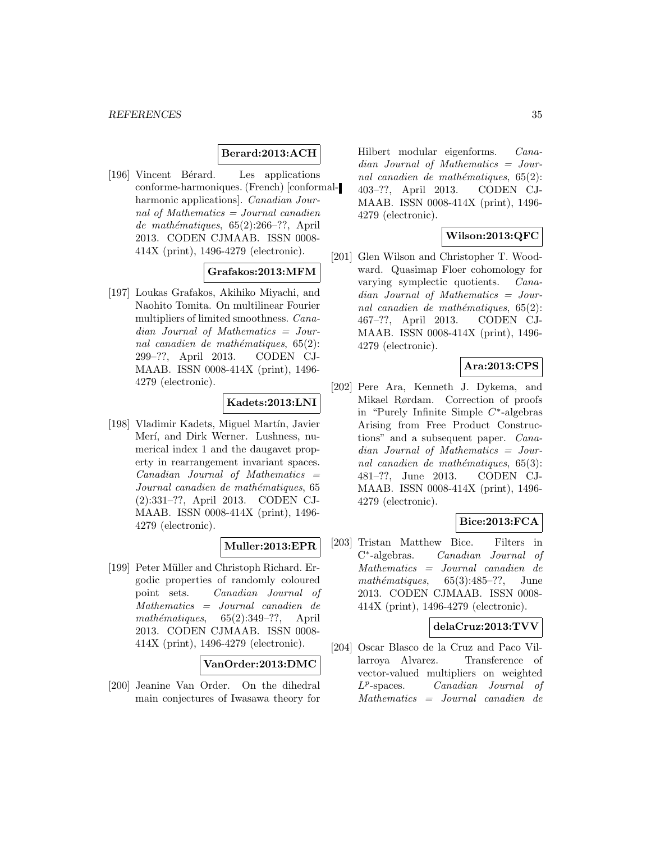# **Berard:2013:ACH**

[196] Vincent Bérard. Les applications conforme-harmoniques. (French) [conformalharmonic applications]. Canadian Journal of Mathematics = Journal canadien de mathématiques,  $65(2):266-??$ , April 2013. CODEN CJMAAB. ISSN 0008- 414X (print), 1496-4279 (electronic).

### **Grafakos:2013:MFM**

[197] Loukas Grafakos, Akihiko Miyachi, and Naohito Tomita. On multilinear Fourier multipliers of limited smoothness. Canadian Journal of Mathematics = Journal canadien de mathématiques,  $65(2)$ : 299–??, April 2013. CODEN CJ-MAAB. ISSN 0008-414X (print), 1496- 4279 (electronic).

# **Kadets:2013:LNI**

[198] Vladimir Kadets, Miguel Martín, Javier Merí, and Dirk Werner. Lushness, numerical index 1 and the daugavet property in rearrangement invariant spaces.  $Canadian$  Journal of Mathematics  $=$ Journal canadien de mathématiques, 65 (2):331–??, April 2013. CODEN CJ-MAAB. ISSN 0008-414X (print), 1496- 4279 (electronic).

### **Muller:2013:EPR**

[199] Peter Müller and Christoph Richard. Ergodic properties of randomly coloured point sets. Canadian Journal of Mathematics = Journal canadien de  $mathématiques, 65(2):349-??,$  April 2013. CODEN CJMAAB. ISSN 0008- 414X (print), 1496-4279 (electronic).

#### **VanOrder:2013:DMC**

[200] Jeanine Van Order. On the dihedral main conjectures of Iwasawa theory for

Hilbert modular eigenforms. Canadian Journal of Mathematics = Journal canadien de mathématiques,  $65(2)$ : 403–??, April 2013. CODEN CJ-MAAB. ISSN 0008-414X (print), 1496- 4279 (electronic).

# **Wilson:2013:QFC**

[201] Glen Wilson and Christopher T. Woodward. Quasimap Floer cohomology for varying symplectic quotients. Canadian Journal of Mathematics = Journal canadien de mathématiques,  $65(2)$ : 467–??, April 2013. CODEN CJ-MAAB. ISSN 0008-414X (print), 1496- 4279 (electronic).

### **Ara:2013:CPS**

[202] Pere Ara, Kenneth J. Dykema, and Mikael Rørdam. Correction of proofs in "Purely Infinite Simple C∗-algebras Arising from Free Product Constructions" and a subsequent paper. Canadian Journal of Mathematics = Journal canadien de mathématiques,  $65(3)$ : 481–??, June 2013. CODEN CJ-MAAB. ISSN 0008-414X (print), 1496- 4279 (electronic).

### **Bice:2013:FCA**

[203] Tristan Matthew Bice. Filters in C∗-algebras. Canadian Journal of Mathematics = Journal canadien de mathématiques,  $65(3):485-??$ , June 2013. CODEN CJMAAB. ISSN 0008- 414X (print), 1496-4279 (electronic).

#### **delaCruz:2013:TVV**

[204] Oscar Blasco de la Cruz and Paco Villarroya Alvarez. Transference of vector-valued multipliers on weighted  $L^p$ -spaces. *Canadian Journal of* Mathematics = Journal canadien de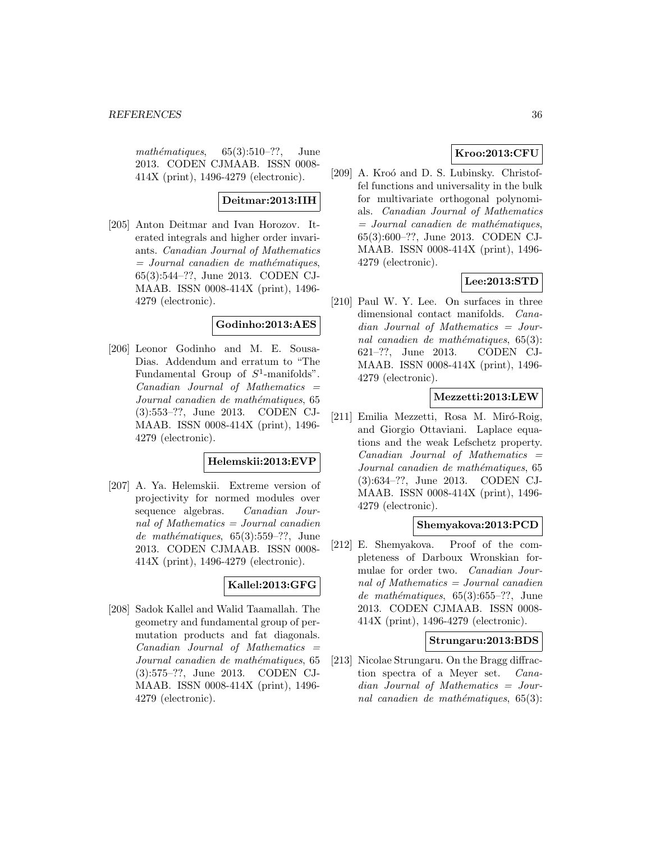mathématiques,  $65(3):510-??$ , June 2013. CODEN CJMAAB. ISSN 0008- 414X (print), 1496-4279 (electronic).

# **Deitmar:2013:IIH**

[205] Anton Deitmar and Ivan Horozov. Iterated integrals and higher order invariants. Canadian Journal of Mathematics  $=$  Journal canadien de mathématiques, 65(3):544–??, June 2013. CODEN CJ-MAAB. ISSN 0008-414X (print), 1496- 4279 (electronic).

# **Godinho:2013:AES**

[206] Leonor Godinho and M. E. Sousa-Dias. Addendum and erratum to "The Fundamental Group of  $S^1$ -manifolds".  $Canadian$  Journal of Mathematics  $=$ Journal canadien de mathématiques, 65 (3):553–??, June 2013. CODEN CJ-MAAB. ISSN 0008-414X (print), 1496- 4279 (electronic).

### **Helemskii:2013:EVP**

[207] A. Ya. Helemskii. Extreme version of projectivity for normed modules over sequence algebras. Canadian Journal of Mathematics = Journal canadien de mathématiques, 65(3):559-??, June 2013. CODEN CJMAAB. ISSN 0008- 414X (print), 1496-4279 (electronic).

# **Kallel:2013:GFG**

[208] Sadok Kallel and Walid Taamallah. The geometry and fundamental group of permutation products and fat diagonals.  $Canadian$  Journal of Mathematics  $=$ Journal canadien de mathématiques, 65 (3):575–??, June 2013. CODEN CJ-MAAB. ISSN 0008-414X (print), 1496- 4279 (electronic).

# **Kroo:2013:CFU**

[209] A. Kroó and D. S. Lubinsky. Christoffel functions and universality in the bulk for multivariate orthogonal polynomials. Canadian Journal of Mathematics  $=$  Journal canadien de mathématiques, 65(3):600–??, June 2013. CODEN CJ-MAAB. ISSN 0008-414X (print), 1496- 4279 (electronic).

# **Lee:2013:STD**

[210] Paul W. Y. Lee. On surfaces in three dimensional contact manifolds. Canadian Journal of Mathematics = Journal canadien de mathématiques,  $65(3)$ : 621–??, June 2013. CODEN CJ-MAAB. ISSN 0008-414X (print), 1496- 4279 (electronic).

### **Mezzetti:2013:LEW**

[211] Emilia Mezzetti, Rosa M. Miró-Roig, and Giorgio Ottaviani. Laplace equations and the weak Lefschetz property.  $Canadian$  Journal of Mathematics  $=$ Journal canadien de mathématiques, 65 (3):634–??, June 2013. CODEN CJ-MAAB. ISSN 0008-414X (print), 1496- 4279 (electronic).

# **Shemyakova:2013:PCD**

[212] E. Shemyakova. Proof of the completeness of Darboux Wronskian formulae for order two. Canadian Journal of Mathematics = Journal canadien de mathématiques,  $65(3):655-??$ , June 2013. CODEN CJMAAB. ISSN 0008- 414X (print), 1496-4279 (electronic).

#### **Strungaru:2013:BDS**

[213] Nicolae Strungaru. On the Bragg diffraction spectra of a Meyer set. Canadian Journal of Mathematics = Journal canadien de mathématiques,  $65(3)$ :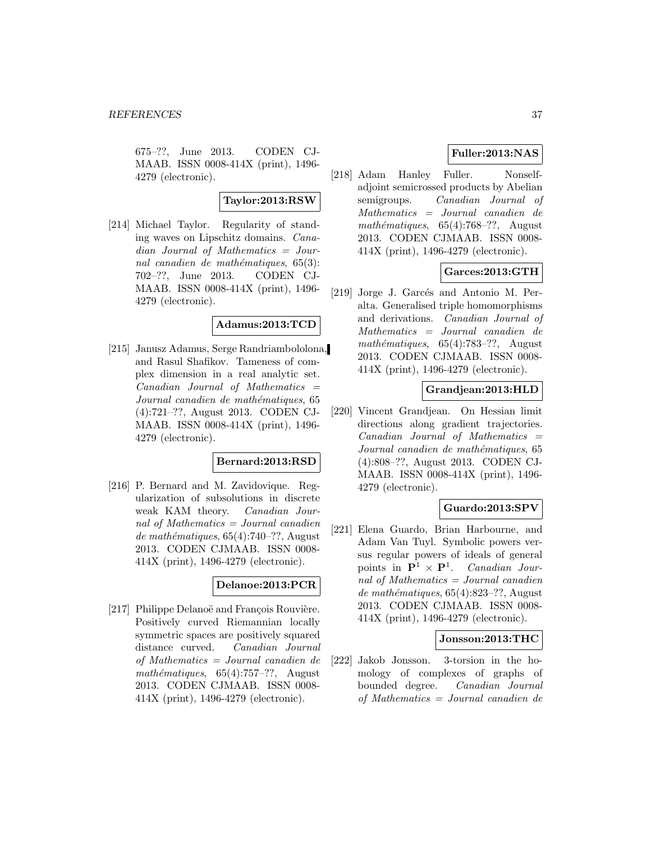675–??, June 2013. CODEN CJ-MAAB. ISSN 0008-414X (print), 1496- 4279 (electronic).

### **Taylor:2013:RSW**

[214] Michael Taylor. Regularity of standing waves on Lipschitz domains. Canadian Journal of Mathematics = Journal canadien de mathématiques,  $65(3)$ : 702–??, June 2013. CODEN CJ-MAAB. ISSN 0008-414X (print), 1496- 4279 (electronic).

### **Adamus:2013:TCD**

[215] Janusz Adamus, Serge Randriambololona, and Rasul Shafikov. Tameness of complex dimension in a real analytic set.  $Canadian$  Journal of Mathematics  $=$ Journal canadien de mathématiques, 65 (4):721–??, August 2013. CODEN CJ-MAAB. ISSN 0008-414X (print), 1496- 4279 (electronic).

### **Bernard:2013:RSD**

[216] P. Bernard and M. Zavidovique. Regularization of subsolutions in discrete weak KAM theory. Canadian Journal of Mathematics = Journal canadien de mathématiques,  $65(4):740-??$ , August 2013. CODEN CJMAAB. ISSN 0008- 414X (print), 1496-4279 (electronic).

# **Delanoe:2013:PCR**

[217] Philippe Delanoë and François Rouvière. Positively curved Riemannian locally symmetric spaces are positively squared distance curved. Canadian Journal of Mathematics = Journal canadien de mathématiques,  $65(4):757-??$ , August 2013. CODEN CJMAAB. ISSN 0008- 414X (print), 1496-4279 (electronic).

# **Fuller:2013:NAS**

[218] Adam Hanley Fuller. Nonselfadjoint semicrossed products by Abelian semigroups. Canadian Journal of Mathematics = Journal canadien de mathématiques,  $65(4):768-??$ , August 2013. CODEN CJMAAB. ISSN 0008- 414X (print), 1496-4279 (electronic).

# **Garces:2013:GTH**

[219] Jorge J. Garcés and Antonio M. Peralta. Generalised triple homomorphisms and derivations. Canadian Journal of Mathematics = Journal canadien de mathématiques,  $65(4):783-??$ , August 2013. CODEN CJMAAB. ISSN 0008- 414X (print), 1496-4279 (electronic).

# **Grandjean:2013:HLD**

[220] Vincent Grandjean. On Hessian limit directions along gradient trajectories.  $Canadian$  Journal of Mathematics  $=$ Journal canadien de mathématiques, 65 (4):808–??, August 2013. CODEN CJ-MAAB. ISSN 0008-414X (print), 1496- 4279 (electronic).

# **Guardo:2013:SPV**

[221] Elena Guardo, Brian Harbourne, and Adam Van Tuyl. Symbolic powers versus regular powers of ideals of general points in  $\mathbf{P}^1 \times \mathbf{P}^1$ . Canadian Journal of Mathematics = Journal canadien de mathématiques,  $65(4):823-$ ??, August 2013. CODEN CJMAAB. ISSN 0008- 414X (print), 1496-4279 (electronic).

#### **Jonsson:2013:THC**

[222] Jakob Jonsson. 3-torsion in the homology of complexes of graphs of bounded degree. Canadian Journal of Mathematics = Journal canadien de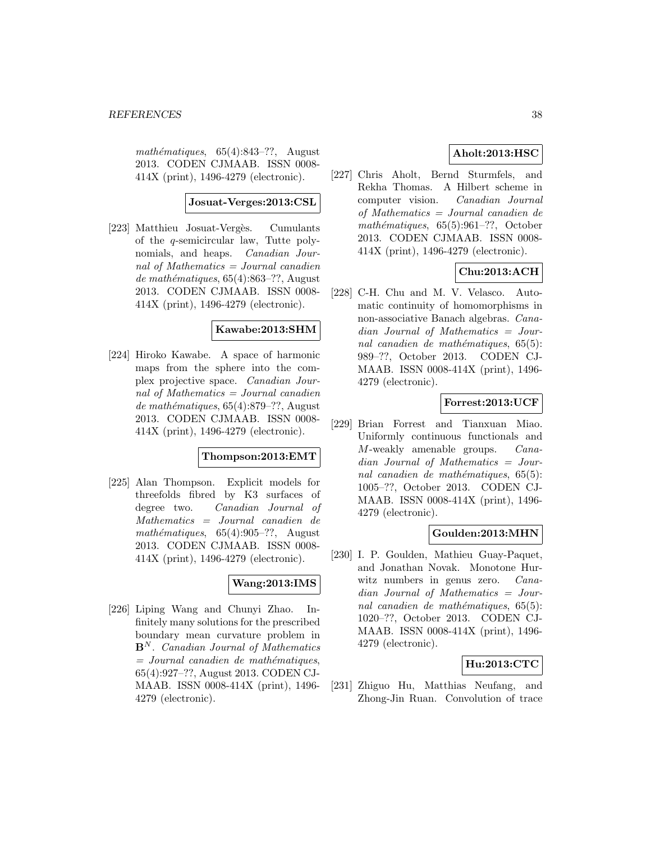mathématiques,  $65(4):843-??$ , August 2013. CODEN CJMAAB. ISSN 0008- 414X (print), 1496-4279 (electronic).

#### **Josuat-Verges:2013:CSL**

[223] Matthieu Josuat-Vergès. Cumulants of the q-semicircular law, Tutte polynomials, and heaps. Canadian Journal of Mathematics = Journal canadien de mathématiques,  $65(4):863-??$ , August 2013. CODEN CJMAAB. ISSN 0008- 414X (print), 1496-4279 (electronic).

### **Kawabe:2013:SHM**

[224] Hiroko Kawabe. A space of harmonic maps from the sphere into the complex projective space. Canadian Journal of Mathematics = Journal canadien de mathématiques,  $65(4):879-$ ??, August 2013. CODEN CJMAAB. ISSN 0008- 414X (print), 1496-4279 (electronic).

# **Thompson:2013:EMT**

[225] Alan Thompson. Explicit models for threefolds fibred by K3 surfaces of degree two. Canadian Journal of Mathematics = Journal canadien de mathématiques,  $65(4):905-??$ , August 2013. CODEN CJMAAB. ISSN 0008- 414X (print), 1496-4279 (electronic).

# **Wang:2013:IMS**

[226] Liping Wang and Chunyi Zhao. Infinitely many solutions for the prescribed boundary mean curvature problem in **B**<sup>N</sup> . Canadian Journal of Mathematics  $=$  Journal canadien de mathématiques, 65(4):927–??, August 2013. CODEN CJ-MAAB. ISSN 0008-414X (print), 1496- 4279 (electronic).

# **Aholt:2013:HSC**

[227] Chris Aholt, Bernd Sturmfels, and Rekha Thomas. A Hilbert scheme in computer vision. Canadian Journal of Mathematics = Journal canadien de mathématiques,  $65(5):961-??$ , October 2013. CODEN CJMAAB. ISSN 0008- 414X (print), 1496-4279 (electronic).

# **Chu:2013:ACH**

[228] C-H. Chu and M. V. Velasco. Automatic continuity of homomorphisms in non-associative Banach algebras. Canadian Journal of Mathematics = Journal canadien de mathématiques,  $65(5)$ : 989–??, October 2013. CODEN CJ-MAAB. ISSN 0008-414X (print), 1496- 4279 (electronic).

# **Forrest:2013:UCF**

[229] Brian Forrest and Tianxuan Miao. Uniformly continuous functionals and M-weakly amenable groups. Canadian Journal of Mathematics = Journal canadien de mathématiques,  $65(5)$ : 1005–??, October 2013. CODEN CJ-MAAB. ISSN 0008-414X (print), 1496- 4279 (electronic).

### **Goulden:2013:MHN**

[230] I. P. Goulden, Mathieu Guay-Paquet, and Jonathan Novak. Monotone Hurwitz numbers in genus zero. Canadian Journal of Mathematics = Journal canadien de mathématiques,  $65(5)$ : 1020–??, October 2013. CODEN CJ-MAAB. ISSN 0008-414X (print), 1496- 4279 (electronic).

### **Hu:2013:CTC**

[231] Zhiguo Hu, Matthias Neufang, and Zhong-Jin Ruan. Convolution of trace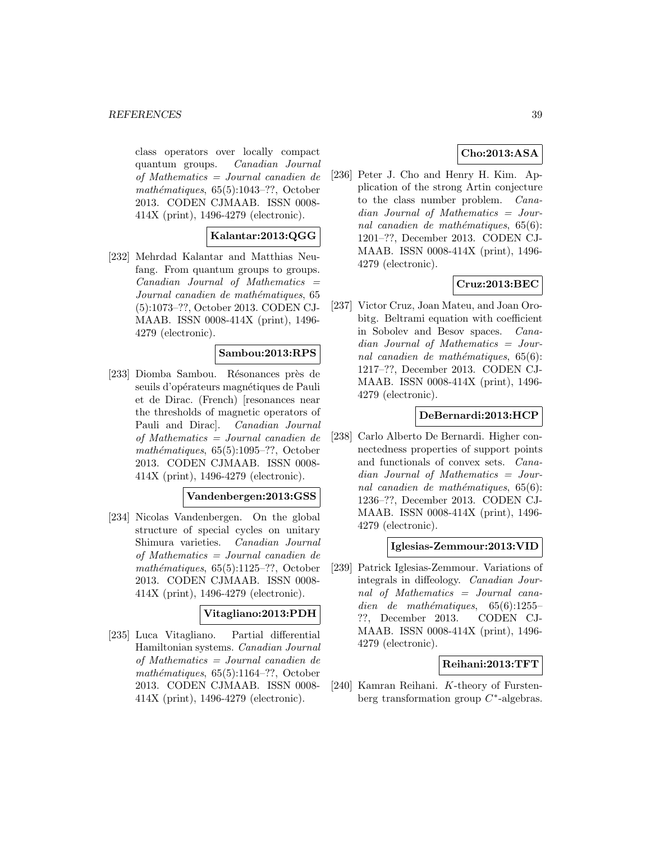class operators over locally compact quantum groups. Canadian Journal of Mathematics = Journal canadien de mathématiques,  $65(5):1043-??$ , October 2013. CODEN CJMAAB. ISSN 0008- 414X (print), 1496-4279 (electronic).

### **Kalantar:2013:QGG**

[232] Mehrdad Kalantar and Matthias Neufang. From quantum groups to groups.  $Canadian$  Journal of Mathematics  $=$ Journal canadien de mathématiques, 65 (5):1073–??, October 2013. CODEN CJ-MAAB. ISSN 0008-414X (print), 1496- 4279 (electronic).

### **Sambou:2013:RPS**

[233] Diomba Sambou. Résonances près de seuils d'opérateurs magnétiques de Pauli et de Dirac. (French) [resonances near the thresholds of magnetic operators of Pauli and Dirac]. Canadian Journal of Mathematics = Journal canadien de mathématiques,  $65(5):1095-??$ , October 2013. CODEN CJMAAB. ISSN 0008- 414X (print), 1496-4279 (electronic).

### **Vandenbergen:2013:GSS**

[234] Nicolas Vandenbergen. On the global structure of special cycles on unitary Shimura varieties. Canadian Journal of Mathematics = Journal canadien de mathématiques,  $65(5):1125-??$ , October 2013. CODEN CJMAAB. ISSN 0008- 414X (print), 1496-4279 (electronic).

### **Vitagliano:2013:PDH**

[235] Luca Vitagliano. Partial differential Hamiltonian systems. Canadian Journal of Mathematics = Journal canadien de mathématiques,  $65(5):1164-??$ , October 2013. CODEN CJMAAB. ISSN 0008- 414X (print), 1496-4279 (electronic).

# **Cho:2013:ASA**

[236] Peter J. Cho and Henry H. Kim. Application of the strong Artin conjecture to the class number problem. Canadian Journal of Mathematics = Journal canadien de mathématiques,  $65(6)$ : 1201–??, December 2013. CODEN CJ-MAAB. ISSN 0008-414X (print), 1496- 4279 (electronic).

# **Cruz:2013:BEC**

[237] Victor Cruz, Joan Mateu, and Joan Orobitg. Beltrami equation with coefficient in Sobolev and Besov spaces. Canadian Journal of Mathematics = Journal canadien de mathématiques,  $65(6)$ : 1217–??, December 2013. CODEN CJ-MAAB. ISSN 0008-414X (print), 1496- 4279 (electronic).

### **DeBernardi:2013:HCP**

[238] Carlo Alberto De Bernardi. Higher connectedness properties of support points and functionals of convex sets. Canadian Journal of Mathematics = Journal canadien de mathématiques,  $65(6)$ : 1236–??, December 2013. CODEN CJ-MAAB. ISSN 0008-414X (print), 1496- 4279 (electronic).

### **Iglesias-Zemmour:2013:VID**

[239] Patrick Iglesias-Zemmour. Variations of integrals in diffeology. Canadian Journal of Mathematics = Journal canadien de mathématiques,  $65(6):1255-$ ??, December 2013. CODEN CJ-MAAB. ISSN 0008-414X (print), 1496- 4279 (electronic).

### **Reihani:2013:TFT**

[240] Kamran Reihani. K-theory of Furstenberg transformation group C∗-algebras.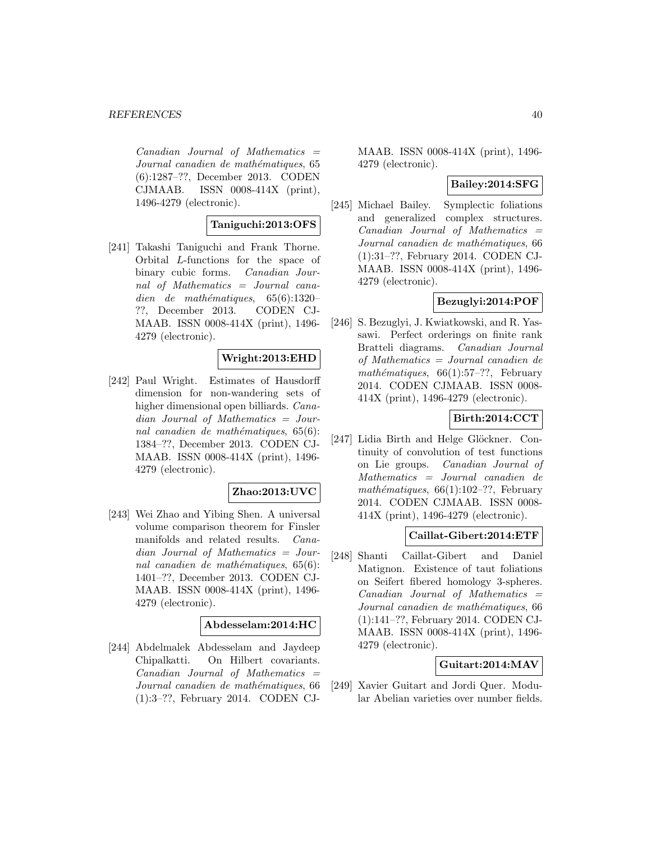$Canadian$  Journal of Mathematics  $=$ Journal canadien de mathématiques, 65 (6):1287–??, December 2013. CODEN CJMAAB. ISSN 0008-414X (print), 1496-4279 (electronic).

### **Taniguchi:2013:OFS**

[241] Takashi Taniguchi and Frank Thorne. Orbital L-functions for the space of binary cubic forms. Canadian Journal of Mathematics = Journal canadien de mathématiques,  $65(6):1320-$ ??, December 2013. CODEN CJ-MAAB. ISSN 0008-414X (print), 1496- 4279 (electronic).

### **Wright:2013:EHD**

[242] Paul Wright. Estimates of Hausdorff dimension for non-wandering sets of higher dimensional open billiards. Canadian Journal of Mathematics = Journal canadien de mathématiques,  $65(6)$ : 1384–??, December 2013. CODEN CJ-MAAB. ISSN 0008-414X (print), 1496- 4279 (electronic).

### **Zhao:2013:UVC**

[243] Wei Zhao and Yibing Shen. A universal volume comparison theorem for Finsler manifolds and related results. Canadian Journal of Mathematics = Journal canadien de mathématiques,  $65(6)$ : 1401–??, December 2013. CODEN CJ-MAAB. ISSN 0008-414X (print), 1496- 4279 (electronic).

#### **Abdesselam:2014:HC**

[244] Abdelmalek Abdesselam and Jaydeep Chipalkatti. On Hilbert covariants.  $Canadian$  Journal of Mathematics  $=$ Journal canadien de mathématiques, 66 (1):3–??, February 2014. CODEN CJ-

MAAB. ISSN 0008-414X (print), 1496- 4279 (electronic).

### **Bailey:2014:SFG**

[245] Michael Bailey. Symplectic foliations and generalized complex structures.  $Canadian$  Journal of Mathematics  $=$ Journal canadien de mathématiques, 66 (1):31–??, February 2014. CODEN CJ-MAAB. ISSN 0008-414X (print), 1496- 4279 (electronic).

### **Bezuglyi:2014:POF**

[246] S. Bezuglyi, J. Kwiatkowski, and R. Yassawi. Perfect orderings on finite rank Bratteli diagrams. Canadian Journal of Mathematics = Journal canadien de mathématiques,  $66(1):57-??$ , February 2014. CODEN CJMAAB. ISSN 0008- 414X (print), 1496-4279 (electronic).

# **Birth:2014:CCT**

[247] Lidia Birth and Helge Glöckner. Continuity of convolution of test functions on Lie groups. Canadian Journal of Mathematics = Journal canadien de mathématiques,  $66(1):102-??$ , February 2014. CODEN CJMAAB. ISSN 0008- 414X (print), 1496-4279 (electronic).

### **Caillat-Gibert:2014:ETF**

[248] Shanti Caillat-Gibert and Daniel Matignon. Existence of taut foliations on Seifert fibered homology 3-spheres.  $Canadian$  Journal of Mathematics  $=$ Journal canadien de mathématiques, 66 (1):141–??, February 2014. CODEN CJ-MAAB. ISSN 0008-414X (print), 1496- 4279 (electronic).

# **Guitart:2014:MAV**

[249] Xavier Guitart and Jordi Quer. Modular Abelian varieties over number fields.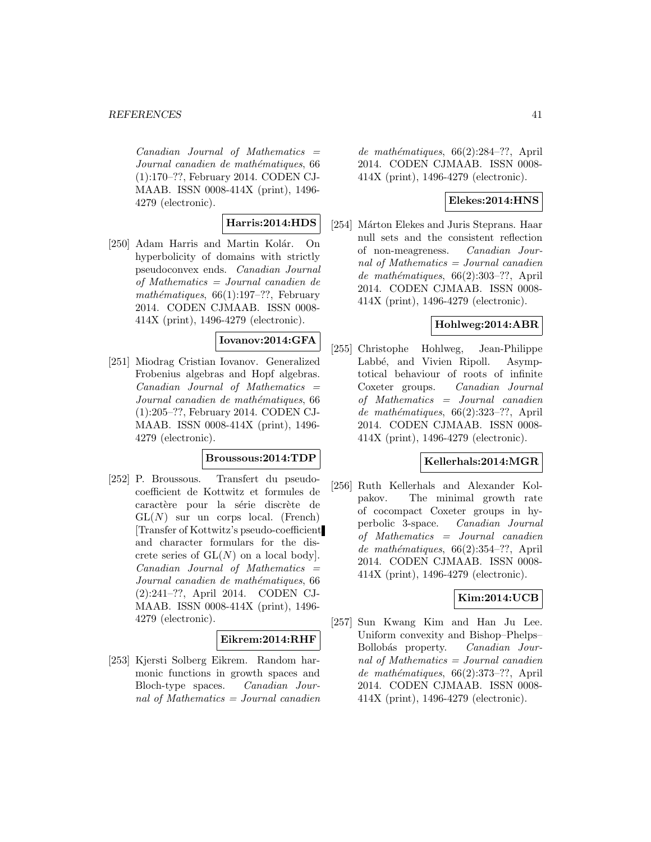$Canadian$  Journal of Mathematics  $=$ Journal canadien de mathématiques, 66 (1):170–??, February 2014. CODEN CJ-MAAB. ISSN 0008-414X (print), 1496- 4279 (electronic).

# **Harris:2014:HDS**

[250] Adam Harris and Martin Kolár. On hyperbolicity of domains with strictly pseudoconvex ends. Canadian Journal of Mathematics = Journal canadien de mathématiques,  $66(1):197-??$ , February 2014. CODEN CJMAAB. ISSN 0008- 414X (print), 1496-4279 (electronic).

# **Iovanov:2014:GFA**

[251] Miodrag Cristian Iovanov. Generalized Frobenius algebras and Hopf algebras.  $Canadian$  Journal of Mathematics  $=$ Journal canadien de mathématiques, 66 (1):205–??, February 2014. CODEN CJ-MAAB. ISSN 0008-414X (print), 1496- 4279 (electronic).

### **Broussous:2014:TDP**

[252] P. Broussous. Transfert du pseudocoefficient de Kottwitz et formules de caractère pour la série discrète de  $GL(N)$  sur un corps local. (French) [Transfer of Kottwitz's pseudo-coefficient and character formulars for the discrete series of  $GL(N)$  on a local body].  $Canadian$  Journal of Mathematics  $=$ Journal canadien de mathématiques, 66 (2):241–??, April 2014. CODEN CJ-MAAB. ISSN 0008-414X (print), 1496- 4279 (electronic).

### **Eikrem:2014:RHF**

[253] Kjersti Solberg Eikrem. Random harmonic functions in growth spaces and Bloch-type spaces. Canadian Journal of Mathematics = Journal canadien

de mathématiques,  $66(2):284-??$ , April 2014. CODEN CJMAAB. ISSN 0008- 414X (print), 1496-4279 (electronic).

### **Elekes:2014:HNS**

[254] Márton Elekes and Juris Steprans. Haar null sets and the consistent reflection of non-meagreness. Canadian Journal of Mathematics = Journal canadien de mathématiques, 66(2):303-??, April 2014. CODEN CJMAAB. ISSN 0008- 414X (print), 1496-4279 (electronic).

#### **Hohlweg:2014:ABR**

[255] Christophe Hohlweg, Jean-Philippe Labbé, and Vivien Ripoll. Asymptotical behaviour of roots of infinite Coxeter groups. Canadian Journal of Mathematics = Journal canadien de mathématiques,  $66(2):323-??$ , April 2014. CODEN CJMAAB. ISSN 0008- 414X (print), 1496-4279 (electronic).

#### **Kellerhals:2014:MGR**

[256] Ruth Kellerhals and Alexander Kolpakov. The minimal growth rate of cocompact Coxeter groups in hyperbolic 3-space. Canadian Journal of Mathematics = Journal canadien de mathématiques,  $66(2):354-??$ , April 2014. CODEN CJMAAB. ISSN 0008- 414X (print), 1496-4279 (electronic).

# **Kim:2014:UCB**

[257] Sun Kwang Kim and Han Ju Lee. Uniform convexity and Bishop–Phelps– Bollobás property. Canadian Journal of Mathematics  $=$  Journal canadien de mathématiques, 66(2):373-??, April 2014. CODEN CJMAAB. ISSN 0008- 414X (print), 1496-4279 (electronic).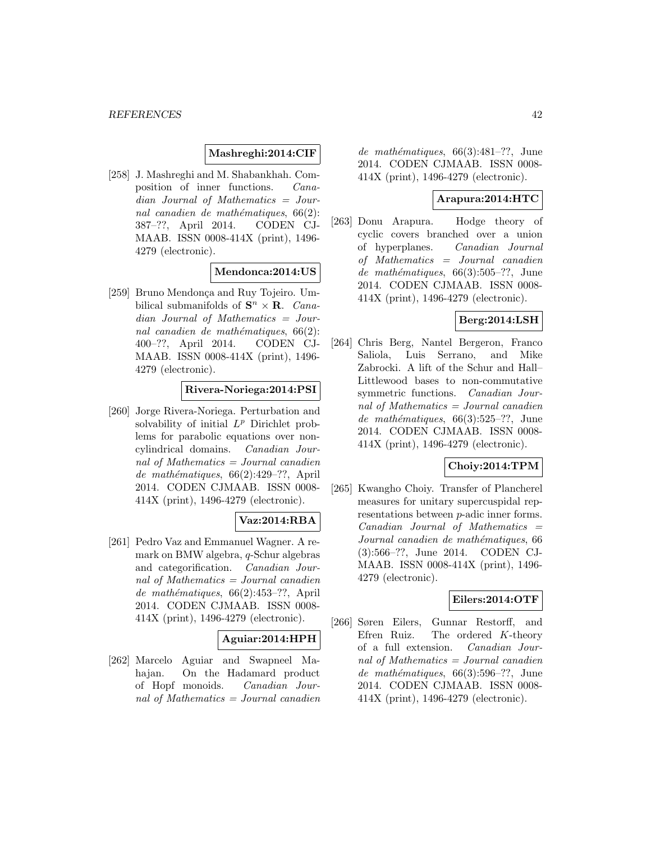# **Mashreghi:2014:CIF**

[258] J. Mashreghi and M. Shabankhah. Composition of inner functions. Canadian Journal of Mathematics = Journal canadien de mathématiques,  $66(2)$ : 387–??, April 2014. CODEN CJ-MAAB. ISSN 0008-414X (print), 1496- 4279 (electronic).

### **Mendonca:2014:US**

[259] Bruno Mendonça and Ruy Tojeiro. Umbilical submanifolds of  $S<sup>n</sup> \times R$ . Canadian Journal of Mathematics = Journal canadien de mathématiques,  $66(2)$ : 400–??, April 2014. CODEN CJ-MAAB. ISSN 0008-414X (print), 1496- 4279 (electronic).

#### **Rivera-Noriega:2014:PSI**

[260] Jorge Rivera-Noriega. Perturbation and solvability of initial  $L^p$  Dirichlet problems for parabolic equations over noncylindrical domains. Canadian Journal of Mathematics = Journal canadien de mathématiques,  $66(2):429-??$ , April 2014. CODEN CJMAAB. ISSN 0008- 414X (print), 1496-4279 (electronic).

# **Vaz:2014:RBA**

[261] Pedro Vaz and Emmanuel Wagner. A remark on BMW algebra, q-Schur algebras and categorification. Canadian Journal of Mathematics = Journal canadien de mathématiques,  $66(2):453-??$ , April 2014. CODEN CJMAAB. ISSN 0008- 414X (print), 1496-4279 (electronic).

### **Aguiar:2014:HPH**

[262] Marcelo Aguiar and Swapneel Mahajan. On the Hadamard product of Hopf monoids. Canadian Journal of Mathematics = Journal canadien

de mathématiques,  $66(3):481-??$ , June 2014. CODEN CJMAAB. ISSN 0008- 414X (print), 1496-4279 (electronic).

### **Arapura:2014:HTC**

[263] Donu Arapura. Hodge theory of cyclic covers branched over a union of hyperplanes. Canadian Journal of Mathematics = Journal canadien de mathématiques,  $66(3):505-??$ , June 2014. CODEN CJMAAB. ISSN 0008- 414X (print), 1496-4279 (electronic).

### **Berg:2014:LSH**

[264] Chris Berg, Nantel Bergeron, Franco Saliola, Luis Serrano, and Mike Zabrocki. A lift of the Schur and Hall– Littlewood bases to non-commutative symmetric functions. Canadian Journal of Mathematics = Journal canadien de mathématiques,  $66(3):525-??$ , June 2014. CODEN CJMAAB. ISSN 0008- 414X (print), 1496-4279 (electronic).

### **Choiy:2014:TPM**

[265] Kwangho Choiy. Transfer of Plancherel measures for unitary supercuspidal representations between p-adic inner forms.  $Canadian$  Journal of Mathematics  $=$ Journal canadien de mathématiques, 66 (3):566–??, June 2014. CODEN CJ-MAAB. ISSN 0008-414X (print), 1496- 4279 (electronic).

### **Eilers:2014:OTF**

[266] Søren Eilers, Gunnar Restorff, and Efren Ruiz. The ordered K-theory of a full extension. Canadian Journal of Mathematics  $=$  Journal canadien de mathématiques,  $66(3):596-??$ , June 2014. CODEN CJMAAB. ISSN 0008- 414X (print), 1496-4279 (electronic).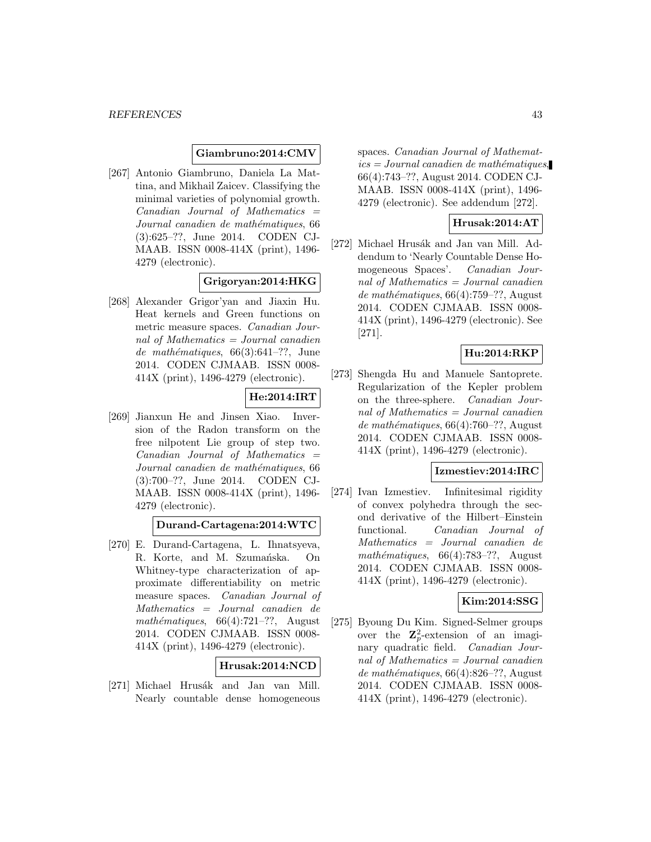# **Giambruno:2014:CMV**

[267] Antonio Giambruno, Daniela La Mattina, and Mikhail Zaicev. Classifying the minimal varieties of polynomial growth.  $Canadian$  Journal of Mathematics  $=$ Journal canadien de mathématiques, 66 (3):625–??, June 2014. CODEN CJ-MAAB. ISSN 0008-414X (print), 1496- 4279 (electronic).

# **Grigoryan:2014:HKG**

[268] Alexander Grigor'yan and Jiaxin Hu. Heat kernels and Green functions on metric measure spaces. Canadian Journal of Mathematics  $=$  Journal canadien de mathématiques,  $66(3):641-??$ , June 2014. CODEN CJMAAB. ISSN 0008- 414X (print), 1496-4279 (electronic).

# **He:2014:IRT**

[269] Jianxun He and Jinsen Xiao. Inversion of the Radon transform on the free nilpotent Lie group of step two. Canadian Journal of Mathematics = Journal canadien de mathématiques, 66 (3):700–??, June 2014. CODEN CJ-MAAB. ISSN 0008-414X (print), 1496- 4279 (electronic).

**Durand-Cartagena:2014:WTC**

[270] E. Durand-Cartagena, L. Ihnatsyeva, R. Korte, and M. Szumańska. On Whitney-type characterization of approximate differentiability on metric measure spaces. Canadian Journal of Mathematics = Journal canadien de mathématiques,  $66(4):721-??$ , August 2014. CODEN CJMAAB. ISSN 0008- 414X (print), 1496-4279 (electronic).

### **Hrusak:2014:NCD**

[271] Michael Hrusák and Jan van Mill. Nearly countable dense homogeneous spaces. Canadian Journal of Mathemat $ics = Journal\; can\; define\; mathematics,$ 66(4):743–??, August 2014. CODEN CJ-MAAB. ISSN 0008-414X (print), 1496- 4279 (electronic). See addendum [272].

### **Hrusak:2014:AT**

[272] Michael Hrusák and Jan van Mill. Addendum to 'Nearly Countable Dense Homogeneous Spaces'. Canadian Journal of Mathematics = Journal canadien de mathématiques,  $66(4)$ :759–??, August 2014. CODEN CJMAAB. ISSN 0008- 414X (print), 1496-4279 (electronic). See [271].

# **Hu:2014:RKP**

[273] Shengda Hu and Manuele Santoprete. Regularization of the Kepler problem on the three-sphere. Canadian Journal of Mathematics = Journal canadien de mathématiques,  $66(4)$ :760–??, August 2014. CODEN CJMAAB. ISSN 0008- 414X (print), 1496-4279 (electronic).

#### **Izmestiev:2014:IRC**

[274] Ivan Izmestiev. Infinitesimal rigidity of convex polyhedra through the second derivative of the Hilbert–Einstein functional. Canadian Journal of Mathematics = Journal canadien de mathématiques,  $66(4)$ :783–??, August 2014. CODEN CJMAAB. ISSN 0008- 414X (print), 1496-4279 (electronic).

### **Kim:2014:SSG**

[275] Byoung Du Kim. Signed-Selmer groups over the  $\mathbb{Z}_p^2$ -extension of an imaginary quadratic field. Canadian Journal of Mathematics = Journal canadien de mathématiques,  $66(4):826-??$ , August 2014. CODEN CJMAAB. ISSN 0008- 414X (print), 1496-4279 (electronic).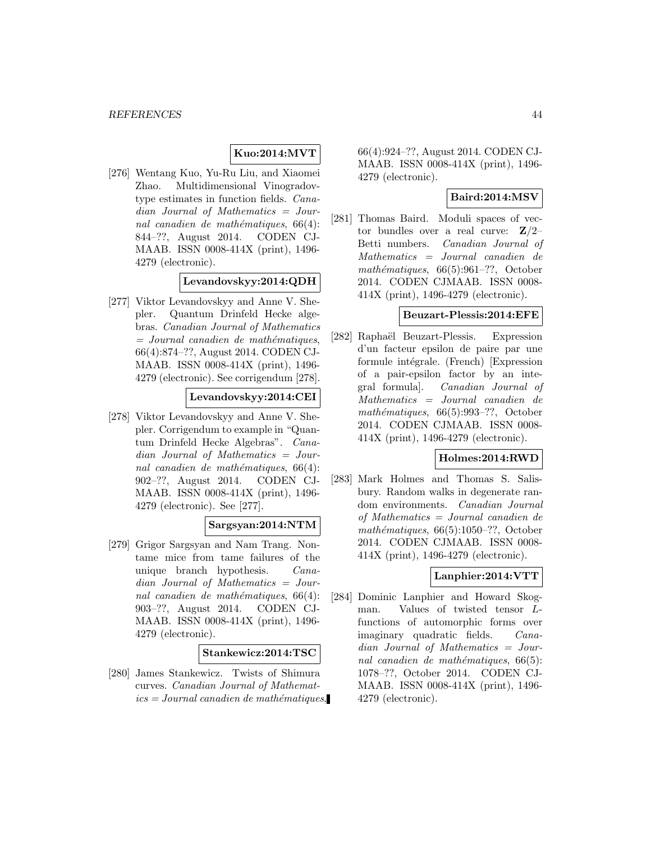### **Kuo:2014:MVT**

[276] Wentang Kuo, Yu-Ru Liu, and Xiaomei Zhao. Multidimensional Vinogradovtype estimates in function fields. Canadian Journal of Mathematics = Journal canadien de mathématiques,  $66(4)$ : 844–??, August 2014. CODEN CJ-MAAB. ISSN 0008-414X (print), 1496- 4279 (electronic).

### **Levandovskyy:2014:QDH**

[277] Viktor Levandovskyy and Anne V. Shepler. Quantum Drinfeld Hecke algebras. Canadian Journal of Mathematics  $=$  Journal canadien de mathématiques, 66(4):874–??, August 2014. CODEN CJ-MAAB. ISSN 0008-414X (print), 1496- 4279 (electronic). See corrigendum [278].

### **Levandovskyy:2014:CEI**

[278] Viktor Levandovskyy and Anne V. Shepler. Corrigendum to example in "Quantum Drinfeld Hecke Algebras". Canadian Journal of Mathematics = Journal canadien de mathématiques,  $66(4)$ : 902–??, August 2014. CODEN CJ-MAAB. ISSN 0008-414X (print), 1496- 4279 (electronic). See [277].

### **Sargsyan:2014:NTM**

[279] Grigor Sargsyan and Nam Trang. Nontame mice from tame failures of the unique branch hypothesis. Canadian Journal of Mathematics = Journal canadien de mathématiques,  $66(4)$ : 903–??, August 2014. CODEN CJ-MAAB. ISSN 0008-414X (print), 1496- 4279 (electronic).

#### **Stankewicz:2014:TSC**

[280] James Stankewicz. Twists of Shimura curves. Canadian Journal of Mathemat $ics = Journal\; can\; define\; the\; math\'{e}matiques,$  66(4):924–??, August 2014. CODEN CJ-MAAB. ISSN 0008-414X (print), 1496- 4279 (electronic).

# **Baird:2014:MSV**

[281] Thomas Baird. Moduli spaces of vector bundles over a real curve: **Z**/2– Betti numbers. Canadian Journal of Mathematics = Journal canadien de mathématiques,  $66(5):961-??$ , October 2014. CODEN CJMAAB. ISSN 0008- 414X (print), 1496-4279 (electronic).

# **Beuzart-Plessis:2014:EFE**

[282] Raphaël Beuzart-Plessis. Expression d'un facteur epsilon de paire par une formule intégrale. (French) [Expression of a pair-epsilon factor by an integral formula]. Canadian Journal of Mathematics = Journal canadien de mathématiques,  $66(5):993-??$ , October 2014. CODEN CJMAAB. ISSN 0008- 414X (print), 1496-4279 (electronic).

### **Holmes:2014:RWD**

[283] Mark Holmes and Thomas S. Salisbury. Random walks in degenerate random environments. Canadian Journal of Mathematics = Journal canadien de mathématiques,  $66(5):1050-$ ??, October 2014. CODEN CJMAAB. ISSN 0008- 414X (print), 1496-4279 (electronic).

### **Lanphier:2014:VTT**

[284] Dominic Lanphier and Howard Skogman. Values of twisted tensor Lfunctions of automorphic forms over imaginary quadratic fields. Canadian Journal of Mathematics = Journal canadien de mathématiques,  $66(5)$ : 1078–??, October 2014. CODEN CJ-MAAB. ISSN 0008-414X (print), 1496- 4279 (electronic).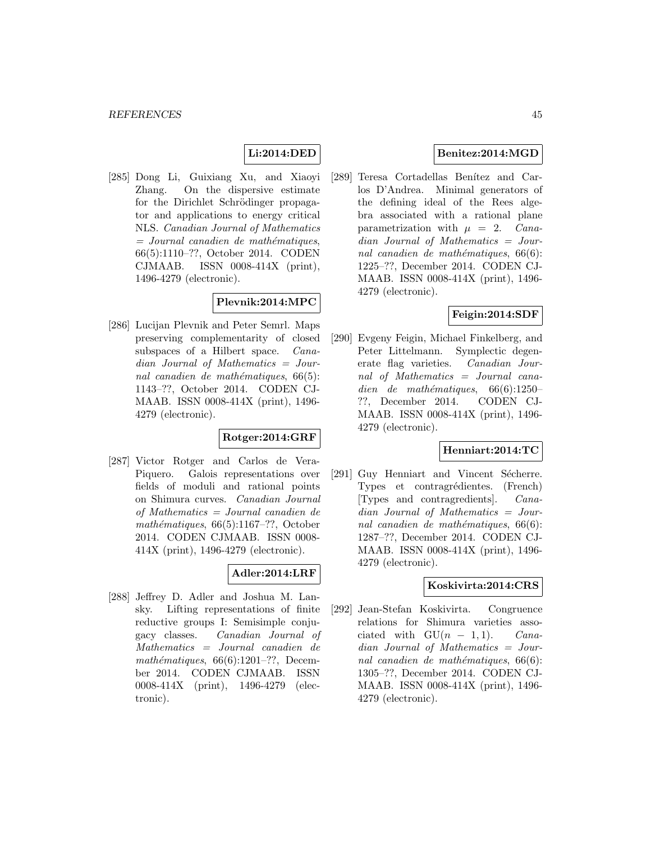# **Li:2014:DED**

[285] Dong Li, Guixiang Xu, and Xiaoyi Zhang. On the dispersive estimate for the Dirichlet Schrödinger propagator and applications to energy critical NLS. Canadian Journal of Mathematics  $=$  Journal canadien de mathématiques, 66(5):1110–??, October 2014. CODEN CJMAAB. ISSN 0008-414X (print), 1496-4279 (electronic).

### **Plevnik:2014:MPC**

[286] Lucijan Plevnik and Peter Semrl. Maps preserving complementarity of closed subspaces of a Hilbert space. Canadian Journal of Mathematics = Journal canadien de mathématiques,  $66(5)$ : 1143–??, October 2014. CODEN CJ-MAAB. ISSN 0008-414X (print), 1496- 4279 (electronic).

### **Rotger:2014:GRF**

[287] Victor Rotger and Carlos de Vera-Piquero. Galois representations over fields of moduli and rational points on Shimura curves. Canadian Journal of Mathematics = Journal canadien de mathématiques,  $66(5):1167-??$ , October 2014. CODEN CJMAAB. ISSN 0008- 414X (print), 1496-4279 (electronic).

# **Adler:2014:LRF**

[288] Jeffrey D. Adler and Joshua M. Lansky. Lifting representations of finite reductive groups I: Semisimple conjugacy classes. Canadian Journal of Mathematics = Journal canadien de mathématiques,  $66(6):1201-??$ , December 2014. CODEN CJMAAB. ISSN 0008-414X (print), 1496-4279 (electronic).

# **Benitez:2014:MGD**

[289] Teresa Cortadellas Benítez and Carlos D'Andrea. Minimal generators of the defining ideal of the Rees algebra associated with a rational plane parametrization with  $\mu = 2$ . Canadian Journal of Mathematics = Journal canadien de mathématiques,  $66(6)$ : 1225–??, December 2014. CODEN CJ-MAAB. ISSN 0008-414X (print), 1496- 4279 (electronic).

### **Feigin:2014:SDF**

[290] Evgeny Feigin, Michael Finkelberg, and Peter Littelmann. Symplectic degenerate flag varieties. Canadian Journal of Mathematics = Journal canadien de mathématiques,  $66(6):1250-$ ??, December 2014. CODEN CJ-MAAB. ISSN 0008-414X (print), 1496- 4279 (electronic).

# **Henniart:2014:TC**

[291] Guy Henniart and Vincent Sécherre. Types et contragrédientes. (French) [Types and contragredients]. Canadian Journal of Mathematics = Journal canadien de mathématiques,  $66(6)$ : 1287–??, December 2014. CODEN CJ-MAAB. ISSN 0008-414X (print), 1496- 4279 (electronic).

#### **Koskivirta:2014:CRS**

[292] Jean-Stefan Koskivirta. Congruence relations for Shimura varieties associated with  $GU(n-1,1)$ . *Cana*dian Journal of Mathematics = Journal canadien de mathématiques,  $66(6)$ : 1305–??, December 2014. CODEN CJ-MAAB. ISSN 0008-414X (print), 1496- 4279 (electronic).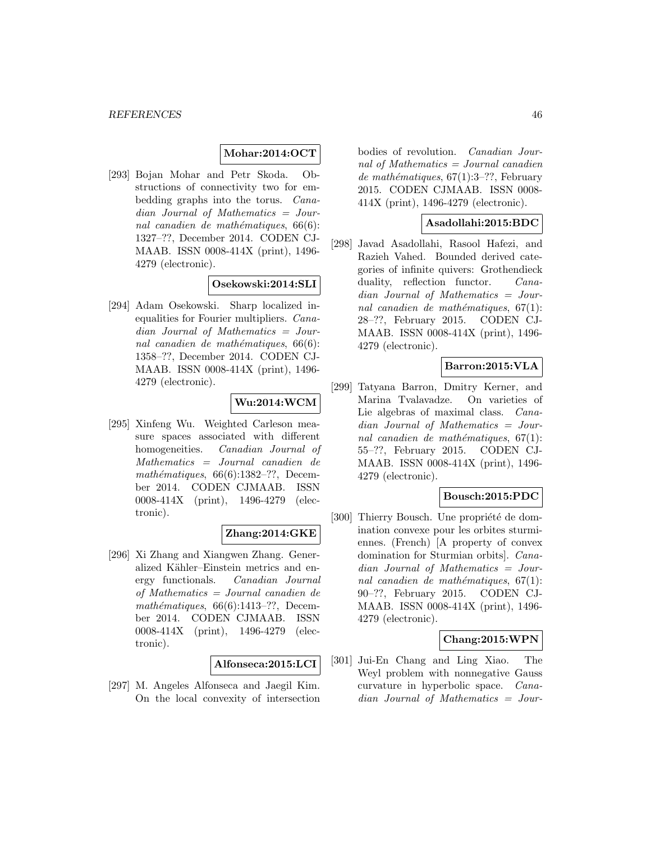# **Mohar:2014:OCT**

[293] Bojan Mohar and Petr Skoda. Obstructions of connectivity two for embedding graphs into the torus. Canadian Journal of Mathematics = Journal canadien de mathématiques,  $66(6)$ : 1327–??, December 2014. CODEN CJ-MAAB. ISSN 0008-414X (print), 1496- 4279 (electronic).

# **Osekowski:2014:SLI**

[294] Adam Osekowski. Sharp localized inequalities for Fourier multipliers. Canadian Journal of Mathematics = Journal canadien de mathématiques,  $66(6)$ : 1358–??, December 2014. CODEN CJ-MAAB. ISSN 0008-414X (print), 1496- 4279 (electronic).

# **Wu:2014:WCM**

[295] Xinfeng Wu. Weighted Carleson measure spaces associated with different homogeneities. Canadian Journal of Mathematics = Journal canadien de mathématiques,  $66(6):1382-??$ , December 2014. CODEN CJMAAB. ISSN 0008-414X (print), 1496-4279 (electronic).

### **Zhang:2014:GKE**

[296] Xi Zhang and Xiangwen Zhang. Generalized Kähler–Einstein metrics and energy functionals. Canadian Journal of Mathematics = Journal canadien de mathématiques,  $66(6):1413-??$ , December 2014. CODEN CJMAAB. ISSN 0008-414X (print), 1496-4279 (electronic).

#### **Alfonseca:2015:LCI**

[297] M. Angeles Alfonseca and Jaegil Kim. On the local convexity of intersection bodies of revolution. Canadian Journal of Mathematics = Journal canadien de mathématiques,  $67(1):3-??$ , February 2015. CODEN CJMAAB. ISSN 0008- 414X (print), 1496-4279 (electronic).

### **Asadollahi:2015:BDC**

[298] Javad Asadollahi, Rasool Hafezi, and Razieh Vahed. Bounded derived categories of infinite quivers: Grothendieck duality, reflection functor. Canadian Journal of Mathematics = Journal canadien de mathématiques,  $67(1)$ : 28–??, February 2015. CODEN CJ-MAAB. ISSN 0008-414X (print), 1496- 4279 (electronic).

# **Barron:2015:VLA**

[299] Tatyana Barron, Dmitry Kerner, and Marina Tvalavadze. On varieties of Lie algebras of maximal class. *Cana*dian Journal of Mathematics = Journal canadien de mathématiques,  $67(1)$ : 55–??, February 2015. CODEN CJ-MAAB. ISSN 0008-414X (print), 1496- 4279 (electronic).

### **Bousch:2015:PDC**

[300] Thierry Bousch. Une propriété de domination convexe pour les orbites sturmiennes. (French) [A property of convex domination for Sturmian orbits]. Canadian Journal of Mathematics = Journal canadien de mathématiques,  $67(1)$ : 90–??, February 2015. CODEN CJ-MAAB. ISSN 0008-414X (print), 1496- 4279 (electronic).

### **Chang:2015:WPN**

[301] Jui-En Chang and Ling Xiao. The Weyl problem with nonnegative Gauss curvature in hyperbolic space. Canadian Journal of Mathematics = Jour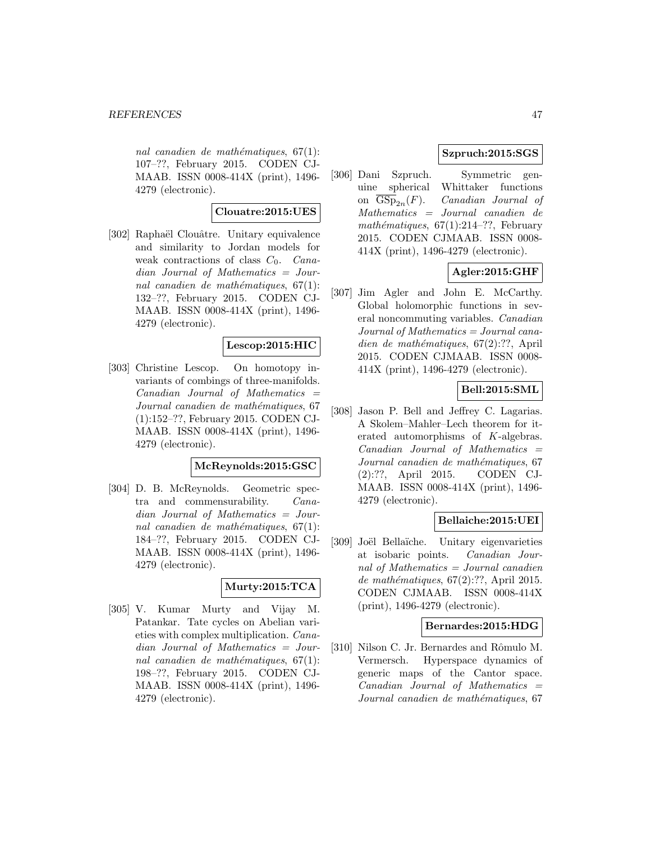nal canadien de mathématiques,  $67(1)$ : 107–??, February 2015. CODEN CJ-MAAB. ISSN 0008-414X (print), 1496- 4279 (electronic).

# **Clouatre:2015:UES**

[302] Raphaël Clouâtre. Unitary equivalence and similarity to Jordan models for weak contractions of class  $C_0$ . Canadian Journal of Mathematics = Journal canadien de mathématiques,  $67(1)$ : 132–??, February 2015. CODEN CJ-MAAB. ISSN 0008-414X (print), 1496- 4279 (electronic).

# **Lescop:2015:HIC**

[303] Christine Lescop. On homotopy invariants of combings of three-manifolds. Canadian Journal of Mathematics = Journal canadien de mathématiques, 67 (1):152–??, February 2015. CODEN CJ-MAAB. ISSN 0008-414X (print), 1496- 4279 (electronic).

### **McReynolds:2015:GSC**

[304] D. B. McReynolds. Geometric spectra and commensurability. Canadian Journal of Mathematics = Journal canadien de mathématiques,  $67(1)$ : 184–??, February 2015. CODEN CJ-MAAB. ISSN 0008-414X (print), 1496- 4279 (electronic).

# **Murty:2015:TCA**

[305] V. Kumar Murty and Vijay M. Patankar. Tate cycles on Abelian varieties with complex multiplication. Canadian Journal of Mathematics = Journal canadien de mathématiques,  $67(1)$ : 198–??, February 2015. CODEN CJ-MAAB. ISSN 0008-414X (print), 1496- 4279 (electronic).

# **Szpruch:2015:SGS**

[306] Dani Szpruch. Symmetric genuine spherical Whittaker functions on  $\overline{\text{GSp}}_{2n}(F)$ . Canadian Journal of Mathematics = Journal canadien de mathématiques,  $67(1):214-??$ , February 2015. CODEN CJMAAB. ISSN 0008- 414X (print), 1496-4279 (electronic).

# **Agler:2015:GHF**

[307] Jim Agler and John E. McCarthy. Global holomorphic functions in several noncommuting variables. Canadian Journal of Mathematics = Journal canadien de mathématiques,  $67(2):??$ , April 2015. CODEN CJMAAB. ISSN 0008- 414X (print), 1496-4279 (electronic).

# **Bell:2015:SML**

[308] Jason P. Bell and Jeffrey C. Lagarias. A Skolem–Mahler–Lech theorem for iterated automorphisms of K-algebras.  $Canadian$  Journal of Mathematics  $=$ Journal canadien de mathématiques, 67 (2):??, April 2015. CODEN CJ-MAAB. ISSN 0008-414X (print), 1496- 4279 (electronic).

### **Bellaiche:2015:UEI**

[309] Joël Bellaïche. Unitary eigenvarieties at isobaric points. Canadian Journal of Mathematics = Journal canadien de mathématiques,  $67(2):??$ , April 2015. CODEN CJMAAB. ISSN 0008-414X (print), 1496-4279 (electronic).

### **Bernardes:2015:HDG**

[310] Nilson C. Jr. Bernardes and Rômulo M. Vermersch. Hyperspace dynamics of generic maps of the Cantor space.  $Canadian$  Journal of Mathematics  $=$ Journal canadien de mathématiques, 67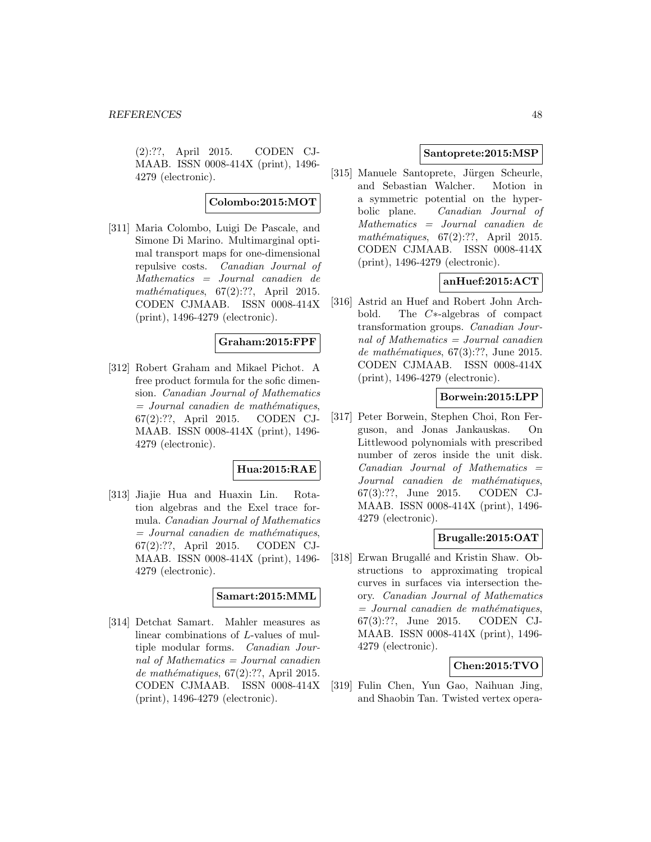(2):??, April 2015. CODEN CJ-MAAB. ISSN 0008-414X (print), 1496- 4279 (electronic).

**Colombo:2015:MOT**

[311] Maria Colombo, Luigi De Pascale, and Simone Di Marino. Multimarginal optimal transport maps for one-dimensional repulsive costs. Canadian Journal of Mathematics = Journal canadien de mathématiques,  $67(2):??$ , April 2015. CODEN CJMAAB. ISSN 0008-414X (print), 1496-4279 (electronic).

### **Graham:2015:FPF**

[312] Robert Graham and Mikael Pichot. A free product formula for the sofic dimension. Canadian Journal of Mathematics  $=$  Journal canadien de mathématiques, 67(2):??, April 2015. CODEN CJ-MAAB. ISSN 0008-414X (print), 1496- 4279 (electronic).

### **Hua:2015:RAE**

[313] Jiajie Hua and Huaxin Lin. Rotation algebras and the Exel trace formula. Canadian Journal of Mathematics  $=$  Journal canadien de mathématiques, 67(2):??, April 2015. CODEN CJ-MAAB. ISSN 0008-414X (print), 1496- 4279 (electronic).

# **Samart:2015:MML**

[314] Detchat Samart. Mahler measures as linear combinations of L-values of multiple modular forms. Canadian Journal of Mathematics = Journal canadien de mathématiques,  $67(2):$ ??, April 2015. CODEN CJMAAB. ISSN 0008-414X (print), 1496-4279 (electronic).

#### **Santoprete:2015:MSP**

[315] Manuele Santoprete, Jürgen Scheurle, and Sebastian Walcher. Motion in a symmetric potential on the hyperbolic plane. Canadian Journal of Mathematics = Journal canadien de mathématiques,  $67(2):??$ , April 2015. CODEN CJMAAB. ISSN 0008-414X (print), 1496-4279 (electronic).

# **anHuef:2015:ACT**

[316] Astrid an Huef and Robert John Archbold. The C∗-algebras of compact transformation groups. Canadian Journal of Mathematics  $=$  Journal canadien de mathématiques,  $67(3):$ ??, June 2015. CODEN CJMAAB. ISSN 0008-414X (print), 1496-4279 (electronic).

# **Borwein:2015:LPP**

[317] Peter Borwein, Stephen Choi, Ron Ferguson, and Jonas Jankauskas. On Littlewood polynomials with prescribed number of zeros inside the unit disk.  $Canadian$  Journal of Mathematics  $=$ Journal canadien de mathématiques, 67(3):??, June 2015. CODEN CJ-MAAB. ISSN 0008-414X (print), 1496- 4279 (electronic).

# **Brugalle:2015:OAT**

[318] Erwan Brugallé and Kristin Shaw. Obstructions to approximating tropical curves in surfaces via intersection theory. Canadian Journal of Mathematics  $=$  Journal canadien de mathématiques, 67(3):??, June 2015. CODEN CJ-MAAB. ISSN 0008-414X (print), 1496- 4279 (electronic).

# **Chen:2015:TVO**

[319] Fulin Chen, Yun Gao, Naihuan Jing, and Shaobin Tan. Twisted vertex opera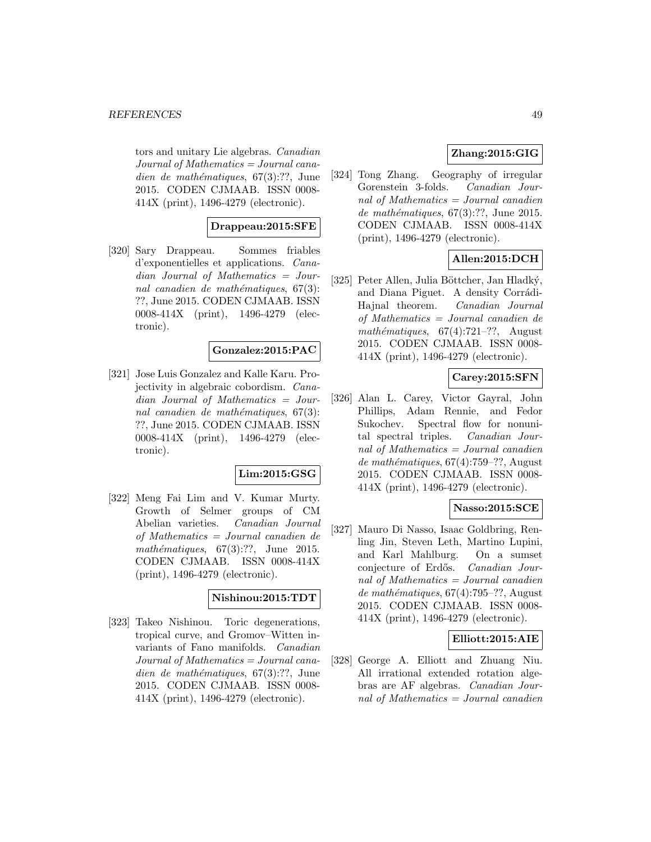tors and unitary Lie algebras. Canadian  $Journal of Mathematics = Journal cana$ dien de mathématiques,  $67(3):??$ , June 2015. CODEN CJMAAB. ISSN 0008- 414X (print), 1496-4279 (electronic).

# **Drappeau:2015:SFE**

[320] Sary Drappeau. Sommes friables d'exponentielles et applications. Canadian Journal of Mathematics = Journal canadien de mathématiques,  $67(3)$ : ??, June 2015. CODEN CJMAAB. ISSN 0008-414X (print), 1496-4279 (electronic).

# **Gonzalez:2015:PAC**

[321] Jose Luis Gonzalez and Kalle Karu. Projectivity in algebraic cobordism. Canadian Journal of Mathematics = Journal canadien de mathématiques,  $67(3)$ : ??, June 2015. CODEN CJMAAB. ISSN 0008-414X (print), 1496-4279 (electronic).

# **Lim:2015:GSG**

[322] Meng Fai Lim and V. Kumar Murty. Growth of Selmer groups of CM Abelian varieties. Canadian Journal of Mathematics = Journal canadien de mathématiques,  $67(3):??$ , June 2015. CODEN CJMAAB. ISSN 0008-414X (print), 1496-4279 (electronic).

#### **Nishinou:2015:TDT**

[323] Takeo Nishinou. Toric degenerations, tropical curve, and Gromov–Witten invariants of Fano manifolds. Canadian  $Journal of Mathematics = Journal cana$ dien de mathématiques,  $67(3):??$ , June 2015. CODEN CJMAAB. ISSN 0008- 414X (print), 1496-4279 (electronic).

# **Zhang:2015:GIG**

[324] Tong Zhang. Geography of irregular Gorenstein 3-folds. Canadian Journal of Mathematics  $=$  Journal canadien de mathématiques,  $67(3):$ ??, June 2015. CODEN CJMAAB. ISSN 0008-414X (print), 1496-4279 (electronic).

# **Allen:2015:DCH**

[325] Peter Allen, Julia Böttcher, Jan Hladký, and Diana Piguet. A density Corrádi-Hajnal theorem. Canadian Journal of Mathematics = Journal canadien de mathématiques,  $67(4):721-??$ , August 2015. CODEN CJMAAB. ISSN 0008- 414X (print), 1496-4279 (electronic).

### **Carey:2015:SFN**

[326] Alan L. Carey, Victor Gayral, John Phillips, Adam Rennie, and Fedor Sukochev. Spectral flow for nonunital spectral triples. Canadian Journal of Mathematics = Journal canadien de mathématiques,  $67(4)$ :759–??, August 2015. CODEN CJMAAB. ISSN 0008- 414X (print), 1496-4279 (electronic).

# **Nasso:2015:SCE**

[327] Mauro Di Nasso, Isaac Goldbring, Renling Jin, Steven Leth, Martino Lupini, and Karl Mahlburg. On a sumset conjecture of Erdős. Canadian Journal of Mathematics = Journal canadien de mathématiques,  $67(4)$ :795–??, August 2015. CODEN CJMAAB. ISSN 0008- 414X (print), 1496-4279 (electronic).

#### **Elliott:2015:AIE**

[328] George A. Elliott and Zhuang Niu. All irrational extended rotation algebras are AF algebras. Canadian Journal of Mathematics = Journal canadien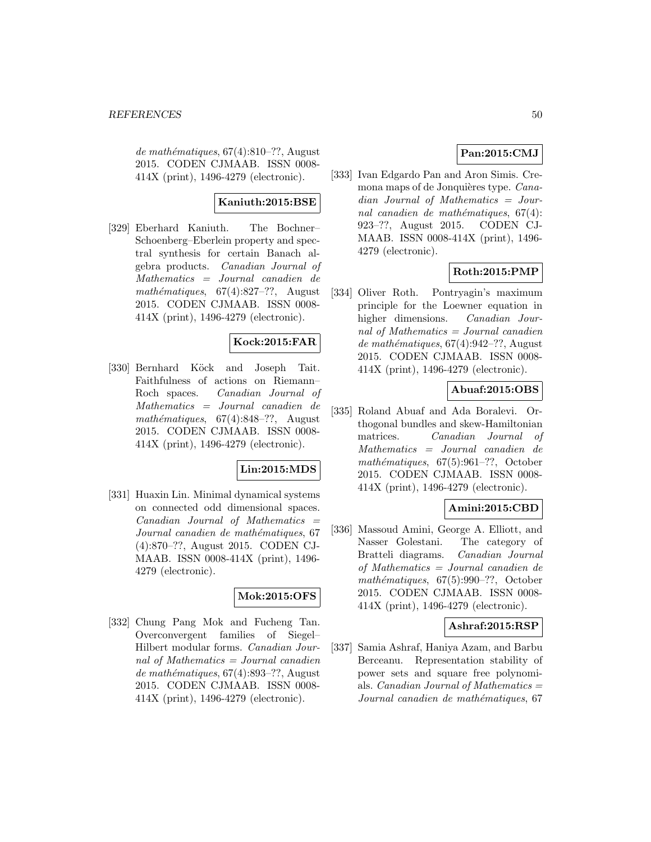de mathématiques,  $67(4):810-$ ??, August 2015. CODEN CJMAAB. ISSN 0008- 414X (print), 1496-4279 (electronic).

### **Kaniuth:2015:BSE**

[329] Eberhard Kaniuth. The Bochner– Schoenberg–Eberlein property and spectral synthesis for certain Banach algebra products. Canadian Journal of Mathematics = Journal canadien de mathématiques,  $67(4):827-??$ , August 2015. CODEN CJMAAB. ISSN 0008- 414X (print), 1496-4279 (electronic).

### **Kock:2015:FAR**

[330] Bernhard Köck and Joseph Tait. Faithfulness of actions on Riemann– Roch spaces. Canadian Journal of Mathematics = Journal canadien de mathématiques,  $67(4):848-??$ , August 2015. CODEN CJMAAB. ISSN 0008- 414X (print), 1496-4279 (electronic).

# **Lin:2015:MDS**

[331] Huaxin Lin. Minimal dynamical systems on connected odd dimensional spaces.  $Canadian$  Journal of Mathematics  $=$ Journal canadien de mathématiques, 67 (4):870–??, August 2015. CODEN CJ-MAAB. ISSN 0008-414X (print), 1496- 4279 (electronic).

# **Mok:2015:OFS**

[332] Chung Pang Mok and Fucheng Tan. Overconvergent families of Siegel– Hilbert modular forms. Canadian Journal of Mathematics  $=$  Journal canadien de mathématiques,  $67(4):893-$ ??, August 2015. CODEN CJMAAB. ISSN 0008- 414X (print), 1496-4279 (electronic).

# **Pan:2015:CMJ**

[333] Ivan Edgardo Pan and Aron Simis. Cremona maps of de Jonquières type. Canadian Journal of Mathematics = Journal canadien de mathématiques,  $67(4)$ : 923–??, August 2015. CODEN CJ-MAAB. ISSN 0008-414X (print), 1496- 4279 (electronic).

# **Roth:2015:PMP**

[334] Oliver Roth. Pontryagin's maximum principle for the Loewner equation in higher dimensions. Canadian Journal of Mathematics = Journal canadien de mathématiques,  $67(4):942-??$ , August 2015. CODEN CJMAAB. ISSN 0008- 414X (print), 1496-4279 (electronic).

### **Abuaf:2015:OBS**

[335] Roland Abuaf and Ada Boralevi. Orthogonal bundles and skew-Hamiltonian matrices. Canadian Journal of Mathematics = Journal canadien de mathématiques,  $67(5):961-??$ , October 2015. CODEN CJMAAB. ISSN 0008- 414X (print), 1496-4279 (electronic).

# **Amini:2015:CBD**

[336] Massoud Amini, George A. Elliott, and Nasser Golestani. The category of Bratteli diagrams. Canadian Journal of Mathematics = Journal canadien de mathématiques,  $67(5):990-??$ , October 2015. CODEN CJMAAB. ISSN 0008- 414X (print), 1496-4279 (electronic).

#### **Ashraf:2015:RSP**

[337] Samia Ashraf, Haniya Azam, and Barbu Berceanu. Representation stability of power sets and square free polynomials. *Canadian Journal of Mathematics*  $=$ Journal canadien de mathématiques, 67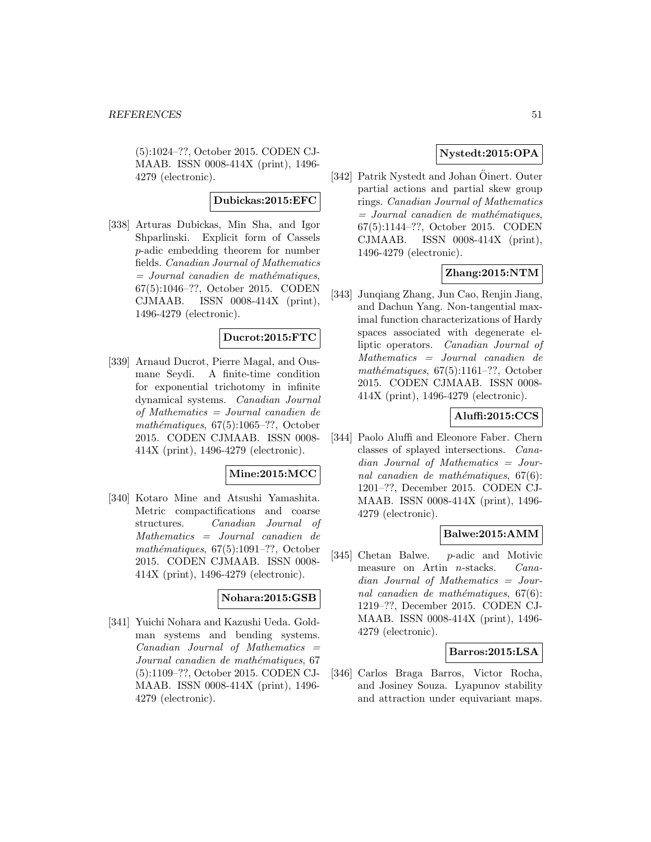(5):1024–??, October 2015. CODEN CJ-MAAB. ISSN 0008-414X (print), 1496- 4279 (electronic).

### **Dubickas:2015:EFC**

[338] Arturas Dubickas, Min Sha, and Igor Shparlinski. Explicit form of Cassels p-adic embedding theorem for number fields. Canadian Journal of Mathematics  $=$  Journal canadien de mathématiques, 67(5):1046–??, October 2015. CODEN CJMAAB. ISSN 0008-414X (print), 1496-4279 (electronic).

### **Ducrot:2015:FTC**

[339] Arnaud Ducrot, Pierre Magal, and Ousmane Seydi. A finite-time condition for exponential trichotomy in infinite dynamical systems. Canadian Journal of Mathematics = Journal canadien de mathématiques,  $67(5):1065-??$ , October 2015. CODEN CJMAAB. ISSN 0008- 414X (print), 1496-4279 (electronic).

# **Mine:2015:MCC**

[340] Kotaro Mine and Atsushi Yamashita. Metric compactifications and coarse structures. Canadian Journal of Mathematics = Journal canadien de mathématiques,  $67(5):1091-??$ , October 2015. CODEN CJMAAB. ISSN 0008- 414X (print), 1496-4279 (electronic).

### **Nohara:2015:GSB**

[341] Yuichi Nohara and Kazushi Ueda. Goldman systems and bending systems.  $Canadian$  Journal of Mathematics  $=$ Journal canadien de mathématiques, 67 (5):1109–??, October 2015. CODEN CJ-MAAB. ISSN 0008-414X (print), 1496- 4279 (electronic).

# **Nystedt:2015:OPA**

[342] Patrik Nystedt and Johan Öinert. Outer partial actions and partial skew group rings. Canadian Journal of Mathematics  $=$  Journal canadien de mathématiques, 67(5):1144–??, October 2015. CODEN CJMAAB. ISSN 0008-414X (print), 1496-4279 (electronic).

### **Zhang:2015:NTM**

[343] Junqiang Zhang, Jun Cao, Renjin Jiang, and Dachun Yang. Non-tangential maximal function characterizations of Hardy spaces associated with degenerate elliptic operators. Canadian Journal of Mathematics = Journal canadien de mathématiques,  $67(5):1161-$ ??, October 2015. CODEN CJMAAB. ISSN 0008- 414X (print), 1496-4279 (electronic).

# **Aluffi:2015:CCS**

[344] Paolo Aluffi and Eleonore Faber. Chern classes of splayed intersections. Canadian Journal of Mathematics = Journal canadien de mathématiques,  $67(6)$ : 1201–??, December 2015. CODEN CJ-MAAB. ISSN 0008-414X (print), 1496- 4279 (electronic).

#### **Balwe:2015:AMM**

[345] Chetan Balwe. p-adic and Motivic measure on Artin n-stacks. Canadian Journal of Mathematics = Journal canadien de mathématiques,  $67(6)$ : 1219–??, December 2015. CODEN CJ-MAAB. ISSN 0008-414X (print), 1496- 4279 (electronic).

### **Barros:2015:LSA**

[346] Carlos Braga Barros, Victor Rocha, and Josiney Souza. Lyapunov stability and attraction under equivariant maps.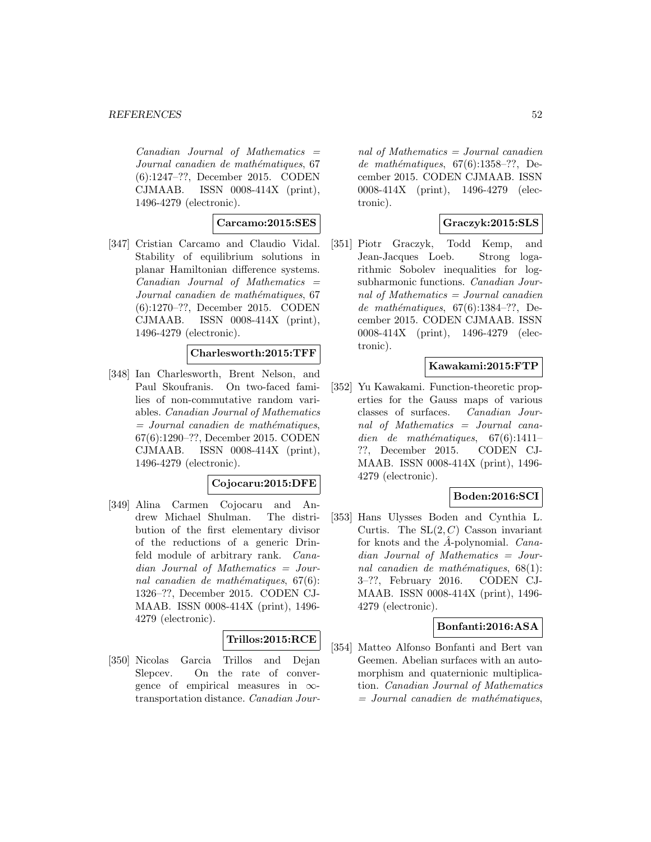$Canadian$  Journal of Mathematics  $=$ Journal canadien de mathématiques, 67 (6):1247–??, December 2015. CODEN CJMAAB. ISSN 0008-414X (print), 1496-4279 (electronic).

### **Carcamo:2015:SES**

[347] Cristian Carcamo and Claudio Vidal. Stability of equilibrium solutions in planar Hamiltonian difference systems.  $Canadian$  Journal of Mathematics  $=$ Journal canadien de mathématiques, 67 (6):1270–??, December 2015. CODEN CJMAAB. ISSN 0008-414X (print), 1496-4279 (electronic).

# **Charlesworth:2015:TFF**

[348] Ian Charlesworth, Brent Nelson, and Paul Skoufranis. On two-faced families of non-commutative random variables. Canadian Journal of Mathematics  $=$  Journal canadien de mathématiques, 67(6):1290–??, December 2015. CODEN CJMAAB. ISSN 0008-414X (print), 1496-4279 (electronic).

### **Cojocaru:2015:DFE**

[349] Alina Carmen Cojocaru and Andrew Michael Shulman. The distribution of the first elementary divisor of the reductions of a generic Drinfeld module of arbitrary rank. Canadian Journal of Mathematics = Journal canadien de mathématiques,  $67(6)$ : 1326–??, December 2015. CODEN CJ-MAAB. ISSN 0008-414X (print), 1496- 4279 (electronic).

#### **Trillos:2015:RCE**

[350] Nicolas Garcia Trillos and Dejan Slepcev. On the rate of convergence of empirical measures in  $\infty$ transportation distance. Canadian Journal of Mathematics = Journal canadien de mathématiques,  $67(6):1358-??$ , December 2015. CODEN CJMAAB. ISSN 0008-414X (print), 1496-4279 (electronic).

# **Graczyk:2015:SLS**

[351] Piotr Graczyk, Todd Kemp, and Jean-Jacques Loeb. Strong logarithmic Sobolev inequalities for logsubharmonic functions. Canadian Journal of Mathematics = Journal canadien de mathématiques,  $67(6):1384-??$ , December 2015. CODEN CJMAAB. ISSN 0008-414X (print), 1496-4279 (electronic).

### **Kawakami:2015:FTP**

[352] Yu Kawakami. Function-theoretic properties for the Gauss maps of various classes of surfaces. Canadian Journal of Mathematics = Journal canadien de mathématiques,  $67(6):1411-$ ??, December 2015. CODEN CJ-MAAB. ISSN 0008-414X (print), 1496- 4279 (electronic).

### **Boden:2016:SCI**

[353] Hans Ulysses Boden and Cynthia L. Curtis. The  $SL(2, C)$  Casson invariant for knots and the  $\hat{A}$ -polynomial. Canadian Journal of Mathematics = Journal canadien de mathématiques,  $68(1)$ : 3–??, February 2016. CODEN CJ-MAAB. ISSN 0008-414X (print), 1496- 4279 (electronic).

### **Bonfanti:2016:ASA**

[354] Matteo Alfonso Bonfanti and Bert van Geemen. Abelian surfaces with an automorphism and quaternionic multiplication. Canadian Journal of Mathematics  $=$  Journal canadien de mathématiques,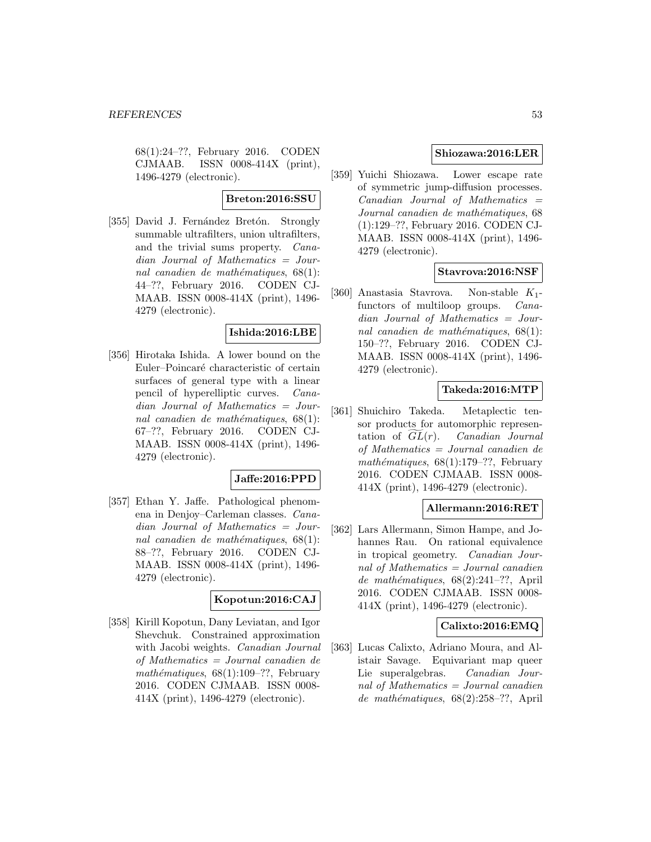68(1):24–??, February 2016. CODEN CJMAAB. ISSN 0008-414X (print), 1496-4279 (electronic).

### **Breton:2016:SSU**

[355] David J. Fernández Bretón. Strongly summable ultrafilters, union ultrafilters, and the trivial sums property. Canadian Journal of Mathematics = Journal canadien de mathématiques,  $68(1)$ : 44–??, February 2016. CODEN CJ-MAAB. ISSN 0008-414X (print), 1496- 4279 (electronic).

# **Ishida:2016:LBE**

[356] Hirotaka Ishida. A lower bound on the Euler–Poincaré characteristic of certain surfaces of general type with a linear pencil of hyperelliptic curves. Canadian Journal of Mathematics = Journal canadien de mathématiques,  $68(1)$ : 67–??, February 2016. CODEN CJ-MAAB. ISSN 0008-414X (print), 1496- 4279 (electronic).

### **Jaffe:2016:PPD**

[357] Ethan Y. Jaffe. Pathological phenomena in Denjoy–Carleman classes. Canadian Journal of Mathematics = Journal canadien de mathématiques,  $68(1)$ : 88–??, February 2016. CODEN CJ-MAAB. ISSN 0008-414X (print), 1496- 4279 (electronic).

### **Kopotun:2016:CAJ**

[358] Kirill Kopotun, Dany Leviatan, and Igor Shevchuk. Constrained approximation with Jacobi weights. Canadian Journal of Mathematics = Journal canadien de mathématiques,  $68(1):109-??$ , February 2016. CODEN CJMAAB. ISSN 0008- 414X (print), 1496-4279 (electronic).

### **Shiozawa:2016:LER**

[359] Yuichi Shiozawa. Lower escape rate of symmetric jump-diffusion processes.  $Canadian$  Journal of Mathematics  $=$ Journal canadien de mathématiques, 68 (1):129–??, February 2016. CODEN CJ-MAAB. ISSN 0008-414X (print), 1496- 4279 (electronic).

### **Stavrova:2016:NSF**

[360] Anastasia Stavrova. Non-stable K1 functors of multiloop groups. Canadian Journal of Mathematics = Journal canadien de mathématiques,  $68(1)$ : 150–??, February 2016. CODEN CJ-MAAB. ISSN 0008-414X (print), 1496- 4279 (electronic).

# **Takeda:2016:MTP**

[361] Shuichiro Takeda. Metaplectic tensor products for automorphic represen-**Takeda:2016:MTP**<br>Shuichiro Takeda. Metaplectic tensor products for automorphic represen-<br>tation of  $\widetilde{GL}(r)$ . Canadian Journal of Mathematics = Journal canadien de mathématiques,  $68(1):179-??$ , February 2016. CODEN CJMAAB. ISSN 0008- 414X (print), 1496-4279 (electronic).

### **Allermann:2016:RET**

[362] Lars Allermann, Simon Hampe, and Johannes Rau. On rational equivalence in tropical geometry. Canadian Journal of Mathematics = Journal canadien de mathématiques,  $68(2):241-??$ , April 2016. CODEN CJMAAB. ISSN 0008- 414X (print), 1496-4279 (electronic).

### **Calixto:2016:EMQ**

[363] Lucas Calixto, Adriano Moura, and Alistair Savage. Equivariant map queer Lie superalgebras. Canadian Journal of Mathematics  $=$  Journal canadien de mathématiques,  $68(2):258-??$ , April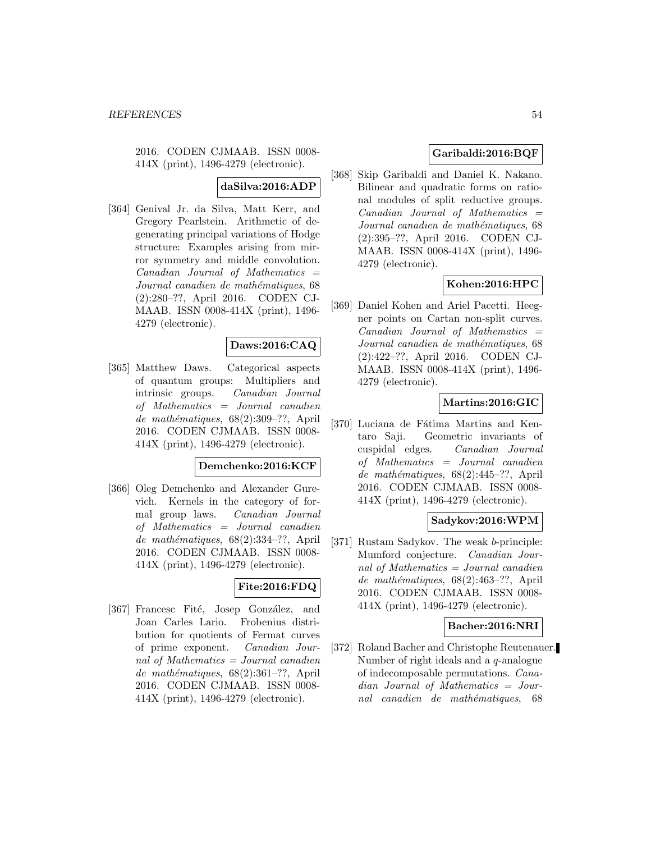2016. CODEN CJMAAB. ISSN 0008- 414X (print), 1496-4279 (electronic).

# **daSilva:2016:ADP**

[364] Genival Jr. da Silva, Matt Kerr, and Gregory Pearlstein. Arithmetic of degenerating principal variations of Hodge structure: Examples arising from mirror symmetry and middle convolution.  $Canadian$  Journal of Mathematics  $=$ Journal canadien de mathématiques, 68 (2):280–??, April 2016. CODEN CJ-MAAB. ISSN 0008-414X (print), 1496- 4279 (electronic).

# **Daws:2016:CAQ**

[365] Matthew Daws. Categorical aspects of quantum groups: Multipliers and intrinsic groups. Canadian Journal of Mathematics = Journal canadien de mathématiques,  $68(2):309-??$ , April 2016. CODEN CJMAAB. ISSN 0008- 414X (print), 1496-4279 (electronic).

### **Demchenko:2016:KCF**

[366] Oleg Demchenko and Alexander Gurevich. Kernels in the category of formal group laws. Canadian Journal of Mathematics = Journal canadien de mathématiques,  $68(2):334-??$ , April 2016. CODEN CJMAAB. ISSN 0008- 414X (print), 1496-4279 (electronic).

# **Fite:2016:FDQ**

[367] Francesc Fité, Josep González, and Joan Carles Lario. Frobenius distribution for quotients of Fermat curves of prime exponent. Canadian Journal of Mathematics = Journal canadien de mathématiques,  $68(2):361-??$ , April 2016. CODEN CJMAAB. ISSN 0008- 414X (print), 1496-4279 (electronic).

# **Garibaldi:2016:BQF**

[368] Skip Garibaldi and Daniel K. Nakano. Bilinear and quadratic forms on rational modules of split reductive groups.  $Canadian$  Journal of Mathematics  $=$ Journal canadien de mathématiques, 68 (2):395–??, April 2016. CODEN CJ-MAAB. ISSN 0008-414X (print), 1496- 4279 (electronic).

# **Kohen:2016:HPC**

[369] Daniel Kohen and Ariel Pacetti. Heegner points on Cartan non-split curves.  $Canadian$  Journal of Mathematics  $=$ Journal canadien de mathématiques, 68 (2):422–??, April 2016. CODEN CJ-MAAB. ISSN 0008-414X (print), 1496- 4279 (electronic).

# **Martins:2016:GIC**

[370] Luciana de Fátima Martins and Kentaro Saji. Geometric invariants of cuspidal edges. Canadian Journal of Mathematics = Journal canadien de mathématiques,  $68(2):445-??$ , April 2016. CODEN CJMAAB. ISSN 0008- 414X (print), 1496-4279 (electronic).

# **Sadykov:2016:WPM**

[371] Rustam Sadykov. The weak b-principle: Mumford conjecture. Canadian Journal of Mathematics = Journal canadien de mathématiques,  $68(2):463-??$ , April 2016. CODEN CJMAAB. ISSN 0008- 414X (print), 1496-4279 (electronic).

#### **Bacher:2016:NRI**

[372] Roland Bacher and Christophe Reutenauer. Number of right ideals and a q-analogue of indecomposable permutations. Canadian Journal of Mathematics = Journal canadien de mathématiques, 68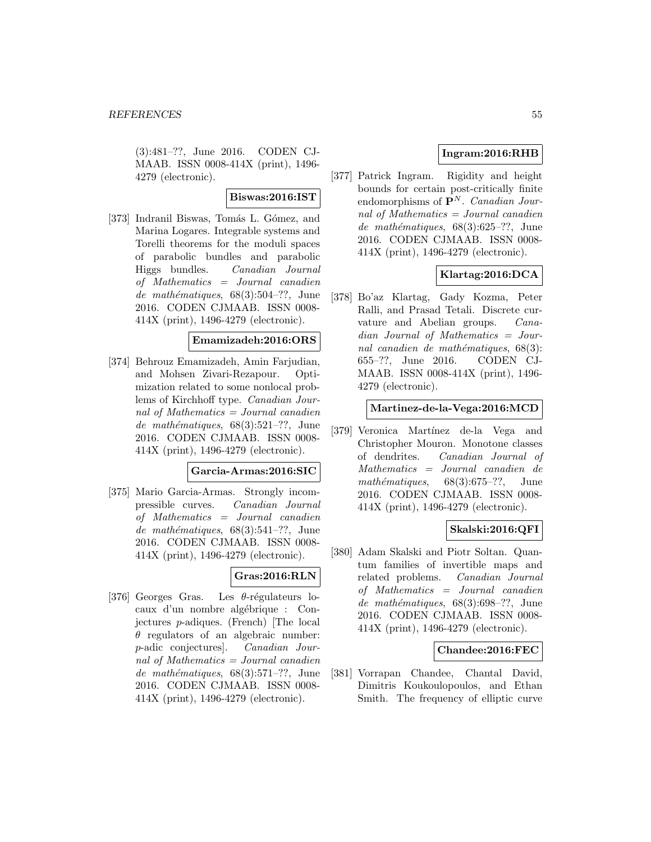(3):481–??, June 2016. CODEN CJ-MAAB. ISSN 0008-414X (print), 1496- 4279 (electronic).

### **Biswas:2016:IST**

[373] Indranil Biswas, Tomás L. Gómez, and Marina Logares. Integrable systems and Torelli theorems for the moduli spaces of parabolic bundles and parabolic Higgs bundles. Canadian Journal of Mathematics = Journal canadien de mathématiques,  $68(3):504-??$ , June 2016. CODEN CJMAAB. ISSN 0008- 414X (print), 1496-4279 (electronic).

#### **Emamizadeh:2016:ORS**

[374] Behrouz Emamizadeh, Amin Farjudian, and Mohsen Zivari-Rezapour. Optimization related to some nonlocal problems of Kirchhoff type. Canadian Journal of Mathematics = Journal canadien de mathématiques,  $68(3):521-??$ , June 2016. CODEN CJMAAB. ISSN 0008- 414X (print), 1496-4279 (electronic).

#### **Garcia-Armas:2016:SIC**

[375] Mario Garcia-Armas. Strongly incompressible curves. Canadian Journal of Mathematics = Journal canadien de mathématiques,  $68(3):541-??$ , June 2016. CODEN CJMAAB. ISSN 0008- 414X (print), 1496-4279 (electronic).

# **Gras:2016:RLN**

[376] Georges Gras. Les  $\theta$ -régulateurs locaux d'un nombre algébrique : Conjectures p-adiques. (French) [The local  $\theta$  regulators of an algebraic number: p-adic conjectures]. Canadian Journal of Mathematics = Journal canadien de mathématiques, 68(3):571-??, June 2016. CODEN CJMAAB. ISSN 0008- 414X (print), 1496-4279 (electronic).

# **Ingram:2016:RHB**

[377] Patrick Ingram. Rigidity and height bounds for certain post-critically finite endomorphisms of  $P^N$ . Canadian Journal of Mathematics  $=$  Journal canadien de mathématiques,  $68(3):625-??$ , June 2016. CODEN CJMAAB. ISSN 0008- 414X (print), 1496-4279 (electronic).

# **Klartag:2016:DCA**

[378] Bo'az Klartag, Gady Kozma, Peter Ralli, and Prasad Tetali. Discrete curvature and Abelian groups. Canadian Journal of Mathematics = Journal canadien de mathématiques,  $68(3)$ : 655–??, June 2016. CODEN CJ-MAAB. ISSN 0008-414X (print), 1496- 4279 (electronic).

### **Martinez-de-la-Vega:2016:MCD**

[379] Veronica Martínez de-la Vega and Christopher Mouron. Monotone classes of dendrites. Canadian Journal of Mathematics = Journal canadien de mathématiques,  $68(3):675-??$ , June 2016. CODEN CJMAAB. ISSN 0008- 414X (print), 1496-4279 (electronic).

### **Skalski:2016:QFI**

[380] Adam Skalski and Piotr Soltan. Quantum families of invertible maps and related problems. Canadian Journal of Mathematics = Journal canadien de mathématiques,  $68(3):698-??$ , June 2016. CODEN CJMAAB. ISSN 0008- 414X (print), 1496-4279 (electronic).

### **Chandee:2016:FEC**

[381] Vorrapan Chandee, Chantal David, Dimitris Koukoulopoulos, and Ethan Smith. The frequency of elliptic curve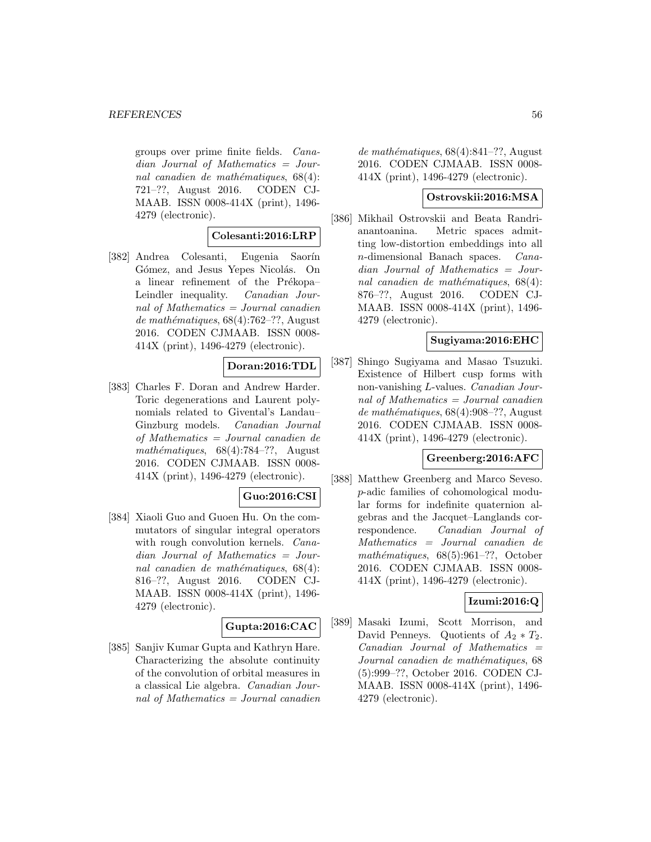groups over prime finite fields. Canadian Journal of Mathematics = Journal canadien de mathématiques,  $68(4)$ : 721–??, August 2016. CODEN CJ-MAAB. ISSN 0008-414X (print), 1496- 4279 (electronic).

#### **Colesanti:2016:LRP**

[382] Andrea Colesanti, Eugenia Saorín Gómez, and Jesus Yepes Nicolás. On a linear refinement of the Prékopa– Leindler inequality. Canadian Journal of Mathematics = Journal canadien de mathématiques,  $68(4)$ :762–??, August 2016. CODEN CJMAAB. ISSN 0008- 414X (print), 1496-4279 (electronic).

# **Doran:2016:TDL**

[383] Charles F. Doran and Andrew Harder. Toric degenerations and Laurent polynomials related to Givental's Landau– Ginzburg models. Canadian Journal of Mathematics = Journal canadien de mathématiques,  $68(4):784-??$ , August 2016. CODEN CJMAAB. ISSN 0008- 414X (print), 1496-4279 (electronic).

### **Guo:2016:CSI**

[384] Xiaoli Guo and Guoen Hu. On the commutators of singular integral operators with rough convolution kernels. Canadian Journal of Mathematics = Journal canadien de mathématiques,  $68(4)$ : 816–??, August 2016. CODEN CJ-MAAB. ISSN 0008-414X (print), 1496- 4279 (electronic).

### **Gupta:2016:CAC**

[385] Sanjiv Kumar Gupta and Kathryn Hare. Characterizing the absolute continuity of the convolution of orbital measures in a classical Lie algebra. Canadian Journal of Mathematics = Journal canadien de mathématiques,  $68(4):841-$ ??, August 2016. CODEN CJMAAB. ISSN 0008- 414X (print), 1496-4279 (electronic).

### **Ostrovskii:2016:MSA**

[386] Mikhail Ostrovskii and Beata Randrianantoanina. Metric spaces admitting low-distortion embeddings into all n-dimensional Banach spaces. Canadian Journal of Mathematics = Journal canadien de mathématiques,  $68(4)$ : 876–??, August 2016. CODEN CJ-MAAB. ISSN 0008-414X (print), 1496- 4279 (electronic).

### **Sugiyama:2016:EHC**

[387] Shingo Sugiyama and Masao Tsuzuki. Existence of Hilbert cusp forms with non-vanishing L-values. Canadian Journal of Mathematics = Journal canadien de mathématiques,  $68(4):908-$ ??, August 2016. CODEN CJMAAB. ISSN 0008- 414X (print), 1496-4279 (electronic).

### **Greenberg:2016:AFC**

[388] Matthew Greenberg and Marco Seveso. p-adic families of cohomological modular forms for indefinite quaternion algebras and the Jacquet–Langlands correspondence. Canadian Journal of Mathematics = Journal canadien de mathématiques,  $68(5):961-??$ , October 2016. CODEN CJMAAB. ISSN 0008- 414X (print), 1496-4279 (electronic).

### **Izumi:2016:Q**

[389] Masaki Izumi, Scott Morrison, and David Penneys. Quotients of  $A_2 * T_2$ .  $Canadian$  Journal of Mathematics  $=$ Journal canadien de mathématiques, 68 (5):999–??, October 2016. CODEN CJ-MAAB. ISSN 0008-414X (print), 1496- 4279 (electronic).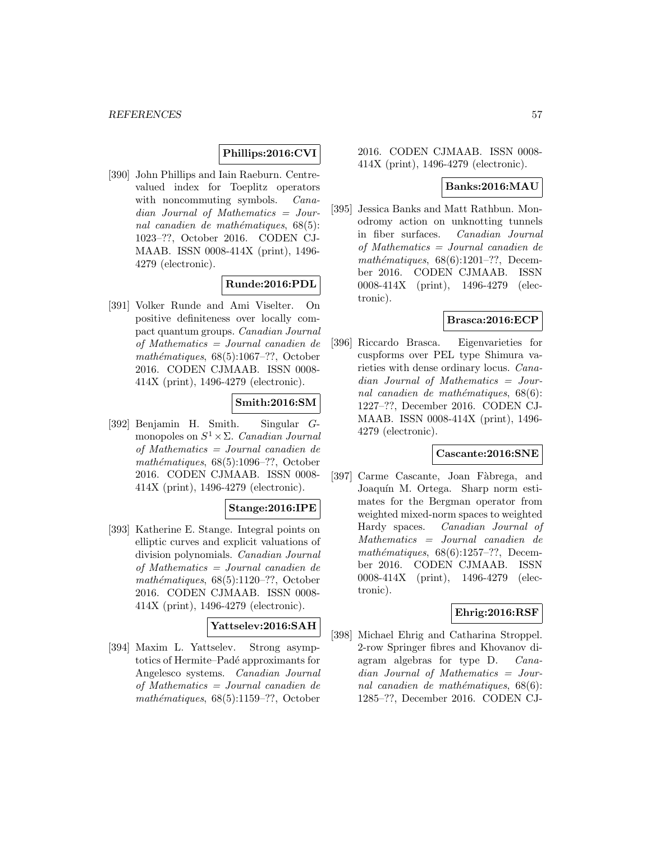# **Phillips:2016:CVI**

[390] John Phillips and Iain Raeburn. Centrevalued index for Toeplitz operators with noncommuting symbols. *Cana*dian Journal of Mathematics = Journal canadien de mathématiques,  $68(5)$ : 1023–??, October 2016. CODEN CJ-MAAB. ISSN 0008-414X (print), 1496- 4279 (electronic).

# **Runde:2016:PDL**

[391] Volker Runde and Ami Viselter. On positive definiteness over locally compact quantum groups. Canadian Journal of Mathematics = Journal canadien de mathématiques,  $68(5):1067-??$ , October 2016. CODEN CJMAAB. ISSN 0008- 414X (print), 1496-4279 (electronic).

# **Smith:2016:SM**

[392] Benjamin H. Smith. Singular Gmonopoles on  $S^1 \times \Sigma$ . Canadian Journal of Mathematics = Journal canadien de mathématiques,  $68(5):1096-??$ , October 2016. CODEN CJMAAB. ISSN 0008- 414X (print), 1496-4279 (electronic).

# **Stange:2016:IPE**

[393] Katherine E. Stange. Integral points on elliptic curves and explicit valuations of division polynomials. Canadian Journal of Mathematics = Journal canadien de mathématiques,  $68(5):1120-??$ , October 2016. CODEN CJMAAB. ISSN 0008- 414X (print), 1496-4279 (electronic).

### **Yattselev:2016:SAH**

[394] Maxim L. Yattselev. Strong asymptotics of Hermite–Padé approximants for Angelesco systems. Canadian Journal of Mathematics = Journal canadien de mathématiques,  $68(5):1159-??$ , October

### 2016. CODEN CJMAAB. ISSN 0008- 414X (print), 1496-4279 (electronic).

# **Banks:2016:MAU**

[395] Jessica Banks and Matt Rathbun. Monodromy action on unknotting tunnels in fiber surfaces. Canadian Journal of Mathematics = Journal canadien de mathématiques,  $68(6):1201-??$ , December 2016. CODEN CJMAAB. ISSN 0008-414X (print), 1496-4279 (electronic).

### **Brasca:2016:ECP**

[396] Riccardo Brasca. Eigenvarieties for cuspforms over PEL type Shimura varieties with dense ordinary locus. Canadian Journal of Mathematics = Journal canadien de mathématiques,  $68(6)$ : 1227–??, December 2016. CODEN CJ-MAAB. ISSN 0008-414X (print), 1496- 4279 (electronic).

#### **Cascante:2016:SNE**

[397] Carme Cascante, Joan Fàbrega, and Joaquín M. Ortega. Sharp norm estimates for the Bergman operator from weighted mixed-norm spaces to weighted Hardy spaces. Canadian Journal of Mathematics = Journal canadien de mathématiques,  $68(6):1257-??$ , December 2016. CODEN CJMAAB. ISSN 0008-414X (print), 1496-4279 (electronic).

### **Ehrig:2016:RSF**

[398] Michael Ehrig and Catharina Stroppel. 2-row Springer fibres and Khovanov diagram algebras for type D. Canadian Journal of Mathematics = Journal canadien de mathématiques,  $68(6)$ : 1285–??, December 2016. CODEN CJ-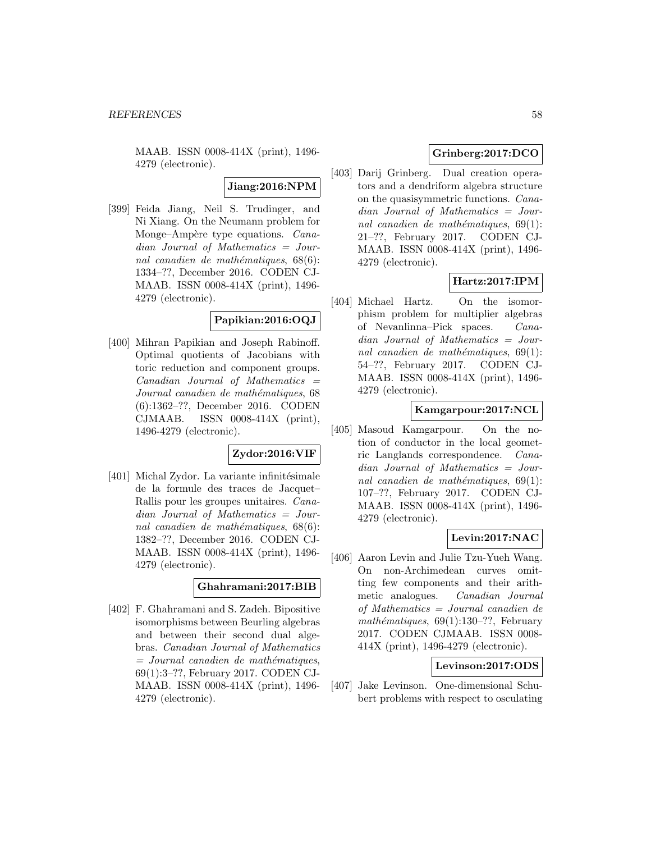MAAB. ISSN 0008-414X (print), 1496- 4279 (electronic).

**Jiang:2016:NPM**

[399] Feida Jiang, Neil S. Trudinger, and Ni Xiang. On the Neumann problem for Monge–Ampère type equations. Canadian Journal of Mathematics = Journal canadien de mathématiques,  $68(6)$ : 1334–??, December 2016. CODEN CJ-MAAB. ISSN 0008-414X (print), 1496- 4279 (electronic).

# **Papikian:2016:OQJ**

[400] Mihran Papikian and Joseph Rabinoff. Optimal quotients of Jacobians with toric reduction and component groups.  $Canadian$  Journal of Mathematics  $=$ Journal canadien de mathématiques, 68 (6):1362–??, December 2016. CODEN CJMAAB. ISSN 0008-414X (print), 1496-4279 (electronic).

# **Zydor:2016:VIF**

 $[401]$  Michal Zydor. La variante infinitésimale de la formule des traces de Jacquet– Rallis pour les groupes unitaires. Canadian Journal of Mathematics = Journal canadien de mathématiques,  $68(6)$ : 1382–??, December 2016. CODEN CJ-MAAB. ISSN 0008-414X (print), 1496- 4279 (electronic).

### **Ghahramani:2017:BIB**

[402] F. Ghahramani and S. Zadeh. Bipositive isomorphisms between Beurling algebras and between their second dual algebras. Canadian Journal of Mathematics  $=$  Journal canadien de mathématiques, 69(1):3–??, February 2017. CODEN CJ-MAAB. ISSN 0008-414X (print), 1496- 4279 (electronic).

# **Grinberg:2017:DCO**

[403] Darij Grinberg. Dual creation operators and a dendriform algebra structure on the quasisymmetric functions. Canadian Journal of Mathematics = Journal canadien de mathématiques,  $69(1)$ : 21–??, February 2017. CODEN CJ-MAAB. ISSN 0008-414X (print), 1496- 4279 (electronic).

# **Hartz:2017:IPM**

[404] Michael Hartz. On the isomorphism problem for multiplier algebras of Nevanlinna–Pick spaces. Canadian Journal of Mathematics = Journal canadien de mathématiques,  $69(1)$ : 54–??, February 2017. CODEN CJ-MAAB. ISSN 0008-414X (print), 1496- 4279 (electronic).

### **Kamgarpour:2017:NCL**

[405] Masoud Kamgarpour. On the notion of conductor in the local geometric Langlands correspondence. Canadian Journal of Mathematics = Journal canadien de mathématiques,  $69(1)$ : 107–??, February 2017. CODEN CJ-MAAB. ISSN 0008-414X (print), 1496- 4279 (electronic).

### **Levin:2017:NAC**

[406] Aaron Levin and Julie Tzu-Yueh Wang. On non-Archimedean curves omitting few components and their arithmetic analogues. Canadian Journal of Mathematics = Journal canadien de mathématiques,  $69(1):130-??$ , February 2017. CODEN CJMAAB. ISSN 0008- 414X (print), 1496-4279 (electronic).

# **Levinson:2017:ODS**

[407] Jake Levinson. One-dimensional Schubert problems with respect to osculating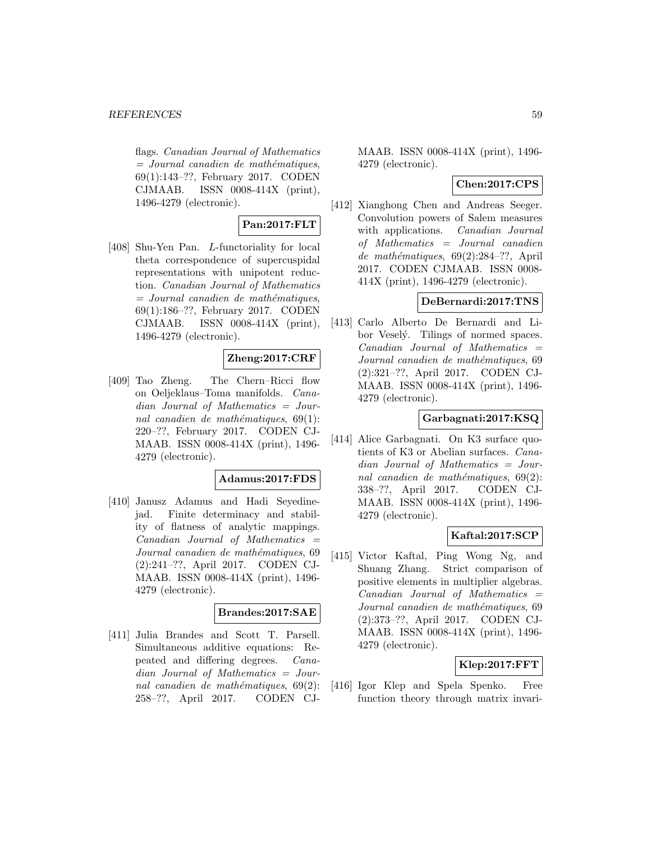flags. Canadian Journal of Mathematics  $=$  Journal canadien de mathématiques, 69(1):143–??, February 2017. CODEN CJMAAB. ISSN 0008-414X (print), 1496-4279 (electronic).

# **Pan:2017:FLT**

[408] Shu-Yen Pan. L-functoriality for local theta correspondence of supercuspidal representations with unipotent reduction. Canadian Journal of Mathematics  $=$  Journal canadien de mathématiques, 69(1):186–??, February 2017. CODEN CJMAAB. ISSN 0008-414X (print), 1496-4279 (electronic).

# **Zheng:2017:CRF**

[409] Tao Zheng. The Chern–Ricci flow on Oeljeklaus–Toma manifolds. Canadian Journal of Mathematics = Journal canadien de mathématiques,  $69(1)$ : 220–??, February 2017. CODEN CJ-MAAB. ISSN 0008-414X (print), 1496- 4279 (electronic).

#### **Adamus:2017:FDS**

[410] Janusz Adamus and Hadi Seyedinejad. Finite determinacy and stability of flatness of analytic mappings.  $Canadian$  Journal of Mathematics  $=$ Journal canadien de mathématiques, 69 (2):241–??, April 2017. CODEN CJ-MAAB. ISSN 0008-414X (print), 1496- 4279 (electronic).

#### **Brandes:2017:SAE**

[411] Julia Brandes and Scott T. Parsell. Simultaneous additive equations: Repeated and differing degrees. Canadian Journal of Mathematics = Journal canadien de mathématiques,  $69(2)$ : 258–??, April 2017. CODEN CJ-

MAAB. ISSN 0008-414X (print), 1496- 4279 (electronic).

### **Chen:2017:CPS**

[412] Xianghong Chen and Andreas Seeger. Convolution powers of Salem measures with applications. *Canadian Journal* of Mathematics = Journal canadien de mathématiques,  $69(2):284-??$ , April 2017. CODEN CJMAAB. ISSN 0008- 414X (print), 1496-4279 (electronic).

### **DeBernardi:2017:TNS**

[413] Carlo Alberto De Bernardi and Libor Veselý. Tilings of normed spaces.  $Canadian$  Journal of Mathematics  $=$ Journal canadien de mathématiques, 69 (2):321–??, April 2017. CODEN CJ-MAAB. ISSN 0008-414X (print), 1496- 4279 (electronic).

### **Garbagnati:2017:KSQ**

[414] Alice Garbagnati. On K3 surface quotients of K3 or Abelian surfaces. Canadian Journal of Mathematics = Journal canadien de mathématiques,  $69(2)$ : 338–??, April 2017. CODEN CJ-MAAB. ISSN 0008-414X (print), 1496- 4279 (electronic).

### **Kaftal:2017:SCP**

[415] Victor Kaftal, Ping Wong Ng, and Shuang Zhang. Strict comparison of positive elements in multiplier algebras.  $Canadian$  Journal of Mathematics  $=$ Journal canadien de mathématiques, 69 (2):373–??, April 2017. CODEN CJ-MAAB. ISSN 0008-414X (print), 1496- 4279 (electronic).

# **Klep:2017:FFT**

[416] Igor Klep and Spela Spenko. Free function theory through matrix invari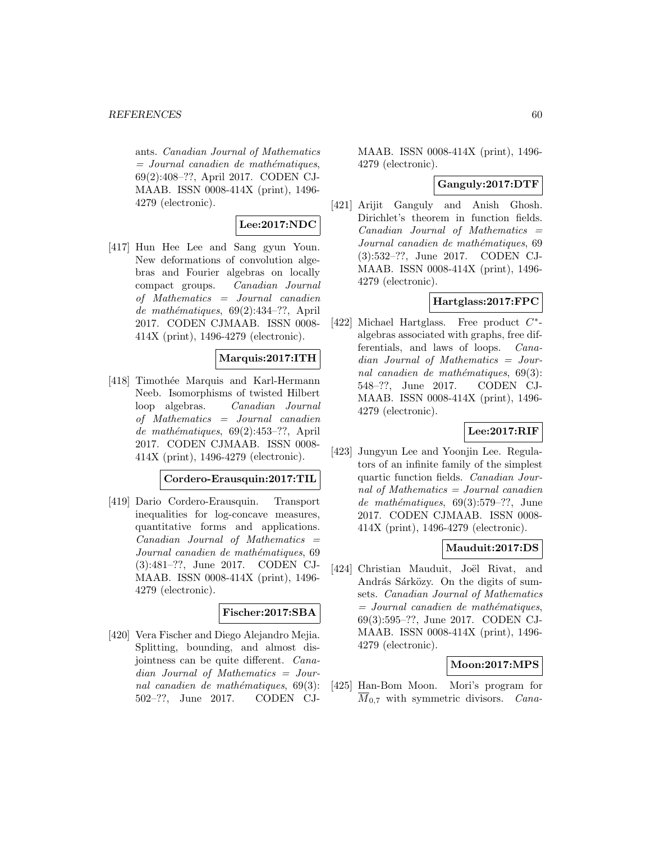ants. Canadian Journal of Mathematics  $=$  Journal canadien de mathématiques, 69(2):408–??, April 2017. CODEN CJ-MAAB. ISSN 0008-414X (print), 1496- 4279 (electronic).

# **Lee:2017:NDC**

[417] Hun Hee Lee and Sang gyun Youn. New deformations of convolution algebras and Fourier algebras on locally compact groups. Canadian Journal of Mathematics = Journal canadien de mathématiques,  $69(2):434-??$ , April 2017. CODEN CJMAAB. ISSN 0008- 414X (print), 1496-4279 (electronic).

### **Marquis:2017:ITH**

[418] Timoth´ee Marquis and Karl-Hermann Neeb. Isomorphisms of twisted Hilbert loop algebras. Canadian Journal of Mathematics = Journal canadien de mathématiques,  $69(2):453-??$ , April 2017. CODEN CJMAAB. ISSN 0008- 414X (print), 1496-4279 (electronic).

### **Cordero-Erausquin:2017:TIL**

[419] Dario Cordero-Erausquin. Transport inequalities for log-concave measures, quantitative forms and applications.  $Canadian$  Journal of Mathematics  $=$ Journal canadien de mathématiques, 69 (3):481–??, June 2017. CODEN CJ-MAAB. ISSN 0008-414X (print), 1496- 4279 (electronic).

### **Fischer:2017:SBA**

[420] Vera Fischer and Diego Alejandro Mejia. Splitting, bounding, and almost disjointness can be quite different. Canadian Journal of Mathematics = Journal canadien de mathématiques,  $69(3)$ : 502–??, June 2017. CODEN CJ-

MAAB. ISSN 0008-414X (print), 1496- 4279 (electronic).

#### **Ganguly:2017:DTF**

[421] Arijit Ganguly and Anish Ghosh. Dirichlet's theorem in function fields.  $Canadian$  Journal of Mathematics  $=$ Journal canadien de mathématiques, 69 (3):532–??, June 2017. CODEN CJ-MAAB. ISSN 0008-414X (print), 1496- 4279 (electronic).

### **Hartglass:2017:FPC**

[422] Michael Hartglass. Free product  $C^*$ algebras associated with graphs, free differentials, and laws of loops. Canadian Journal of Mathematics = Journal canadien de mathématiques,  $69(3)$ : 548–??, June 2017. CODEN CJ-MAAB. ISSN 0008-414X (print), 1496- 4279 (electronic).

### **Lee:2017:RIF**

[423] Jungyun Lee and Yoonjin Lee. Regulators of an infinite family of the simplest quartic function fields. Canadian Journal of Mathematics = Journal canadien de mathématiques,  $69(3):579-??$ , June 2017. CODEN CJMAAB. ISSN 0008- 414X (print), 1496-4279 (electronic).

### **Mauduit:2017:DS**

[424] Christian Mauduit, Joël Rivat, and András Sárközy. On the digits of sumsets. Canadian Journal of Mathematics  $=$  Journal canadien de mathématiques, 69(3):595–??, June 2017. CODEN CJ-MAAB. ISSN 0008-414X (print), 1496- 4279 (electronic).

#### **Moon:2017:MPS**

[425] Han-Bom Moon. Mori's program for  $M_{0.7}$  with symmetric divisors. *Cana-*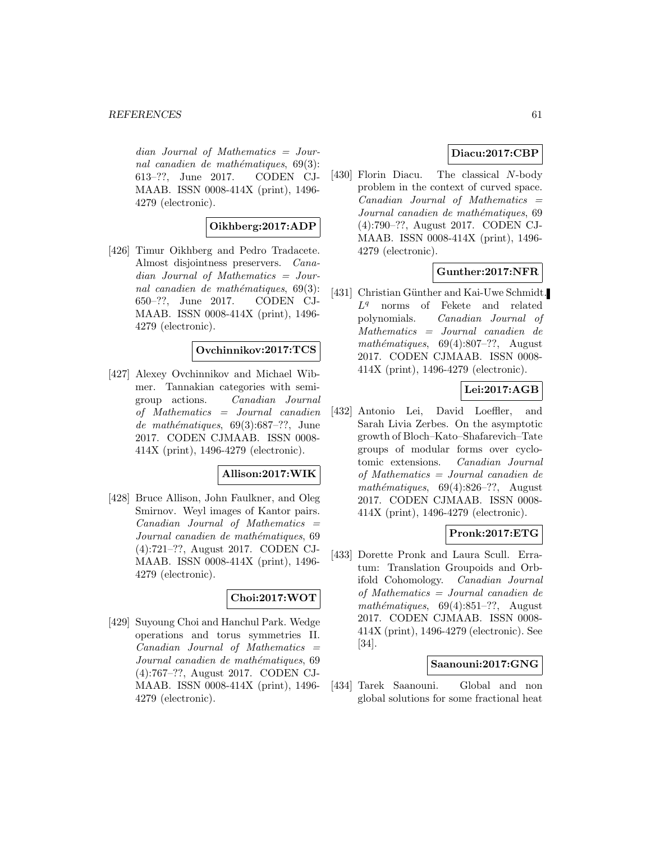dian Journal of Mathematics = Journal canadien de mathématiques,  $69(3)$ : 613–??, June 2017. CODEN CJ-MAAB. ISSN 0008-414X (print), 1496- 4279 (electronic).

# **Oikhberg:2017:ADP**

[426] Timur Oikhberg and Pedro Tradacete. Almost disjointness preservers. Canadian Journal of Mathematics = Journal canadien de mathématiques,  $69(3)$ : 650–??, June 2017. CODEN CJ-MAAB. ISSN 0008-414X (print), 1496- 4279 (electronic).

# **Ovchinnikov:2017:TCS**

[427] Alexey Ovchinnikov and Michael Wibmer. Tannakian categories with semigroup actions. Canadian Journal of Mathematics = Journal canadien de mathématiques,  $69(3):687-??$ , June 2017. CODEN CJMAAB. ISSN 0008- 414X (print), 1496-4279 (electronic).

# **Allison:2017:WIK**

[428] Bruce Allison, John Faulkner, and Oleg Smirnov. Weyl images of Kantor pairs.  $Canadian$  Journal of Mathematics  $=$ Journal canadien de mathématiques, 69 (4):721–??, August 2017. CODEN CJ-MAAB. ISSN 0008-414X (print), 1496- 4279 (electronic).

### **Choi:2017:WOT**

[429] Suyoung Choi and Hanchul Park. Wedge operations and torus symmetries II.  $Canadian$  Journal of Mathematics  $=$ Journal canadien de mathématiques, 69 (4):767–??, August 2017. CODEN CJ-MAAB. ISSN 0008-414X (print), 1496- 4279 (electronic).

# **Diacu:2017:CBP**

[430] Florin Diacu. The classical N-body problem in the context of curved space.  $Canadian$  Journal of Mathematics  $=$ Journal canadien de mathématiques, 69 (4):790–??, August 2017. CODEN CJ-MAAB. ISSN 0008-414X (print), 1496- 4279 (electronic).

### **Gunther:2017:NFR**

[431] Christian Günther and Kai-Uwe Schmidt.  $L<sup>q</sup>$  norms of Fekete and related polynomials. Canadian Journal of Mathematics = Journal canadien de mathématiques,  $69(4):807-??$ , August 2017. CODEN CJMAAB. ISSN 0008- 414X (print), 1496-4279 (electronic).

# **Lei:2017:AGB**

[432] Antonio Lei, David Loeffler, and Sarah Livia Zerbes. On the asymptotic growth of Bloch–Kato–Shafarevich–Tate groups of modular forms over cyclotomic extensions. Canadian Journal of Mathematics = Journal canadien de mathématiques,  $69(4):826-??$ , August 2017. CODEN CJMAAB. ISSN 0008- 414X (print), 1496-4279 (electronic).

### **Pronk:2017:ETG**

[433] Dorette Pronk and Laura Scull. Erratum: Translation Groupoids and Orbifold Cohomology. Canadian Journal of Mathematics = Journal canadien de mathématiques,  $69(4):851-??$ , August 2017. CODEN CJMAAB. ISSN 0008- 414X (print), 1496-4279 (electronic). See [34].

#### **Saanouni:2017:GNG**

[434] Tarek Saanouni. Global and non global solutions for some fractional heat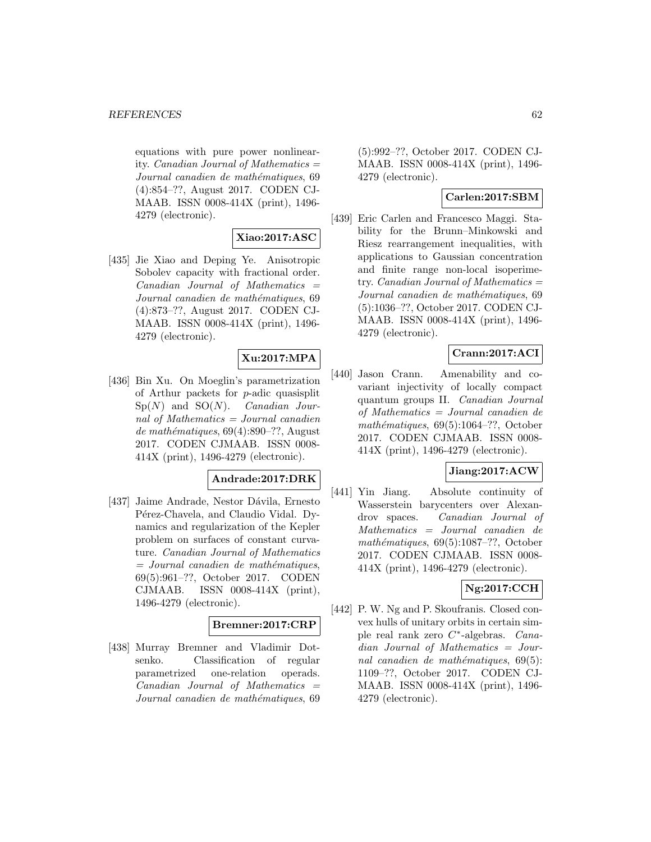equations with pure power nonlinearity. *Canadian Journal of Mathematics*  $=$ Journal canadien de mathématiques, 69 (4):854–??, August 2017. CODEN CJ-MAAB. ISSN 0008-414X (print), 1496- 4279 (electronic).

# **Xiao:2017:ASC**

[435] Jie Xiao and Deping Ye. Anisotropic Sobolev capacity with fractional order.  $Canadian$  Journal of Mathematics  $=$ Journal canadien de mathématiques, 69 (4):873–??, August 2017. CODEN CJ-MAAB. ISSN 0008-414X (print), 1496- 4279 (electronic).

# **Xu:2017:MPA**

[436] Bin Xu. On Moeglin's parametrization of Arthur packets for p-adic quasisplit  $Sp(N)$  and  $SO(N)$ . *Canadian Jour*nal of Mathematics = Journal canadien de mathématiques,  $69(4):890-??$ , August 2017. CODEN CJMAAB. ISSN 0008- 414X (print), 1496-4279 (electronic).

# **Andrade:2017:DRK**

[437] Jaime Andrade, Nestor Dávila, Ernesto Pérez-Chavela, and Claudio Vidal. Dynamics and regularization of the Kepler problem on surfaces of constant curvature. Canadian Journal of Mathematics  $=$  Journal canadien de mathématiques, 69(5):961–??, October 2017. CODEN CJMAAB. ISSN 0008-414X (print), 1496-4279 (electronic).

### **Bremner:2017:CRP**

[438] Murray Bremner and Vladimir Dotsenko. Classification of regular parametrized one-relation operads.  $Canadian$  Journal of Mathematics  $=$ Journal canadien de mathématiques, 69

(5):992–??, October 2017. CODEN CJ-MAAB. ISSN 0008-414X (print), 1496- 4279 (electronic).

# **Carlen:2017:SBM**

[439] Eric Carlen and Francesco Maggi. Stability for the Brunn–Minkowski and Riesz rearrangement inequalities, with applications to Gaussian concentration and finite range non-local isoperimetry. *Canadian Journal of Mathematics*  $=$ Journal canadien de mathématiques, 69 (5):1036–??, October 2017. CODEN CJ-MAAB. ISSN 0008-414X (print), 1496- 4279 (electronic).

# **Crann:2017:ACI**

[440] Jason Crann. Amenability and covariant injectivity of locally compact quantum groups II. Canadian Journal of Mathematics = Journal canadien de mathématiques,  $69(5):1064-??$ , October 2017. CODEN CJMAAB. ISSN 0008- 414X (print), 1496-4279 (electronic).

### **Jiang:2017:ACW**

[441] Yin Jiang. Absolute continuity of Wasserstein barycenters over Alexandrov spaces. Canadian Journal of Mathematics = Journal canadien de mathématiques,  $69(5):1087-??$ , October 2017. CODEN CJMAAB. ISSN 0008- 414X (print), 1496-4279 (electronic).

# **Ng:2017:CCH**

[442] P. W. Ng and P. Skoufranis. Closed convex hulls of unitary orbits in certain simple real rank zero C∗-algebras. Canadian Journal of Mathematics = Journal canadien de mathématiques,  $69(5)$ : 1109–??, October 2017. CODEN CJ-MAAB. ISSN 0008-414X (print), 1496- 4279 (electronic).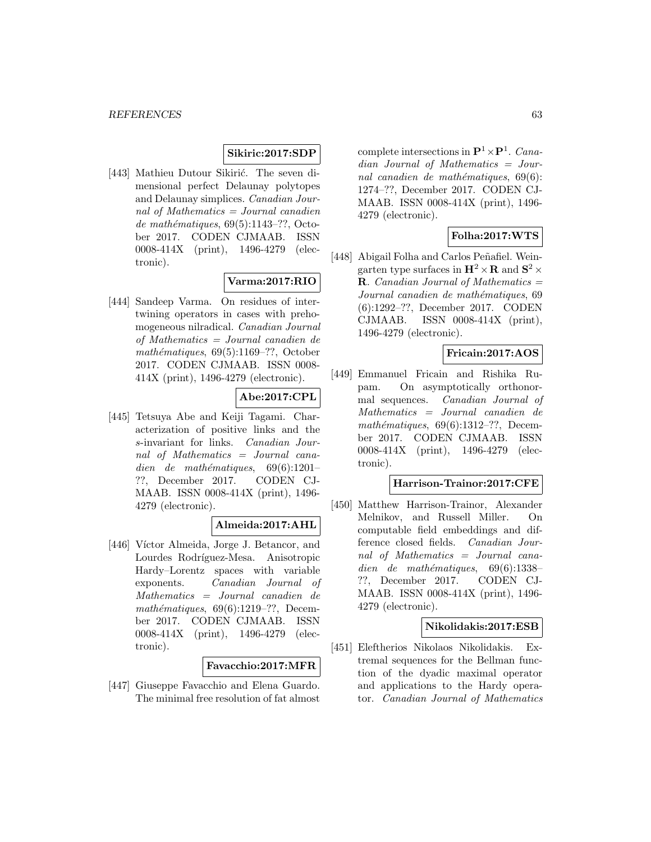# **Sikiric:2017:SDP**

[443] Mathieu Dutour Sikirić. The seven dimensional perfect Delaunay polytopes and Delaunay simplices. Canadian Journal of Mathematics = Journal canadien de mathématiques,  $69(5):1143-$ ??, October 2017. CODEN CJMAAB. ISSN 0008-414X (print), 1496-4279 (electronic).

# **Varma:2017:RIO**

[444] Sandeep Varma. On residues of intertwining operators in cases with prehomogeneous nilradical. Canadian Journal of Mathematics = Journal canadien de mathématiques,  $69(5):1169-??$ , October 2017. CODEN CJMAAB. ISSN 0008- 414X (print), 1496-4279 (electronic).

# **Abe:2017:CPL**

[445] Tetsuya Abe and Keiji Tagami. Characterization of positive links and the s-invariant for links. Canadian Journal of Mathematics = Journal canadien de mathématiques,  $69(6):1201-$ ??, December 2017. CODEN CJ-MAAB. ISSN 0008-414X (print), 1496- 4279 (electronic).

# **Almeida:2017:AHL**

[446] Víctor Almeida, Jorge J. Betancor, and Lourdes Rodríguez-Mesa. Anisotropic Hardy–Lorentz spaces with variable exponents. Canadian Journal of Mathematics = Journal canadien de mathématiques,  $69(6):1219-??$ , December 2017. CODEN CJMAAB. ISSN 0008-414X (print), 1496-4279 (electronic).

# **Favacchio:2017:MFR**

[447] Giuseppe Favacchio and Elena Guardo. The minimal free resolution of fat almost

complete intersections in  $\mathbf{P}^1 \times \mathbf{P}^1$ . Canadian Journal of Mathematics = Journal canadien de mathématiques,  $69(6)$ : 1274–??, December 2017. CODEN CJ-MAAB. ISSN 0008-414X (print), 1496- 4279 (electronic).

### **Folha:2017:WTS**

[448] Abigail Folha and Carlos Peñafiel. Weingarten type surfaces in  $\mathbf{H}^2 \times \mathbf{R}$  and  $\mathbf{S}^2 \times$ **R**. Canadian Journal of Mathematics = Journal canadien de mathématiques, 69 (6):1292–??, December 2017. CODEN CJMAAB. ISSN 0008-414X (print), 1496-4279 (electronic).

# **Fricain:2017:AOS**

[449] Emmanuel Fricain and Rishika Rupam. On asymptotically orthonormal sequences. Canadian Journal of Mathematics = Journal canadien de mathématiques,  $69(6):1312-??$ , December 2017. CODEN CJMAAB. ISSN 0008-414X (print), 1496-4279 (electronic).

#### **Harrison-Trainor:2017:CFE**

[450] Matthew Harrison-Trainor, Alexander Melnikov, and Russell Miller. On computable field embeddings and difference closed fields. Canadian Journal of Mathematics = Journal canadien de mathématiques,  $69(6):1338-$ ??, December 2017. CODEN CJ-MAAB. ISSN 0008-414X (print), 1496- 4279 (electronic).

#### **Nikolidakis:2017:ESB**

[451] Eleftherios Nikolaos Nikolidakis. Extremal sequences for the Bellman function of the dyadic maximal operator and applications to the Hardy operator. Canadian Journal of Mathematics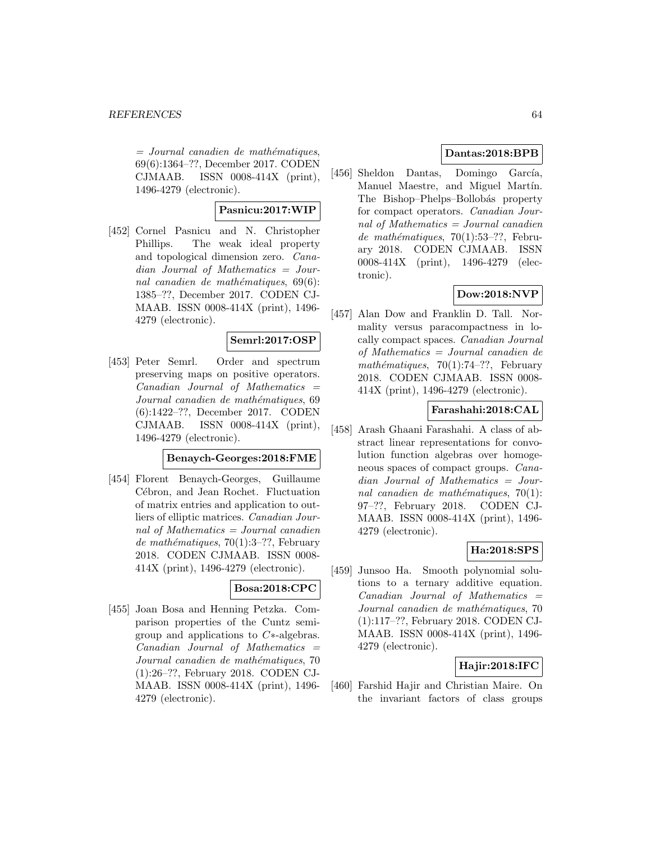$=$  Journal canadien de mathématiques, 69(6):1364–??, December 2017. CODEN CJMAAB. ISSN 0008-414X (print), 1496-4279 (electronic).

# **Pasnicu:2017:WIP**

[452] Cornel Pasnicu and N. Christopher Phillips. The weak ideal property and topological dimension zero. Canadian Journal of Mathematics = Journal canadien de mathématiques,  $69(6)$ : 1385–??, December 2017. CODEN CJ-MAAB. ISSN 0008-414X (print), 1496- 4279 (electronic).

#### **Semrl:2017:OSP**

[453] Peter Semrl. Order and spectrum preserving maps on positive operators. Canadian Journal of Mathematics = Journal canadien de mathématiques, 69 (6):1422–??, December 2017. CODEN CJMAAB. ISSN 0008-414X (print), 1496-4279 (electronic).

### **Benaych-Georges:2018:FME**

[454] Florent Benaych-Georges, Guillaume Cébron, and Jean Rochet. Fluctuation of matrix entries and application to outliers of elliptic matrices. Canadian Journal of Mathematics = Journal canadien de mathématiques, 70(1):3–??, February 2018. CODEN CJMAAB. ISSN 0008- 414X (print), 1496-4279 (electronic).

### **Bosa:2018:CPC**

[455] Joan Bosa and Henning Petzka. Comparison properties of the Cuntz semigroup and applications to C∗-algebras.  $Canadian$  Journal of Mathematics  $=$ Journal canadien de mathématiques, 70 (1):26–??, February 2018. CODEN CJ-MAAB. ISSN 0008-414X (print), 1496- 4279 (electronic).

# **Dantas:2018:BPB**

[456] Sheldon Dantas, Domingo García, Manuel Maestre, and Miguel Martín. The Bishop–Phelps–Bollobás property for compact operators. Canadian Journal of Mathematics  $=$  Journal canadien de mathématiques, 70(1):53–??, February 2018. CODEN CJMAAB. ISSN 0008-414X (print), 1496-4279 (electronic).

# **Dow:2018:NVP**

[457] Alan Dow and Franklin D. Tall. Normality versus paracompactness in locally compact spaces. Canadian Journal of Mathematics = Journal canadien de mathématiques,  $70(1):74-??$ , February 2018. CODEN CJMAAB. ISSN 0008- 414X (print), 1496-4279 (electronic).

### **Farashahi:2018:CAL**

[458] Arash Ghaani Farashahi. A class of abstract linear representations for convolution function algebras over homogeneous spaces of compact groups. *Cana*dian Journal of Mathematics = Journal canadien de mathématiques,  $70(1)$ : 97–??, February 2018. CODEN CJ-MAAB. ISSN 0008-414X (print), 1496- 4279 (electronic).

# **Ha:2018:SPS**

[459] Junsoo Ha. Smooth polynomial solutions to a ternary additive equation. Canadian Journal of Mathematics = Journal canadien de mathématiques, 70 (1):117–??, February 2018. CODEN CJ-MAAB. ISSN 0008-414X (print), 1496- 4279 (electronic).

# **Hajir:2018:IFC**

[460] Farshid Hajir and Christian Maire. On the invariant factors of class groups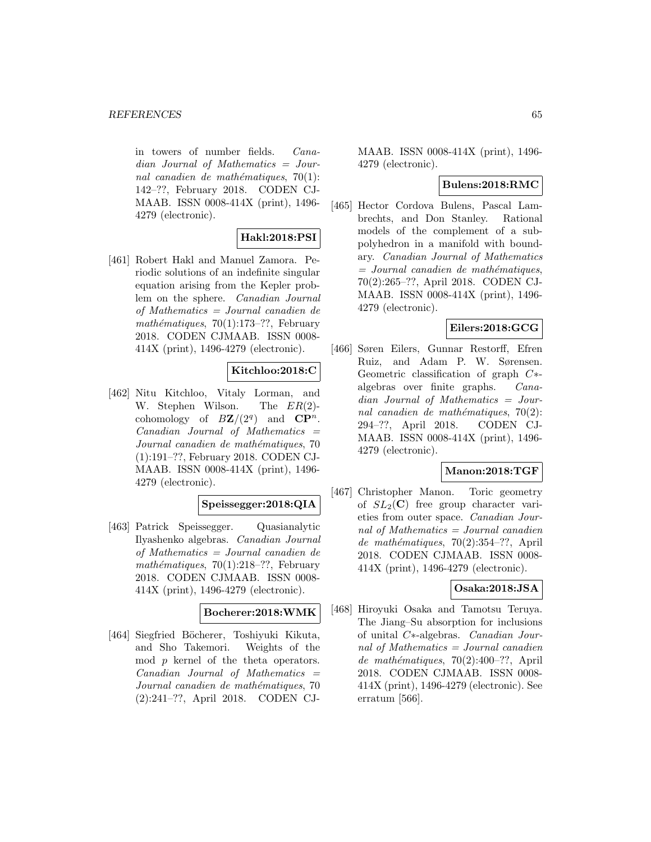in towers of number fields. Canadian Journal of Mathematics = Journal canadien de mathématiques,  $70(1)$ : 142–??, February 2018. CODEN CJ-MAAB. ISSN 0008-414X (print), 1496- 4279 (electronic).

# **Hakl:2018:PSI**

[461] Robert Hakl and Manuel Zamora. Periodic solutions of an indefinite singular equation arising from the Kepler problem on the sphere. Canadian Journal of Mathematics = Journal canadien de mathématiques,  $70(1):173-??$ , February 2018. CODEN CJMAAB. ISSN 0008- 414X (print), 1496-4279 (electronic).

# **Kitchloo:2018:C**

[462] Nitu Kitchloo, Vitaly Lorman, and W. Stephen Wilson. The ER(2) cohomology of  $B\mathbf{Z}/(2^q)$  and  $\mathbf{CP}^n$ .  $Canadian$  Journal of Mathematics  $=$ Journal canadien de mathématiques, 70 (1):191–??, February 2018. CODEN CJ-MAAB. ISSN 0008-414X (print), 1496- 4279 (electronic).

# **Speissegger:2018:QIA**

[463] Patrick Speissegger. Quasianalytic Ilyashenko algebras. Canadian Journal of Mathematics = Journal canadien de mathématiques, 70(1):218–??, February 2018. CODEN CJMAAB. ISSN 0008- 414X (print), 1496-4279 (electronic).

#### **Bocherer:2018:WMK**

[464] Siegfried Böcherer, Toshiyuki Kikuta, and Sho Takemori. Weights of the mod p kernel of the theta operators.  $Canadian$  Journal of Mathematics  $=$ Journal canadien de mathématiques, 70 (2):241–??, April 2018. CODEN CJ-

MAAB. ISSN 0008-414X (print), 1496- 4279 (electronic).

### **Bulens:2018:RMC**

[465] Hector Cordova Bulens, Pascal Lambrechts, and Don Stanley. Rational models of the complement of a subpolyhedron in a manifold with boundary. Canadian Journal of Mathematics  $=$  Journal canadien de mathématiques, 70(2):265–??, April 2018. CODEN CJ-MAAB. ISSN 0008-414X (print), 1496- 4279 (electronic).

### **Eilers:2018:GCG**

[466] Søren Eilers, Gunnar Restorff, Efren Ruiz, and Adam P. W. Sørensen. Geometric classification of graph  $C<sup>*</sup>$ -<br>algebras over finite graphs.  $Cana$ algebras over finite graphs. dian Journal of Mathematics = Journal canadien de mathématiques,  $70(2)$ : 294–??, April 2018. CODEN CJ-MAAB. ISSN 0008-414X (print), 1496- 4279 (electronic).

### **Manon:2018:TGF**

[467] Christopher Manon. Toric geometry of  $SL_2(\mathbb{C})$  free group character varieties from outer space. Canadian Journal of Mathematics = Journal canadien de mathématiques,  $70(2):354-??$ , April 2018. CODEN CJMAAB. ISSN 0008- 414X (print), 1496-4279 (electronic).

### **Osaka:2018:JSA**

[468] Hiroyuki Osaka and Tamotsu Teruya. The Jiang–Su absorption for inclusions of unital C∗-algebras. Canadian Journal of Mathematics = Journal canadien de mathématiques, 70(2):400–??, April 2018. CODEN CJMAAB. ISSN 0008- 414X (print), 1496-4279 (electronic). See erratum [566].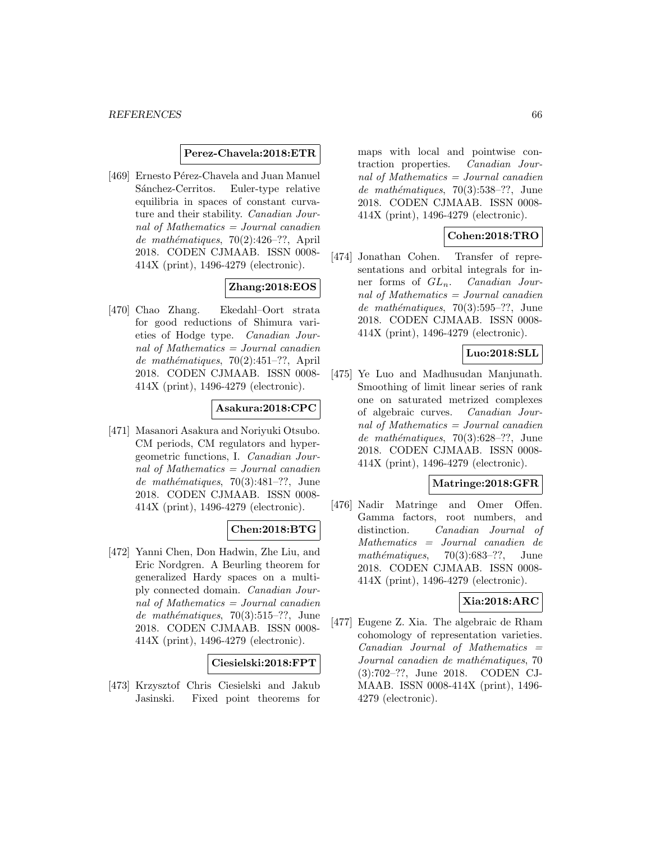#### **Perez-Chavela:2018:ETR**

[469] Ernesto Pérez-Chavela and Juan Manuel Sánchez-Cerritos. Euler-type relative equilibria in spaces of constant curvature and their stability. Canadian Journal of Mathematics = Journal canadien de mathématiques,  $70(2):426-??$ , April 2018. CODEN CJMAAB. ISSN 0008- 414X (print), 1496-4279 (electronic).

# **Zhang:2018:EOS**

[470] Chao Zhang. Ekedahl–Oort strata for good reductions of Shimura varieties of Hodge type. Canadian Journal of Mathematics = Journal canadien de mathématiques, 70(2):451–??, April 2018. CODEN CJMAAB. ISSN 0008- 414X (print), 1496-4279 (electronic).

#### **Asakura:2018:CPC**

[471] Masanori Asakura and Noriyuki Otsubo. CM periods, CM regulators and hypergeometric functions, I. Canadian Journal of Mathematics = Journal canadien de mathématiques, 70(3):481–??, June 2018. CODEN CJMAAB. ISSN 0008- 414X (print), 1496-4279 (electronic).

### **Chen:2018:BTG**

[472] Yanni Chen, Don Hadwin, Zhe Liu, and Eric Nordgren. A Beurling theorem for generalized Hardy spaces on a multiply connected domain. Canadian Journal of Mathematics = Journal canadien de mathématiques,  $70(3):515-??$ , June 2018. CODEN CJMAAB. ISSN 0008- 414X (print), 1496-4279 (electronic).

#### **Ciesielski:2018:FPT**

[473] Krzysztof Chris Ciesielski and Jakub Jasinski. Fixed point theorems for

maps with local and pointwise contraction properties. Canadian Journal of Mathematics  $=$  Journal canadien de mathématiques,  $70(3):538-??$ , June 2018. CODEN CJMAAB. ISSN 0008- 414X (print), 1496-4279 (electronic).

### **Cohen:2018:TRO**

[474] Jonathan Cohen. Transfer of representations and orbital integrals for inner forms of  $GL_n$ . Canadian Journal of Mathematics = Journal canadien de mathématiques,  $70(3):595-??$ , June 2018. CODEN CJMAAB. ISSN 0008- 414X (print), 1496-4279 (electronic).

# **Luo:2018:SLL**

[475] Ye Luo and Madhusudan Manjunath. Smoothing of limit linear series of rank one on saturated metrized complexes of algebraic curves. Canadian Journal of Mathematics = Journal canadien de mathématiques,  $70(3):628-??$ , June 2018. CODEN CJMAAB. ISSN 0008- 414X (print), 1496-4279 (electronic).

### **Matringe:2018:GFR**

[476] Nadir Matringe and Omer Offen. Gamma factors, root numbers, and distinction. Canadian Journal of Mathematics = Journal canadien de mathématiques,  $70(3):683-??$ , June 2018. CODEN CJMAAB. ISSN 0008- 414X (print), 1496-4279 (electronic).

### **Xia:2018:ARC**

[477] Eugene Z. Xia. The algebraic de Rham cohomology of representation varieties.  $Canadian$  Journal of Mathematics  $=$ Journal canadien de mathématiques, 70 (3):702–??, June 2018. CODEN CJ-MAAB. ISSN 0008-414X (print), 1496- 4279 (electronic).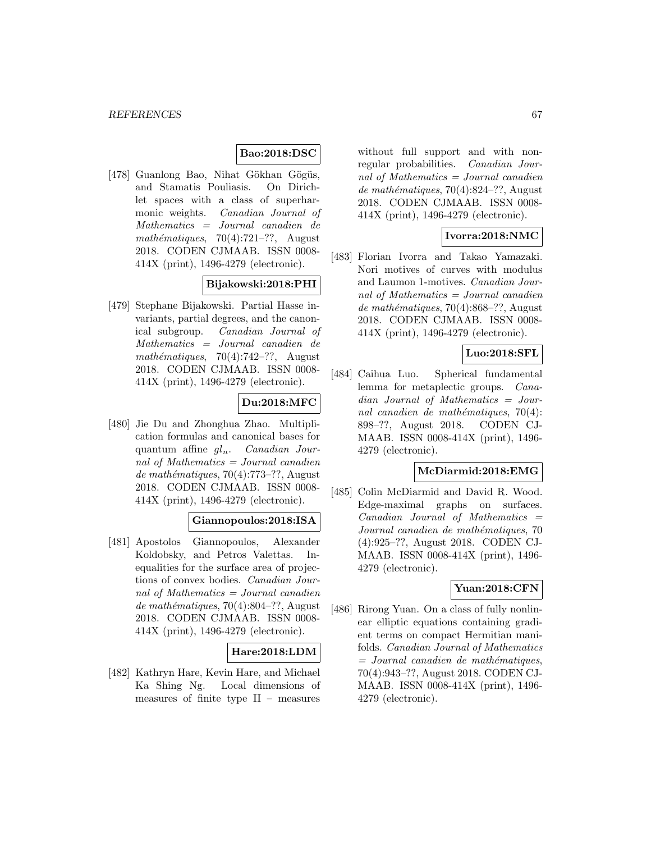### **Bao:2018:DSC**

[478] Guanlong Bao, Nihat Gökhan Gögüs, and Stamatis Pouliasis. On Dirichlet spaces with a class of superharmonic weights. Canadian Journal of Mathematics = Journal canadien de mathématiques,  $70(4):721-??$ , August 2018. CODEN CJMAAB. ISSN 0008- 414X (print), 1496-4279 (electronic).

# **Bijakowski:2018:PHI**

[479] Stephane Bijakowski. Partial Hasse invariants, partial degrees, and the canonical subgroup. Canadian Journal of Mathematics = Journal canadien de mathématiques,  $70(4):742-??$ , August 2018. CODEN CJMAAB. ISSN 0008- 414X (print), 1496-4279 (electronic).

# **Du:2018:MFC**

[480] Jie Du and Zhonghua Zhao. Multiplication formulas and canonical bases for quantum affine  $gl_n$ . Canadian Journal of Mathematics = Journal canadien de mathématiques,  $70(4)$ :773–??, August 2018. CODEN CJMAAB. ISSN 0008- 414X (print), 1496-4279 (electronic).

### **Giannopoulos:2018:ISA**

[481] Apostolos Giannopoulos, Alexander Koldobsky, and Petros Valettas. Inequalities for the surface area of projections of convex bodies. Canadian Journal of Mathematics = Journal canadien de mathématiques, 70(4):804–??, August 2018. CODEN CJMAAB. ISSN 0008- 414X (print), 1496-4279 (electronic).

### **Hare:2018:LDM**

[482] Kathryn Hare, Kevin Hare, and Michael Ka Shing Ng. Local dimensions of measures of finite type  $II$  – measures

without full support and with nonregular probabilities. Canadian Journal of Mathematics  $=$  Journal canadien de mathématiques, 70(4):824–??, August 2018. CODEN CJMAAB. ISSN 0008- 414X (print), 1496-4279 (electronic).

### **Ivorra:2018:NMC**

[483] Florian Ivorra and Takao Yamazaki. Nori motives of curves with modulus and Laumon 1-motives. Canadian Journal of Mathematics = Journal canadien de mathématiques, 70(4):868–??, August 2018. CODEN CJMAAB. ISSN 0008- 414X (print), 1496-4279 (electronic).

### **Luo:2018:SFL**

[484] Caihua Luo. Spherical fundamental lemma for metaplectic groups. Canadian Journal of Mathematics = Journal canadien de mathématiques,  $70(4)$ : 898–??, August 2018. CODEN CJ-MAAB. ISSN 0008-414X (print), 1496- 4279 (electronic).

### **McDiarmid:2018:EMG**

[485] Colin McDiarmid and David R. Wood. Edge-maximal graphs on surfaces.  $Canadian$  Journal of Mathematics  $=$ Journal canadien de mathématiques, 70 (4):925–??, August 2018. CODEN CJ-MAAB. ISSN 0008-414X (print), 1496- 4279 (electronic).

### **Yuan:2018:CFN**

[486] Rirong Yuan. On a class of fully nonlinear elliptic equations containing gradient terms on compact Hermitian manifolds. Canadian Journal of Mathematics  $=$  Journal canadien de mathématiques, 70(4):943–??, August 2018. CODEN CJ-MAAB. ISSN 0008-414X (print), 1496- 4279 (electronic).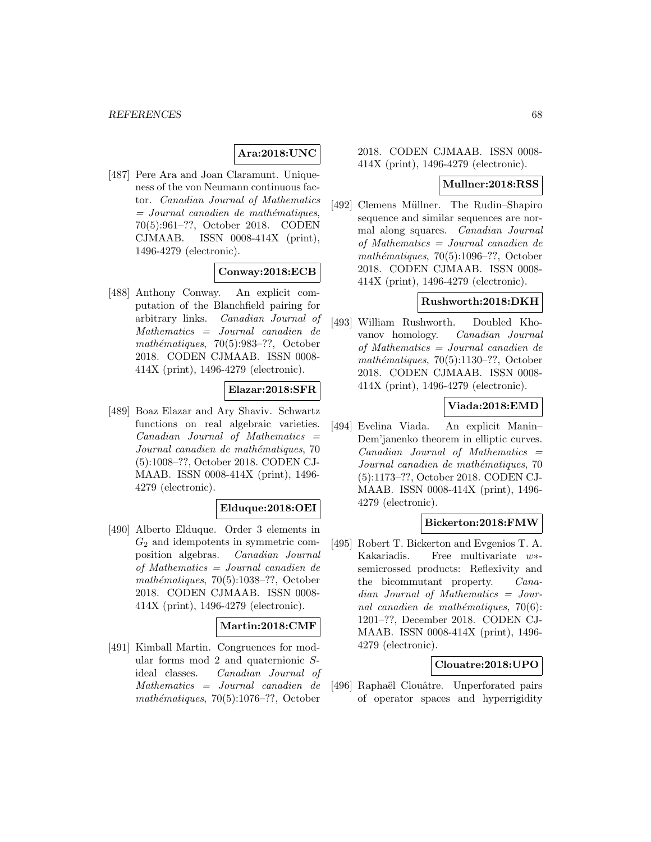# **Ara:2018:UNC**

[487] Pere Ara and Joan Claramunt. Uniqueness of the von Neumann continuous factor. Canadian Journal of Mathematics  $=$  Journal canadien de mathématiques, 70(5):961–??, October 2018. CODEN CJMAAB. ISSN 0008-414X (print), 1496-4279 (electronic).

#### **Conway:2018:ECB**

[488] Anthony Conway. An explicit computation of the Blanchfield pairing for arbitrary links. Canadian Journal of Mathematics = Journal canadien de mathématiques,  $70(5):983-??$ , October 2018. CODEN CJMAAB. ISSN 0008- 414X (print), 1496-4279 (electronic).

# **Elazar:2018:SFR**

[489] Boaz Elazar and Ary Shaviv. Schwartz functions on real algebraic varieties. Canadian Journal of Mathematics = Journal canadien de mathématiques, 70 (5):1008–??, October 2018. CODEN CJ-MAAB. ISSN 0008-414X (print), 1496- 4279 (electronic).

# **Elduque:2018:OEI**

[490] Alberto Elduque. Order 3 elements in  $G_2$  and idempotents in symmetric composition algebras. Canadian Journal of Mathematics = Journal canadien de mathématiques,  $70(5):1038-$ ??, October 2018. CODEN CJMAAB. ISSN 0008- 414X (print), 1496-4279 (electronic).

#### **Martin:2018:CMF**

[491] Kimball Martin. Congruences for modular forms mod 2 and quaternionic Sideal classes. Canadian Journal of Mathematics = Journal canadien de mathématiques,  $70(5):1076-$ ??, October

2018. CODEN CJMAAB. ISSN 0008- 414X (print), 1496-4279 (electronic).

#### **Mullner:2018:RSS**

[492] Clemens Müllner. The Rudin–Shapiro sequence and similar sequences are normal along squares. Canadian Journal of Mathematics = Journal canadien de mathématiques,  $70(5):1096-??$ , October 2018. CODEN CJMAAB. ISSN 0008- 414X (print), 1496-4279 (electronic).

#### **Rushworth:2018:DKH**

[493] William Rushworth. Doubled Khovanov homology. Canadian Journal of Mathematics = Journal canadien de mathématiques,  $70(5):1130-??$ , October 2018. CODEN CJMAAB. ISSN 0008- 414X (print), 1496-4279 (electronic).

### **Viada:2018:EMD**

[494] Evelina Viada. An explicit Manin– Dem'janenko theorem in elliptic curves.  $Canadian$  Journal of Mathematics  $=$ Journal canadien de mathématiques, 70 (5):1173–??, October 2018. CODEN CJ-MAAB. ISSN 0008-414X (print), 1496- 4279 (electronic).

### **Bickerton:2018:FMW**

[495] Robert T. Bickerton and Evgenios T. A. Kakariadis. Free multivariate w∗ semicrossed products: Reflexivity and the bicommutant property. Canadian Journal of Mathematics = Journal canadien de mathématiques,  $70(6)$ : 1201–??, December 2018. CODEN CJ-MAAB. ISSN 0008-414X (print), 1496- 4279 (electronic).

#### **Clouatre:2018:UPO**

[496] Raphaël Clouâtre. Unperforated pairs of operator spaces and hyperrigidity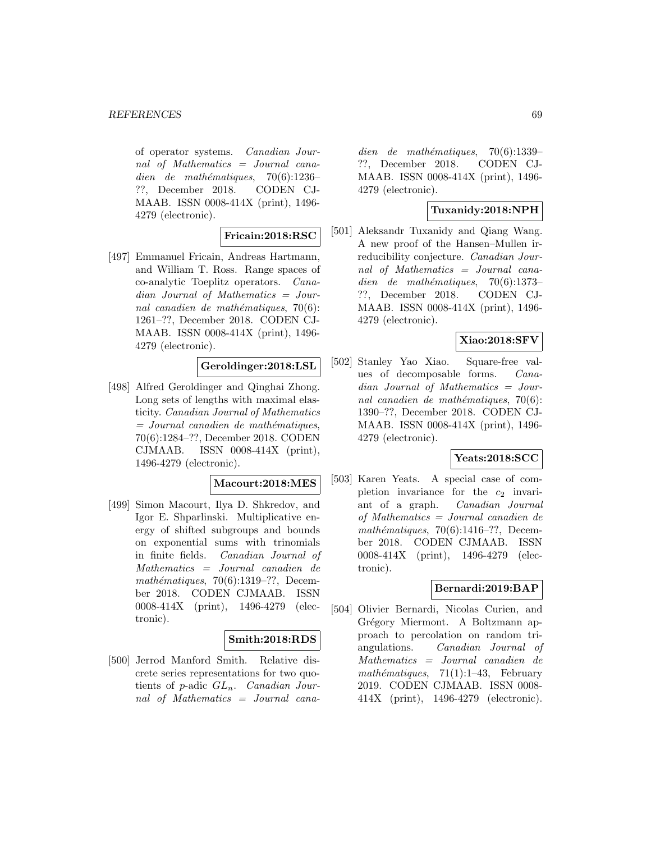of operator systems. Canadian Journal of Mathematics = Journal canadien de mathématiques,  $70(6):1236-$ ??, December 2018. CODEN CJ-MAAB. ISSN 0008-414X (print), 1496- 4279 (electronic).

### **Fricain:2018:RSC**

[497] Emmanuel Fricain, Andreas Hartmann, and William T. Ross. Range spaces of co-analytic Toeplitz operators. Canadian Journal of Mathematics = Journal canadien de mathématiques,  $70(6)$ : 1261–??, December 2018. CODEN CJ-MAAB. ISSN 0008-414X (print), 1496- 4279 (electronic).

# **Geroldinger:2018:LSL**

[498] Alfred Geroldinger and Qinghai Zhong. Long sets of lengths with maximal elasticity. Canadian Journal of Mathematics  $=$  Journal canadien de mathématiques, 70(6):1284–??, December 2018. CODEN CJMAAB. ISSN 0008-414X (print), 1496-4279 (electronic).

#### **Macourt:2018:MES**

[499] Simon Macourt, Ilya D. Shkredov, and Igor E. Shparlinski. Multiplicative energy of shifted subgroups and bounds on exponential sums with trinomials in finite fields. Canadian Journal of Mathematics = Journal canadien de mathématiques,  $70(6):1319-??$ , December 2018. CODEN CJMAAB. ISSN 0008-414X (print), 1496-4279 (electronic).

#### **Smith:2018:RDS**

[500] Jerrod Manford Smith. Relative discrete series representations for two quotients of p-adic  $GL_n$ . Canadian Journal of Mathematics = Journal canadien de mathématiques,  $70(6):1339-$ ??, December 2018. CODEN CJ-MAAB. ISSN 0008-414X (print), 1496- 4279 (electronic).

# **Tuxanidy:2018:NPH**

[501] Aleksandr Tuxanidy and Qiang Wang. A new proof of the Hansen–Mullen irreducibility conjecture. Canadian Journal of Mathematics = Journal canadien de mathématiques,  $70(6):1373-$ ??, December 2018. CODEN CJ-MAAB. ISSN 0008-414X (print), 1496- 4279 (electronic).

### **Xiao:2018:SFV**

[502] Stanley Yao Xiao. Square-free values of decomposable forms. Canadian Journal of Mathematics = Journal canadien de mathématiques,  $70(6)$ : 1390–??, December 2018. CODEN CJ-MAAB. ISSN 0008-414X (print), 1496- 4279 (electronic).

### **Yeats:2018:SCC**

[503] Karen Yeats. A special case of completion invariance for the  $c_2$  invariant of a graph. Canadian Journal of Mathematics = Journal canadien de mathématiques,  $70(6):1416-??$ , December 2018. CODEN CJMAAB. ISSN 0008-414X (print), 1496-4279 (electronic).

### **Bernardi:2019:BAP**

[504] Olivier Bernardi, Nicolas Curien, and Grégory Miermont. A Boltzmann approach to percolation on random triangulations. Canadian Journal of Mathematics = Journal canadien de mathématiques,  $71(1):1-43$ , February 2019. CODEN CJMAAB. ISSN 0008- 414X (print), 1496-4279 (electronic).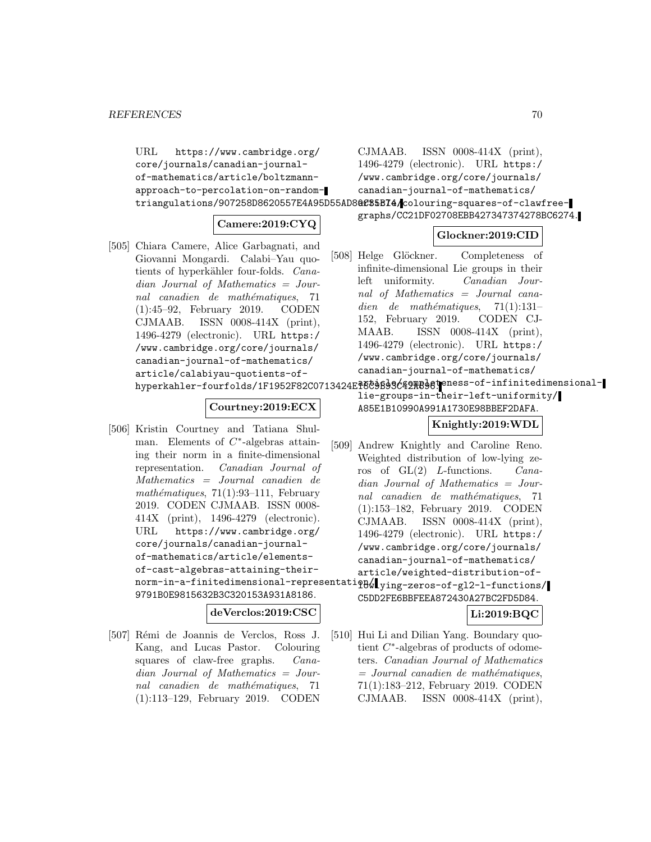URL https://www.cambridge.org/ core/journals/canadian-journalof-mathematics/article/boltzmannapproach-to-percolation-on-randomtriangulations/907258D8620557E4A95D55AD8**0C35BI4/c**olouring-squares-of-clawfree-CJMAAB. ISSN 0008-414X (print), 1496-4279 (electronic). URL https:/ /www.cambridge.org/core/journals/ canadian-journal-of-mathematics/

# **Camere:2019:CYQ**

[505] Chiara Camere, Alice Garbagnati, and Giovanni Mongardi. Calabi–Yau quotients of hyperkähler four-folds. Canadian Journal of Mathematics = Journal canadien de mathématiques, 71 (1):45–92, February 2019. CODEN CJMAAB. ISSN 0008-414X (print), 1496-4279 (electronic). URL https:/ /www.cambridge.org/core/journals/ canadian-journal-of-mathematics/ article/calabiyau-quotients-ofhyperkahler-fourfolds/1F1952F82C0713424El6C9B93C42AB98teness-of-infinitedimensional-

# **Glockner:2019:CID**

graphs/CC21DF02708EBB427347374278BC6274.

[508] Helge Glöckner. Completeness of infinite-dimensional Lie groups in their left uniformity. Canadian Journal of Mathematics = Journal canadien de mathématiques,  $71(1):131-$ 152, February 2019. CODEN CJ-MAAB. ISSN 0008-414X (print), 1496-4279 (electronic). URL https:/ /www.cambridge.org/core/journals/ canadian-journal-of-mathematics/

# **Courtney:2019:ECX**

[506] Kristin Courtney and Tatiana Shulman. Elements of  $C^*$ -algebras attaining their norm in a finite-dimensional representation. Canadian Journal of Mathematics = Journal canadien de mathématiques,  $71(1):93-111$ , February 2019. CODEN CJMAAB. ISSN 0008- 414X (print), 1496-4279 (electronic). URL https://www.cambridge.org/ core/journals/canadian-journalof-mathematics/article/elementsof-cast-algebras-attaining-theirnorm-in-a-finitedimensional-representatiqB $\!\!\!\downarrow$  lying-zeros-of-gl2-l-functions/ 9791B0E9815632B3C320153A931A8186.

# **deVerclos:2019:CSC**

[507] Rémi de Joannis de Verclos, Ross J. Kang, and Lucas Pastor. Colouring squares of claw-free graphs. Canadian Journal of Mathematics = Journal canadien de mathématiques, 71 (1):113–129, February 2019. CODEN

lie-groups-in-their-left-uniformity/ A85E1B10990A991A1730E98BBEF2DAFA.

# **Knightly:2019:WDL**

- [509] Andrew Knightly and Caroline Reno. Weighted distribution of low-lying zeros of GL(2) L-functions. Canadian Journal of Mathematics = Journal canadien de mathématiques, 71 (1):153–182, February 2019. CODEN CJMAAB. ISSN 0008-414X (print), 1496-4279 (electronic). URL https:/ /www.cambridge.org/core/journals/ canadian-journal-of-mathematics/ article/weighted-distribution-of-
- C5DD2FE6BBFEEA872430A27BC2FD5D84.

# **Li:2019:BQC**

[510] Hui Li and Dilian Yang. Boundary quotient C∗-algebras of products of odometers. Canadian Journal of Mathematics  $=$  Journal canadien de mathématiques, 71(1):183–212, February 2019. CODEN CJMAAB. ISSN 0008-414X (print),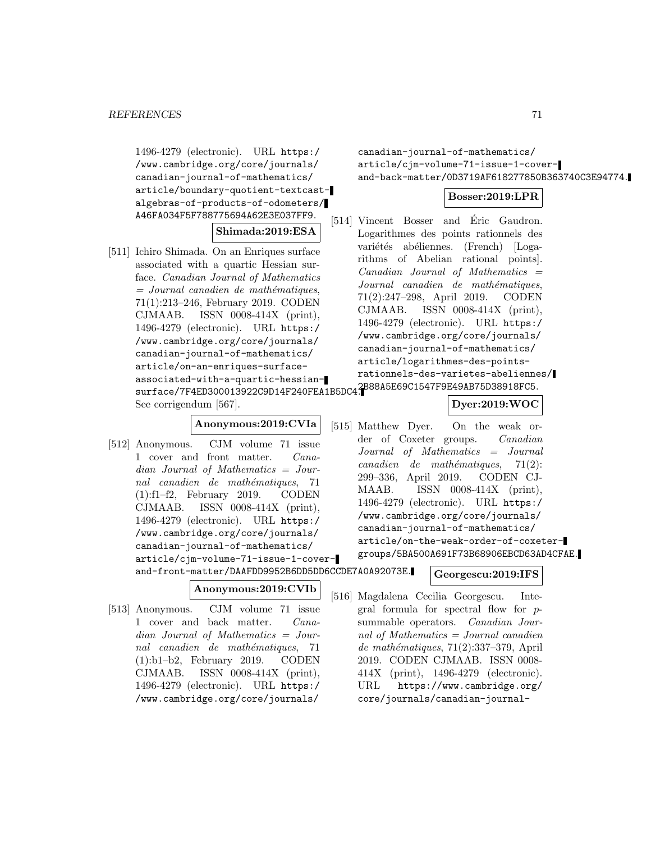1496-4279 (electronic). URL https:/ /www.cambridge.org/core/journals/ canadian-journal-of-mathematics/ article/boundary-quotient-textcastalgebras-of-products-of-odometers/ A46FA034F5F788775694A62E3E037FF9.

#### **Shimada:2019:ESA**

[511] Ichiro Shimada. On an Enriques surface associated with a quartic Hessian surface. Canadian Journal of Mathematics  $=$  Journal canadien de mathématiques, 71(1):213–246, February 2019. CODEN CJMAAB. ISSN 0008-414X (print), 1496-4279 (electronic). URL https:/ /www.cambridge.org/core/journals/ canadian-journal-of-mathematics/ article/on-an-enriques-surfaceassociated-with-a-quartic-hessiansurface/7F4ED300013922C9D14F240FEA1B5DC4. 2B88A5E69C1547F9E49AB75D38918FC5. See corrigendum [567].

#### **Anonymous:2019:CVIa**

[512] Anonymous. CJM volume 71 issue 1 cover and front matter. Canadian Journal of Mathematics = Journal canadien de mathématiques, 71 (1):f1–f2, February 2019. CODEN CJMAAB. ISSN 0008-414X (print), 1496-4279 (electronic). URL https:/ /www.cambridge.org/core/journals/ canadian-journal-of-mathematics/ article/cjm-volume-71-issue-1-coverand-front-matter/DAAFDD9952B6DD5DD6CCDE7A0A92073E.

**Anonymous:2019:CVIb**

[513] Anonymous. CJM volume 71 issue 1 cover and back matter. Canadian Journal of Mathematics = Journal canadien de mathématiques, 71 (1):b1–b2, February 2019. CODEN CJMAAB. ISSN 0008-414X (print), 1496-4279 (electronic). URL https:/ /www.cambridge.org/core/journals/

canadian-journal-of-mathematics/ article/cjm-volume-71-issue-1-coverand-back-matter/0D3719AF618277850B363740C3E94774.

#### **Bosser:2019:LPR**

[514] Vincent Bosser and Éric Gaudron. Logarithmes des points rationnels des variétés abéliennes. (French) [Logarithms of Abelian rational points].  $Canadian$  Journal of Mathematics  $=$ Journal canadien de mathématiques, 71(2):247–298, April 2019. CODEN CJMAAB. ISSN 0008-414X (print), 1496-4279 (electronic). URL https:/ /www.cambridge.org/core/journals/ canadian-journal-of-mathematics/ article/logarithmes-des-pointsrationnels-des-varietes-abeliennes/

# **Dyer:2019:WOC**

[515] Matthew Dyer. On the weak order of Coxeter groups. Canadian Journal of Mathematics = Journal  $cana dien$  de mathématiques,  $71(2)$ : 299–336, April 2019. CODEN CJ-MAAB. ISSN 0008-414X (print), 1496-4279 (electronic). URL https:/ /www.cambridge.org/core/journals/ canadian-journal-of-mathematics/ article/on-the-weak-order-of-coxetergroups/5BA500A691F73B68906EBCD63AD4CFAE.

#### **Georgescu:2019:IFS**

[516] Magdalena Cecilia Georgescu. Integral formula for spectral flow for psummable operators. Canadian Journal of Mathematics  $=$  Journal canadien  $de mathématiques, 71(2):337-379, April$ 2019. CODEN CJMAAB. ISSN 0008- 414X (print), 1496-4279 (electronic). URL https://www.cambridge.org/ core/journals/canadian-journal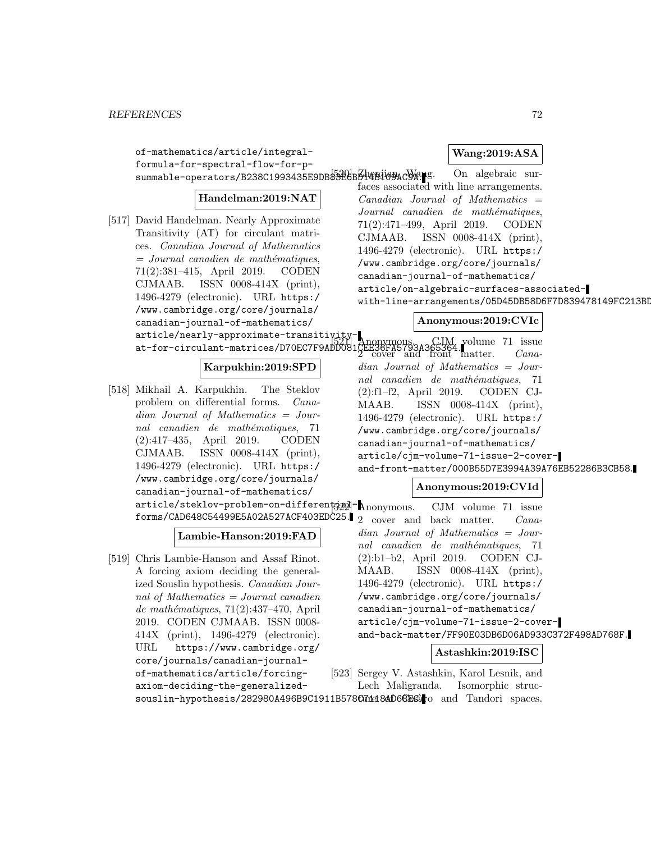of-mathematics/article/integral-

canadian-journal-of-mathematics/

[518] Mikhail A. Karpukhin. The Steklov problem on differential forms. Canadian Journal of Mathematics = Journal canadien de mathématiques, 71 (2):417–435, April 2019. CODEN CJMAAB. ISSN 0008-414X (print), 1496-4279 (electronic). URL https:/ /www.cambridge.org/core/journals/ canadian-journal-of-mathematics/

[519] Chris Lambie-Hanson and Assaf Rinot. A forcing axiom deciding the generalized Souslin hypothesis. Canadian Journal of Mathematics = Journal canadien  $de mathématiques, 71(2):437–470, April$ 2019. CODEN CJMAAB. ISSN 0008- 414X (print), 1496-4279 (electronic). URL https://www.cambridge.org/ core/journals/canadian-journal-

article/nearly-approximate-transitivity-

**Lambie-Hanson:2019:FAD**

**Karpukhin:2019:SPD**

**Wang:2019:ASA**

formula-for-spectral-flow-for-psummable-operators/B238C1993435E9DB8326BB014B109AC9A. S. On algebraic sur-**Handelman:2019:NAT** [517] David Handelman. Nearly Approximate Transitivity (AT) for circulant matrices. Canadian Journal of Mathematics  $=$  Journal canadien de mathématiques, 71(2):381–415, April 2019. CODEN CJMAAB. ISSN 0008-414X (print), 1496-4279 (electronic). URL https:/ /www.cambridge.org/core/journals/ faces associated with line arrangements.  $Canadian$  Journal of Mathematics  $=$ Journal canadien de mathématiques, 71(2):471–499, April 2019. CODEN CJMAAB. ISSN 0008-414X (print), 1496-4279 (electronic). URL https:/ /www.cambridge.org/core/journals/ canadian-journal-of-mathematics/ article/on-algebraic-surfaces-associatedwith-line-arrangements/05D45DB58D6F7D839478149FC213BI

# **Anonymous:2019:CVIc**

at-for-circulant-matrices/D70EC7F9ADD081CEE  $\left[52\right]$  Anonymous. CJM volume 71 issue  $2$  cover and front matter.  $Cana$ dian Journal of Mathematics = Journal canadien de mathématiques, 71 (2):f1–f2, April 2019. CODEN CJ-MAAB. ISSN 0008-414X (print), 1496-4279 (electronic). URL https:/ /www.cambridge.org/core/journals/ canadian-journal-of-mathematics/ article/cjm-volume-71-issue-2-coverand-front-matter/000B55D7E3994A39A76EB52286B3CB58.

# **Anonymous:2019:CVId**

article/steklov-problem-on-differential- $\Lambda$ nonymous. forms/CAD648C54499E5A02A527ACF403EDC25.  $\vert$  2 cover and back matter. *Cana-*CJM volume 71 issue dian Journal of Mathematics = Journal canadien de mathématiques, 71 (2):b1–b2, April 2019. CODEN CJ-MAAB. ISSN 0008-414X (print), 1496-4279 (electronic). URL https:/ /www.cambridge.org/core/journals/ canadian-journal-of-mathematics/ article/cjm-volume-71-issue-2-coverand-back-matter/FF90E03DB6D06AD933C372F498AD768F.

# **Astashkin:2019:ISC**

of-mathematics/article/forcingaxiom-deciding-the-generalizedsouslin-hypothesis/282980A496B9C1911B578C714184D66Esato and Tandori spaces. [523] Sergey V. Astashkin, Karol Lesnik, and Lech Maligranda. Isomorphic struc-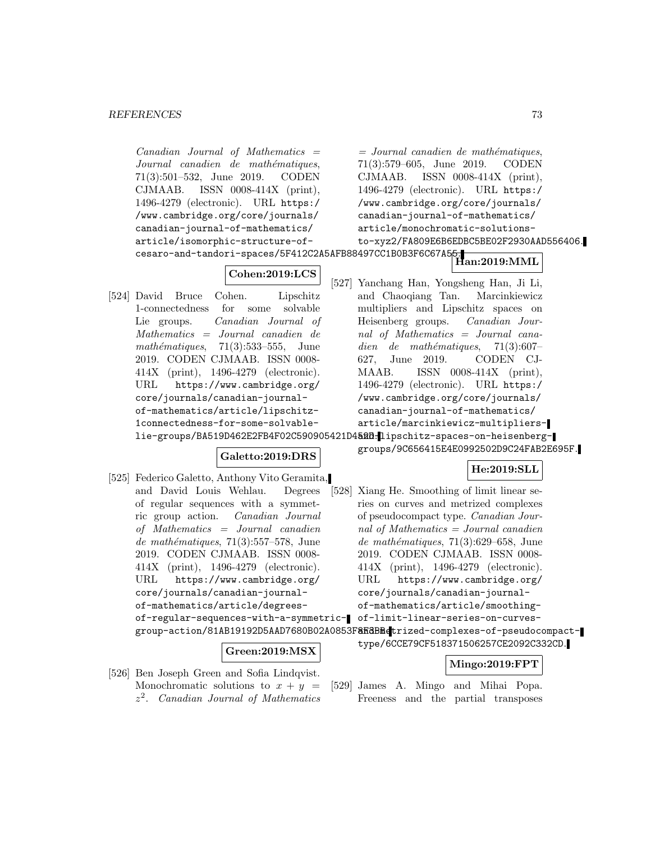### **REFERENCES** 73

 $Canadian$  Journal of Mathematics  $=$ Journal canadien de mathématiques, 71(3):501–532, June 2019. CODEN CJMAAB. ISSN 0008-414X (print), 1496-4279 (electronic). URL https:/ /www.cambridge.org/core/journals/ canadian-journal-of-mathematics/ article/isomorphic-structure-ofcesaro-and-tandori-spaces/5F412C2A5AFB88497CC1B0B3F6C67A55. **Han:2019:MML Cohen:2019:LCS** [524] David Bruce Cohen. Lipschitz 1-connectedness for some solvable Lie groups. Canadian Journal of Mathematics = Journal canadien de mathématiques,  $71(3):533-555$ , June 2019. CODEN CJMAAB. ISSN 0008- 414X (print), 1496-4279 (electronic). URL https://www.cambridge.org/ core/journals/canadian-journalof-mathematics/article/lipschitz-1connectedness-for-some-solvablelie-groups/BA519D462E2FB4F02C590905421D4**52B.l**lipschitz-spaces-on-heisenberg-**Galetto:2019:DRS** [525] Federico Galetto, Anthony Vito Geramita, and David Louis Wehlau. Degrees of regular sequences with a symmetric group action. Canadian Journal of Mathematics = Journal canadien de mathématiques,  $71(3):557-578$ , June 2019. CODEN CJMAAB. ISSN 0008- 414X (print), 1496-4279 (electronic). URL https://www.cambridge.org/ core/journals/canadian-journalof-mathematics/article/degreesof-regular-sequences-with-a-symmetric-of-limit-linear-series-on-curvesgroup-action/81AB19192D5AAD7680B02A0853F<mark>8KdBMe</mark>trized-complexes-of-pseudocompact-**Green:2019:MSX** [526] Ben Joseph Green and Sofia Lindqvist. Monochromatic solutions to  $x + y =$  $z<sup>2</sup>$ . Canadian Journal of Mathematics  $=$  Journal canadien de mathématiques, 71(3):579–605, June 2019. CODEN CJMAAB. ISSN 0008-414X (print), 1496-4279 (electronic). URL https:/ /www.cambridge.org/core/journals/ canadian-journal-of-mathematics/ article/monochromatic-solutionsto-xyz2/FA809E6B6EDBC5BE02F2930AAD556406. [527] Yanchang Han, Yongsheng Han, Ji Li, and Chaoqiang Tan. Marcinkiewicz multipliers and Lipschitz spaces on Heisenberg groups. Canadian Journal of Mathematics = Journal canadien de mathématiques,  $71(3):607-$ 627, June 2019. CODEN CJ-MAAB. ISSN 0008-414X (print), 1496-4279 (electronic). URL https:/ /www.cambridge.org/core/journals/ canadian-journal-of-mathematics/ article/marcinkiewicz-multipliersgroups/9C656415E4E0992502D9C24FAB2E695F. **He:2019:SLL** [528] Xiang He. Smoothing of limit linear series on curves and metrized complexes of pseudocompact type. Canadian Journal of Mathematics = Journal canadien de mathématiques,  $71(3):629-658$ , June 2019. CODEN CJMAAB. ISSN 0008- 414X (print), 1496-4279 (electronic). URL https://www.cambridge.org/ core/journals/canadian-journalof-mathematics/article/smoothingtype/6CCE79CF518371506257CE2092C332CD. **Mingo:2019:FPT** [529] James A. Mingo and Mihai Popa. Freeness and the partial transposes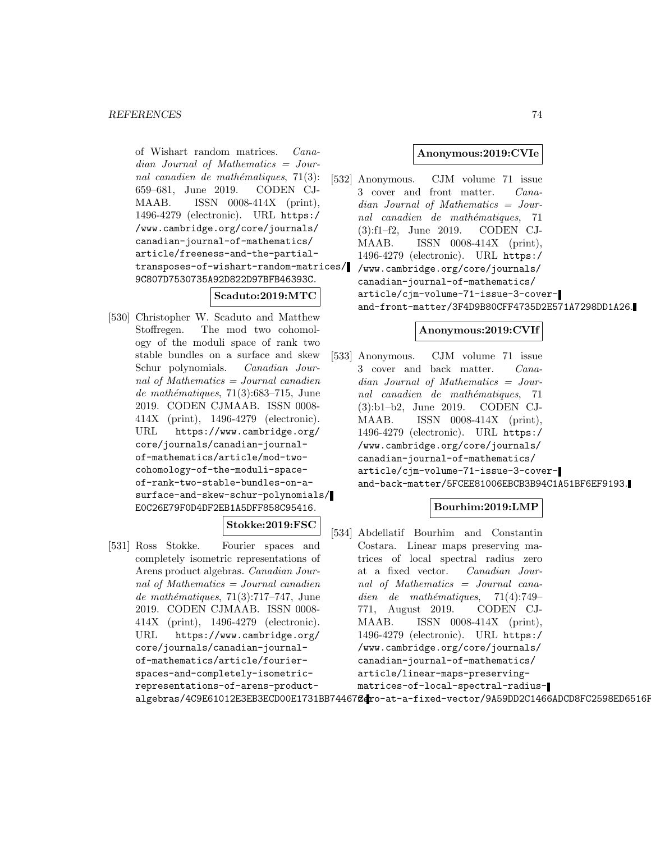of Wishart random matrices. Canadian Journal of Mathematics = Journal canadien de mathématiques,  $71(3)$ : 659–681, June 2019. CODEN CJ-MAAB. ISSN 0008-414X (print), 1496-4279 (electronic). URL https:/ /www.cambridge.org/core/journals/ canadian-journal-of-mathematics/ article/freeness-and-the-partialtransposes-of-wishart-random-matrices/ 9C807D7530735A92D822D97BFB46393C.

### **Scaduto:2019:MTC**

[530] Christopher W. Scaduto and Matthew Stoffregen. The mod two cohomology of the moduli space of rank two stable bundles on a surface and skew Schur polynomials. Canadian Journal of Mathematics = Journal canadien de mathématiques,  $71(3):683-715$ , June 2019. CODEN CJMAAB. ISSN 0008- 414X (print), 1496-4279 (electronic). URL https://www.cambridge.org/ core/journals/canadian-journalof-mathematics/article/mod-twocohomology-of-the-moduli-spaceof-rank-two-stable-bundles-on-asurface-and-skew-schur-polynomials/ E0C26E79F0D4DF2EB1A5DFF858C95416.

# **Stokke:2019:FSC**

[531] Ross Stokke. Fourier spaces and completely isometric representations of Arens product algebras. Canadian Journal of Mathematics = Journal canadien  $de mathématiques, 71(3):717–747, June$ 2019. CODEN CJMAAB. ISSN 0008- 414X (print), 1496-4279 (electronic). URL https://www.cambridge.org/ core/journals/canadian-journalof-mathematics/article/fourierspaces-and-completely-isometricrepresentations-of-arens-product-

## **Anonymous:2019:CVIe**

[532] Anonymous. CJM volume 71 issue 3 cover and front matter. Canadian Journal of Mathematics = Journal canadien de mathématiques, 71 (3):f1–f2, June 2019. CODEN CJ-MAAB. ISSN 0008-414X (print), 1496-4279 (electronic). URL https:/ /www.cambridge.org/core/journals/ canadian-journal-of-mathematics/ article/cjm-volume-71-issue-3-coverand-front-matter/3F4D9B80CFF4735D2E571A7298DD1A26.

# **Anonymous:2019:CVIf**

[533] Anonymous. CJM volume 71 issue 3 cover and back matter. Canadian Journal of Mathematics = Journal canadien de mathématiques, 71 (3):b1–b2, June 2019. CODEN CJ-MAAB. ISSN 0008-414X (print), 1496-4279 (electronic). URL https:/ /www.cambridge.org/core/journals/ canadian-journal-of-mathematics/ article/cjm-volume-71-issue-3-coverand-back-matter/5FCEE81006EBCB3B94C1A51BF6EF9193.

# **Bourhim:2019:LMP**

algebras/4C9E61012E3EB3ECD00E1731BB74467@dro-at-a-fixed-vector/9A59DD2C1466ADCD8FC2598ED6516F [534] Abdellatif Bourhim and Constantin Costara. Linear maps preserving matrices of local spectral radius zero at a fixed vector. Canadian Journal of Mathematics = Journal canadien de mathématiques,  $71(4):749-$ 771, August 2019. CODEN CJ-MAAB. ISSN 0008-414X (print), 1496-4279 (electronic). URL https:/ /www.cambridge.org/core/journals/ canadian-journal-of-mathematics/ article/linear-maps-preservingmatrices-of-local-spectral-radius-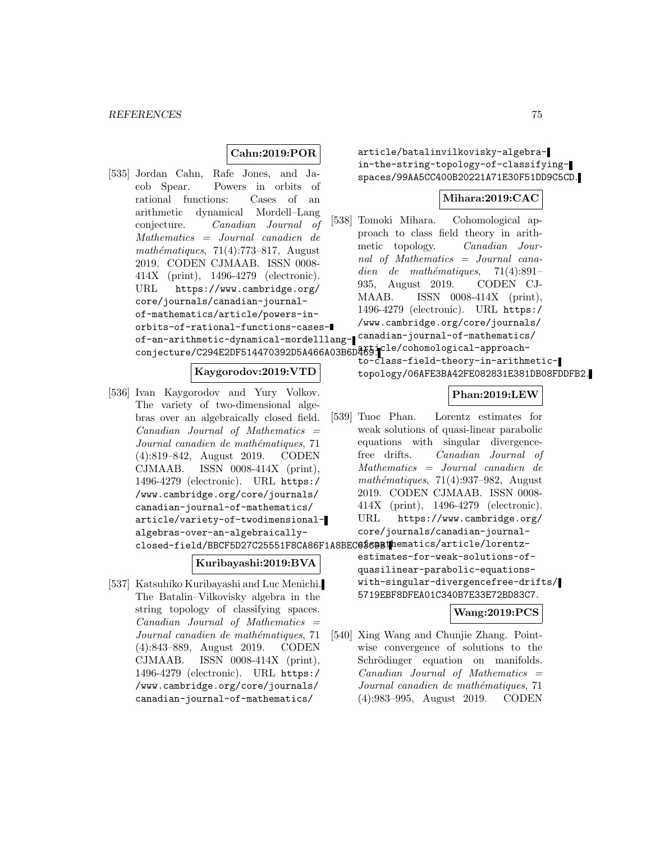# **Cahn:2019:POR**

[535] Jordan Cahn, Rafe Jones, and Jacob Spear. Powers in orbits of rational functions: Cases of an arithmetic dynamical Mordell–Lang conjecture. Canadian Journal of Mathematics = Journal canadien de mathématiques,  $71(4):773-817$ , August 2019. CODEN CJMAAB. ISSN 0008- 414X (print), 1496-4279 (electronic). URL https://www.cambridge.org/ core/journals/canadian-journalof-mathematics/article/powers-inorbits-of-rational-functions-casesof-an-arithmetic-dynamical-mordelllang-canadian-journal-of-mathematics/ conjecture/C294E2DF514470392D5A466A03B6D469. Cle/cohomological-approach-

### **Kaygorodov:2019:VTD**

[536] Ivan Kaygorodov and Yury Volkov. The variety of two-dimensional algebras over an algebraically closed field.  $Canadian$  Journal of Mathematics  $=$ Journal canadien de mathématiques, 71 (4):819–842, August 2019. CODEN CJMAAB. ISSN 0008-414X (print), 1496-4279 (electronic). URL https:/ /www.cambridge.org/core/journals/ canadian-journal-of-mathematics/ article/variety-of-twodimensionalalgebras-over-an-algebraically-

### **Kuribayashi:2019:BVA**

[537] Katsuhiko Kuribayashi and Luc Menichi. The Batalin–Vilkovisky algebra in the string topology of classifying spaces.  $Canadian$  Journal of Mathematics  $=$ Journal canadien de mathématiques, 71 (4):843–889, August 2019. CODEN CJMAAB. ISSN 0008-414X (print), 1496-4279 (electronic). URL https:/ /www.cambridge.org/core/journals/ canadian-journal-of-mathematics/

article/batalinvilkovisky-algebrain-the-string-topology-of-classifyingspaces/99AA5CC400B20221A71E30F51DD9C5CD.

### **Mihara:2019:CAC**

[538] Tomoki Mihara. Cohomological approach to class field theory in arithmetic topology. Canadian Journal of Mathematics = Journal canadien de mathématiques,  $71(4):891-$ 935, August 2019. CODEN CJ-MAAB. ISSN 0008-414X (print), 1496-4279 (electronic). URL https:/ /www.cambridge.org/core/journals/

> to-class-field-theory-in-arithmetictopology/06AFE3BA42FE082831E381DB08FDDFB2.

# **Phan:2019:LEW**

```
closed-field/BBCF5D27C25551F8CA86F1A8BEC@$6@B!@hematics/article/lorentz-
                        [539] Tuoc Phan. Lorentz estimates for
                             weak solutions of quasi-linear parabolic
                             equations with singular divergence-
                             free drifts. Canadian Journal of
                             Mathematics = Journal canadien de
                             mathématiques, 71(4):937-982, August
                             2019. CODEN CJMAAB. ISSN 0008-
                             414X (print), 1496-4279 (electronic).
                             URL https://www.cambridge.org/
                             core/journals/canadian-journal-
                             estimates-for-weak-solutions-of-
                             quasilinear-parabolic-equations-
                             with-singular-divergencefree-drifts/
                             5719EBF8DFEA01C340B7E33E72BD83C7.
```
# **Wang:2019:PCS**

[540] Xing Wang and Chunjie Zhang. Pointwise convergence of solutions to the Schrödinger equation on manifolds.  $Canadian$  Journal of Mathematics  $=$ Journal canadien de mathématiques, 71 (4):983–995, August 2019. CODEN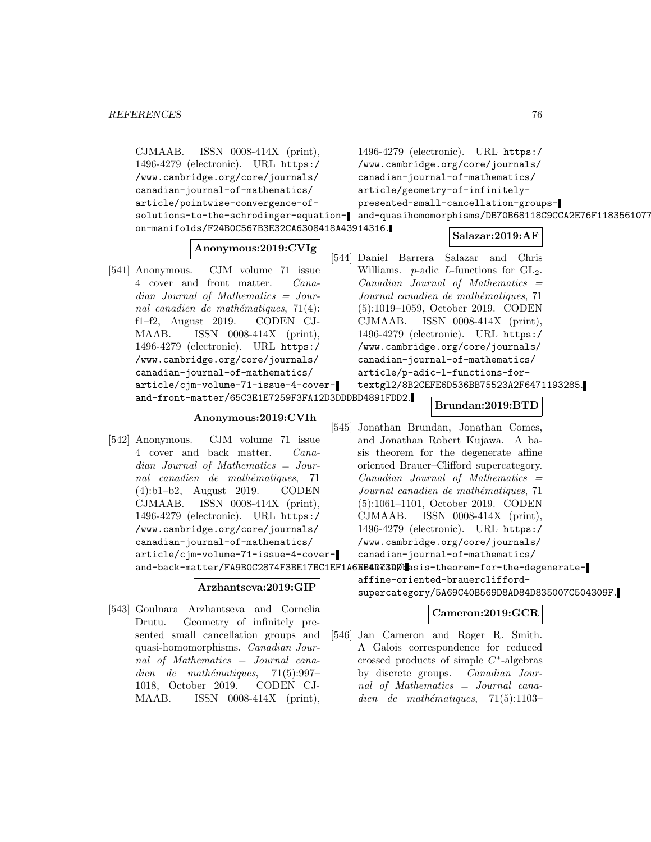CJMAAB. ISSN 0008-414X (print), 1496-4279 (electronic). URL https:/ /www.cambridge.org/core/journals/ canadian-journal-of-mathematics/ article/pointwise-convergence-ofsolutions-to-the-schrodinger-equation-and-quasihomomorphisms/DB70B68118C9CCA2E76F1183561077 on-manifolds/F24B0C567B3E32CA6308418A43914316. **Anonymous:2019:CVIg** [541] Anonymous. CJM volume 71 issue 4 cover and front matter. Canadian Journal of Mathematics = Journal canadien de mathématiques,  $71(4)$ : f1–f2, August 2019. CODEN CJ-MAAB. ISSN 0008-414X (print), 1496-4279 (electronic). URL https:/ /www.cambridge.org/core/journals/ canadian-journal-of-mathematics/ article/cjm-volume-71-issue-4-coverand-front-matter/65C3E1E7259F3FA12D3DDDBD4891FDD2. **Anonymous:2019:CVIh** [542] Anonymous. CJM volume 71 issue 4 cover and back matter. Canadian Journal of Mathematics = Journal canadien de mathématiques, 71 (4):b1–b2, August 2019. CODEN CJMAAB. ISSN 0008-414X (print), 1496-4279 (electronic). URL https:/ /www.cambridge.org/core/journals/ 1496-4279 (electronic). URL https:/ /www.cambridge.org/core/journals/ canadian-journal-of-mathematics/ article/geometry-of-infinitelypresented-small-cancellation-groups-**Salazar:2019:AF** [544] Daniel Barrera Salazar and Chris Williams. *p*-adic *L*-functions for  $GL_2$ .  $Canadian$  Journal of Mathematics  $=$ Journal canadien de mathématiques, 71 (5):1019–1059, October 2019. CODEN CJMAAB. ISSN 0008-414X (print), 1496-4279 (electronic). URL https:/ /www.cambridge.org/core/journals/ canadian-journal-of-mathematics/ article/p-adic-l-functions-fortextgl2/8B2CEFE6D536BB75523A2F6471193285. **Brundan:2019:BTD** [545] Jonathan Brundan, Jonathan Comes, and Jonathan Robert Kujawa. A basis theorem for the degenerate affine oriented Brauer–Clifford supercategory.  $Canadian$  Journal of Mathematics  $=$ Journal canadien de mathématiques, 71 (5):1061–1101, October 2019. CODEN CJMAAB. ISSN 0008-414X (print), 1496-4279 (electronic). URL https:/

**Arzhantseva:2019:GIP**

[543] Goulnara Arzhantseva and Cornelia Drutu. Geometry of infinitely presented small cancellation groups and quasi-homomorphisms. Canadian Journal of Mathematics = Journal cana $dien$  de mathématiques, 71(5):997– 1018, October 2019. CODEN CJ-MAAB. ISSN 0008-414X (print),

canadian-journal-of-mathematics/

article/cjm-volume-71-issue-4-cover-/www.cambridge.org/core/journals/ canadian-journal-of-mathematics/

and-back-matter/FA9B0C2874F3BE17BC1EF1A6EB4D73BDUasis-theorem-for-the-degenerateaffine-oriented-brauercliffordsupercategory/5A69C40B569D8AD84D835007C504309F.

# **Cameron:2019:GCR**

[546] Jan Cameron and Roger R. Smith. A Galois correspondence for reduced crossed products of simple  $C^*$ -algebras by discrete groups. Canadian Journal of Mathematics = Journal canadien de mathématiques,  $71(5):1103-$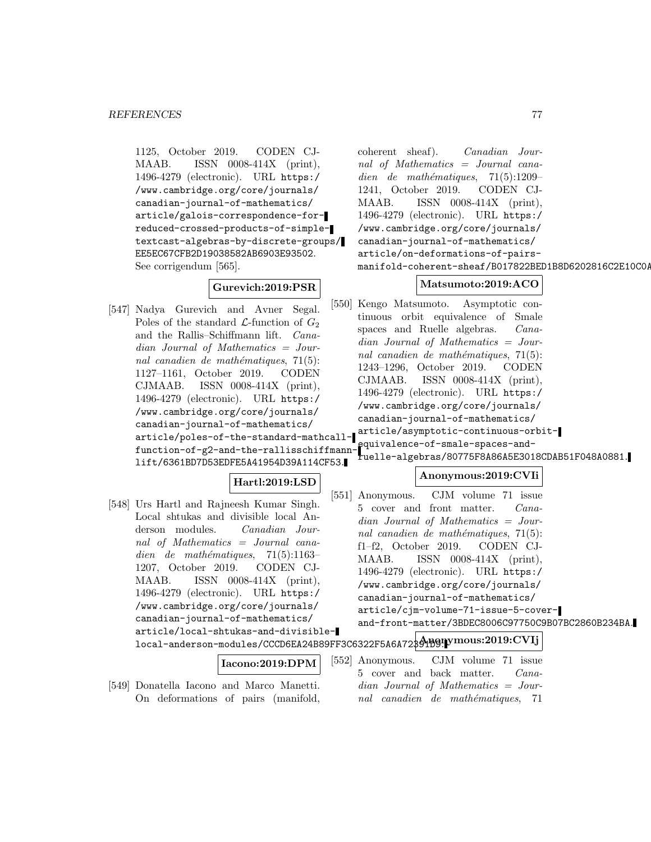1125, October 2019. CODEN CJ-MAAB. ISSN 0008-414X (print), 1496-4279 (electronic). URL https:/ /www.cambridge.org/core/journals/ canadian-journal-of-mathematics/ article/galois-correspondence-forreduced-crossed-products-of-simpletextcast-algebras-by-discrete-groups/ EE5EC67CFB2D19038582AB6903E93502. See corrigendum [565].

# **Gurevich:2019:PSR**

[547] Nadya Gurevich and Avner Segal. Poles of the standard  $\mathcal{L}$ -function of  $G_2$ and the Rallis–Schiffmann lift. Canadian Journal of Mathematics = Journal canadien de mathématiques,  $71(5)$ : 1127–1161, October 2019. CODEN CJMAAB. ISSN 0008-414X (print), 1496-4279 (electronic). URL https:/ /www.cambridge.org/core/journals/ canadian-journal-of-mathematics/ article/poles-of-the-standard-mathcallfunction-of-g2-and-the-rallisschiffmann-equivalence-of-smale-spaces-andlift/6361BD7D53EDFE5A41954D39A114CF53.

coherent sheaf). Canadian Journal of Mathematics = Journal canadien de mathématiques,  $71(5):1209-$ 1241, October 2019. CODEN CJ-MAAB. ISSN 0008-414X (print), 1496-4279 (electronic). URL https:/ /www.cambridge.org/core/journals/ canadian-journal-of-mathematics/ article/on-deformations-of-pairsmanifold-coherent-sheaf/B017822BED1B8D6202816C2E10C0A

# **Matsumoto:2019:ACO**

[550] Kengo Matsumoto. Asymptotic continuous orbit equivalence of Smale spaces and Ruelle algebras. *Cana*dian Journal of Mathematics = Journal canadien de mathématiques,  $71(5)$ : 1243–1296, October 2019. CODEN CJMAAB. ISSN 0008-414X (print), 1496-4279 (electronic). URL https:/ /www.cambridge.org/core/journals/ canadian-journal-of-mathematics/

article/asymptotic-continuous-orbit-

ruelle-algebras/80775F8A86A5E3018CDAB51F048A0881.

- [548] Urs Hartl and Rajneesh Kumar Singh. Local shtukas and divisible local Anderson modules. Canadian Journal of Mathematics = Journal canadien de mathématiques,  $71(5):1163-$ 1207, October 2019. CODEN CJ-MAAB. ISSN 0008-414X (print), 1496-4279 (electronic). URL https:/ /www.cambridge.org/core/journals/ canadian-journal-of-mathematics/ article/local-shtukas-and-divisible-
- **Hartl:2019:LSD** [551] Anonymous. CJM volume 71 issue
	-

local-anderson-modules/CCCD6EA24B89FF3C6322F5A6A72391D9. **Anonymous:2019:CVIj** and-front-matter/3BDEC8006C97750C9B07BC2860B234BA.

```
Iacono:2019:DPM
```
[549] Donatella Iacono and Marco Manetti. On deformations of pairs (manifold,

# **Anonymous:2019:CVIi**

- 5 cover and front matter. Canadian Journal of Mathematics = Journal canadien de mathématiques,  $71(5)$ : f1–f2, October 2019. CODEN CJ-MAAB. ISSN 0008-414X (print), 1496-4279 (electronic). URL https:/ /www.cambridge.org/core/journals/ canadian-journal-of-mathematics/ article/cjm-volume-71-issue-5-cover-
- [552] Anonymous. CJM volume 71 issue 5 cover and back matter. Canadian Journal of Mathematics = Journal canadien de mathématiques, 71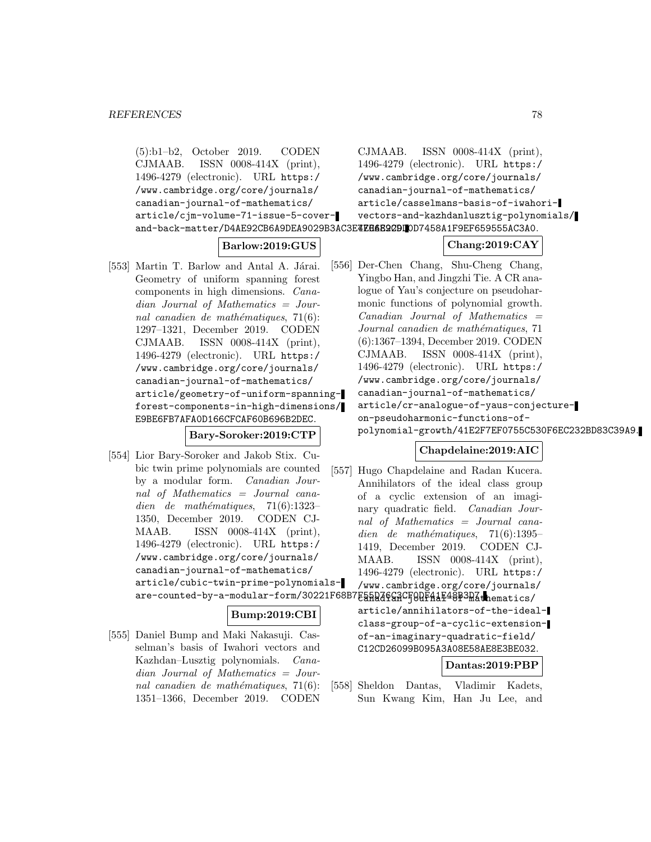(5):b1–b2, October 2019. CODEN CJMAAB. ISSN 0008-414X (print), 1496-4279 (electronic). URL https:/ /www.cambridge.org/core/journals/ canadian-journal-of-mathematics/ article/cjm-volume-71-issue-5-coverand-back-matter/D4AE92CB6A9DEA9029B3AC3E**4EE6B22DIO**D7458A1F9EF659555AC3A0.

# **Barlow:2019:GUS**

[553] Martin T. Barlow and Antal A. Járai. Geometry of uniform spanning forest components in high dimensions. Canadian Journal of Mathematics = Journal canadien de mathématiques,  $71(6)$ : 1297–1321, December 2019. CODEN CJMAAB. ISSN 0008-414X (print), 1496-4279 (electronic). URL https:/ /www.cambridge.org/core/journals/ canadian-journal-of-mathematics/ article/geometry-of-uniform-spanningforest-components-in-high-dimensions/ E9BE6FB7AFA0D166CFCAF60B696B2DEC.

**Bary-Soroker:2019:CTP**

[554] Lior Bary-Soroker and Jakob Stix. Cubic twin prime polynomials are counted by a modular form. Canadian Journal of Mathematics = Journal canadien de mathématiques,  $71(6):1323-$ 1350, December 2019. CODEN CJ-MAAB. ISSN 0008-414X (print), 1496-4279 (electronic). URL https:/ /www.cambridge.org/core/journals/ canadian-journal-of-mathematics/ article/cubic-twin-prime-polynomials-

### **Bump:2019:CBI**

[555] Daniel Bump and Maki Nakasuji. Casselman's basis of Iwahori vectors and Kazhdan–Lusztig polynomials. Canadian Journal of Mathematics = Journal canadien de mathématiques,  $71(6)$ : 1351–1366, December 2019. CODEN

CJMAAB. ISSN 0008-414X (print), 1496-4279 (electronic). URL https:/ /www.cambridge.org/core/journals/ canadian-journal-of-mathematics/ article/casselmans-basis-of-iwahorivectors-and-kazhdanlusztig-polynomials/

# **Chang:2019:CAY**

[556] Der-Chen Chang, Shu-Cheng Chang, Yingbo Han, and Jingzhi Tie. A CR analogue of Yau's conjecture on pseudoharmonic functions of polynomial growth.  $Canadian$  Journal of Mathematics  $=$ Journal canadien de mathématiques, 71 (6):1367–1394, December 2019. CODEN CJMAAB. ISSN 0008-414X (print), 1496-4279 (electronic). URL https:/ /www.cambridge.org/core/journals/ canadian-journal-of-mathematics/ article/cr-analogue-of-yaus-conjectureon-pseudoharmonic-functions-ofpolynomial-growth/41E2F7EF0755C530F6EC232BD83C39A9.

### **Chapdelaine:2019:AIC**

are-counted-by-a-modular-form/30221F68B7E5HR46GRCF0DF41F48P3DAthematics/ [557] Hugo Chapdelaine and Radan Kucera. Annihilators of the ideal class group of a cyclic extension of an imaginary quadratic field. Canadian Journal of Mathematics = Journal canadien de mathématiques,  $71(6):1395-$ 1419, December 2019. CODEN CJ-MAAB. ISSN 0008-414X (print), 1496-4279 (electronic). URL https:/ /www.cambridge.org/core/journals/ article/annihilators-of-the-idealclass-group-of-a-cyclic-extensionof-an-imaginary-quadratic-field/ C12CD26099B095A3A08E58AE8E3BE032. **Dantas:2019:PBP**

> [558] Sheldon Dantas, Vladimir Kadets, Sun Kwang Kim, Han Ju Lee, and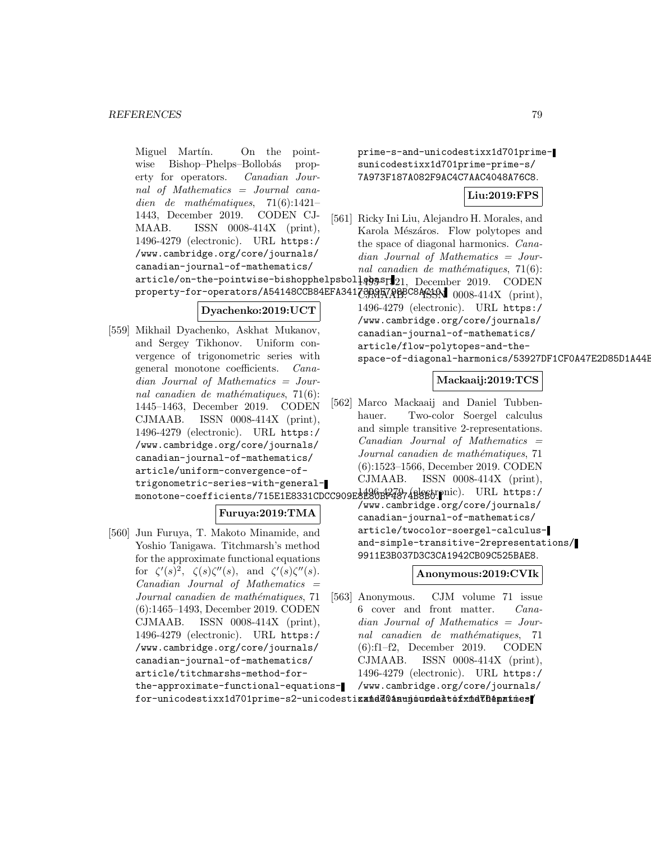Miguel Martín. On the pointwise Bishop–Phelps–Bollobás property for operators. Canadian Journal of Mathematics = Journal canadien de mathématiques,  $71(6):1421-$ 1443, December 2019. CODEN CJ-MAAB. ISSN 0008-414X (print), 1496-4279 (electronic). URL https:/ /www.cambridge.org/core/journals/ canadian-journal-of-mathematics/

prime-s-and-unicodestixx1d701primesunicodestixx1d701prime-prime-s/ 7A973F187A082F9AC4C7AAC4048A76C8.

# **Liu:2019:FPS**

[561] Ricky Ini Liu, Alejandro H. Morales, and Karola Mészáros. Flow polytopes and the space of diagonal harmonics. Canadian Journal of Mathematics = Journal canadien de mathématiques,  $71(6)$ :

 $\arotic le / on \text{-}the \text{-}pointwise \text{-}b is hopphelps bol}$ ] $q$ 05 $\text{S1}$ ] $21, \text{ December } 2019. \text{ } \text{CODEN}$  $\tt{property-for-operators/AS4148CCB84EFA34173P\\R\overline{BA7}R\overline{B}PC8A^c\overline{A}S\overline{A}N~~0008-414X~~(\rm{print}),$ 

### **Dyachenko:2019:UCT**

[559] Mikhail Dyachenko, Askhat Mukanov, and Sergey Tikhonov. Uniform convergence of trigonometric series with general monotone coefficients. Canadian Journal of Mathematics = Journal canadien de mathématiques,  $71(6)$ : 1445–1463, December 2019. CODEN CJMAAB. ISSN 0008-414X (print), 1496-4279 (electronic). URL https:/ /www.cambridge.org/core/journals/ canadian-journal-of-mathematics/ article/uniform-convergence-oftrigonometric-series-with-generalmonotone-coefficients/715E1E8331CDCC909E8280BF4874B8865.pnic). URL https:/

### **Furuya:2019:TMA**

[560] Jun Furuya, T. Makoto Minamide, and Yoshio Tanigawa. Titchmarsh's method for the approximate functional equations for  $\zeta'(s)^2$ ,  $\zeta(s)\zeta''(s)$ , and  $\zeta'(s)\zeta''(s)$ .  $Canadian$  Journal of Mathematics  $=$ Journal canadien de mathématiques, 71 (6):1465–1493, December 2019. CODEN CJMAAB. ISSN 0008-414X (print), 1496-4279 (electronic). URL https:/ /www.cambridge.org/core/journals/ canadian-journal-of-mathematics/ article/titchmarshs-method-forthe-approximate-functional-equations1496-4279 (electronic). URL https:/ /www.cambridge.org/core/journals/ canadian-journal-of-mathematics/ article/flow-polytopes-and-thespace-of-diagonal-harmonics/53927DF1CF0A47E2D85D1A44E

### **Mackaaij:2019:TCS**

[562] Marco Mackaaij and Daniel Tubbenhauer. Two-color Soergel calculus and simple transitive 2-representations.  $Canadian$  Journal of Mathematics  $=$ Journal canadien de mathématiques, 71 (6):1523–1566, December 2019. CODEN CJMAAB. ISSN 0008-414X (print),

/www.cambridge.org/core/journals/ canadian-journal-of-mathematics/ article/twocolor-soergel-calculusand-simple-transitive-2representations/ 9911E3B037D3C3CA1942CB09C525BAE8.

**Anonymous:2019:CVIk**

[563] Anonymous. CJM volume 71 issue 6 cover and front matter. Canadian Journal of Mathematics = Journal canadien de mathématiques, 71 (6):f1–f2, December 2019. CODEN CJMAAB. ISSN 0008-414X (print), 1496-4279 (electronic). URL https:/ /www.cambridge.org/core/journals/

 ${\tt for-unicodestixx1d701prime-s2-unicodesti**xañd**ā@aaunj~~o~~u~~ndatb~~š~~x~~ñd~~CD~~ê**parines**$